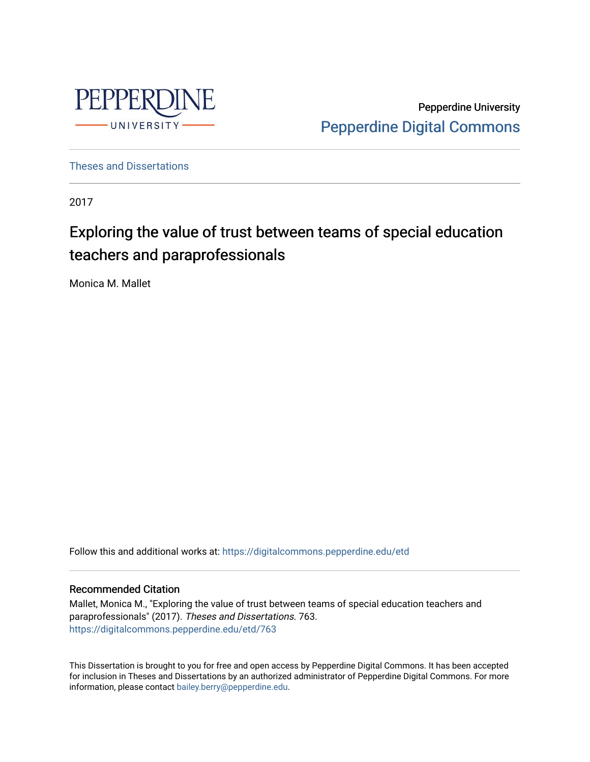

Pepperdine University [Pepperdine Digital Commons](https://digitalcommons.pepperdine.edu/) 

[Theses and Dissertations](https://digitalcommons.pepperdine.edu/etd)

2017

# Exploring the value of trust between teams of special education teachers and paraprofessionals

Monica M. Mallet

Follow this and additional works at: [https://digitalcommons.pepperdine.edu/etd](https://digitalcommons.pepperdine.edu/etd?utm_source=digitalcommons.pepperdine.edu%2Fetd%2F763&utm_medium=PDF&utm_campaign=PDFCoverPages) 

## Recommended Citation

Mallet, Monica M., "Exploring the value of trust between teams of special education teachers and paraprofessionals" (2017). Theses and Dissertations. 763. [https://digitalcommons.pepperdine.edu/etd/763](https://digitalcommons.pepperdine.edu/etd/763?utm_source=digitalcommons.pepperdine.edu%2Fetd%2F763&utm_medium=PDF&utm_campaign=PDFCoverPages) 

This Dissertation is brought to you for free and open access by Pepperdine Digital Commons. It has been accepted for inclusion in Theses and Dissertations by an authorized administrator of Pepperdine Digital Commons. For more information, please contact [bailey.berry@pepperdine.edu.](mailto:bailey.berry@pepperdine.edu)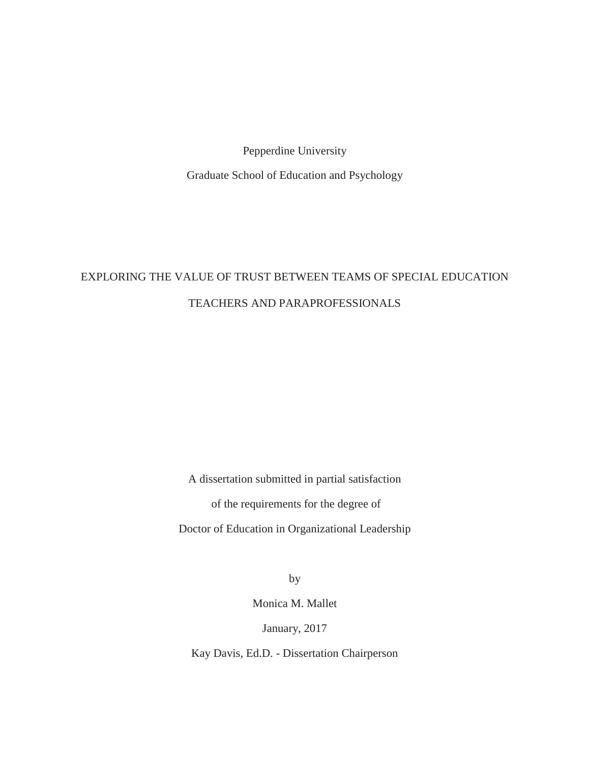Pepperdine University

Graduate School of Education and Psychology

# EXPLORING THE VALUE OF TRUST BETWEEN TEAMS OF SPECIAL EDUCATION TEACHERS AND PARAPROFESSIONALS

A dissertation submitted in partial satisfaction

of the requirements for the degree of

Doctor of Education in Organizational Leadership

by

Monica M. Mallet

January, 2017

Kay Davis, Ed.D. - Dissertation Chairperson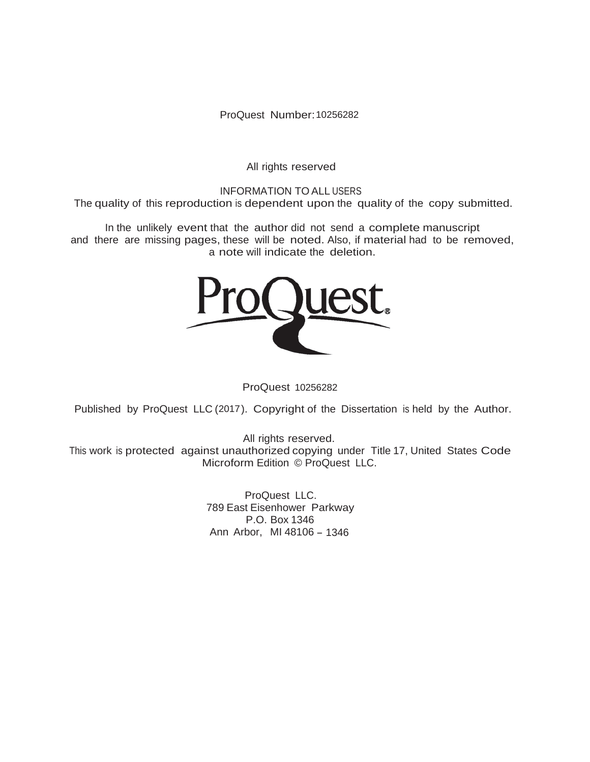ProQuest Number: 10256282

All rights reserved

INFORMATION TO ALL USERS The quality of this reproduction is dependent upon the quality of the copy submitted.

In the unlikely event that the author did not send a complete manuscript and there are missing pages, these will be noted. Also, if material had to be removed, a note will indicate the deletion.



ProQuest 10256282

Published by ProQuest LLC (2017). Copyright of the Dissertation is held by the Author.

All rights reserved. This work is protected against unauthorized copying under Title 17, United States Code Microform Edition © ProQuest LLC.

> ProQuest LLC. 789 East Eisenhower Parkway P.O. Box 1346 Ann Arbor, MI 48106 - 1346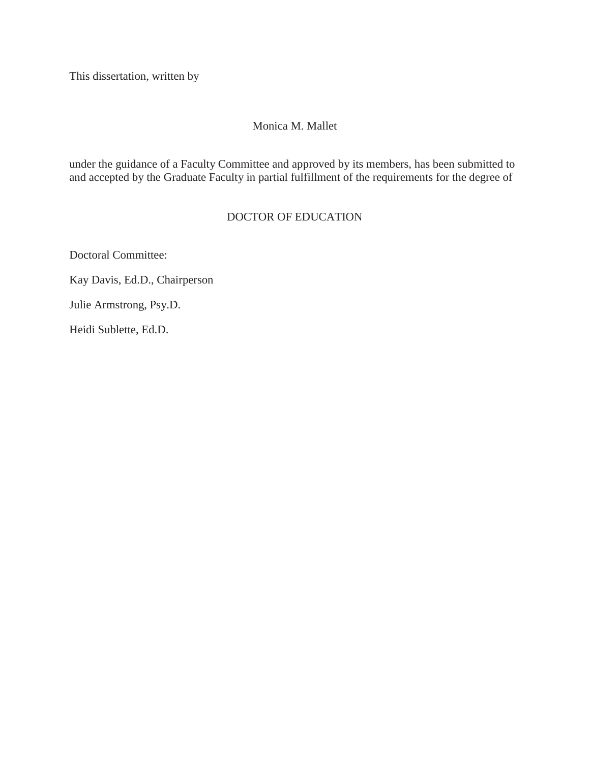This dissertation, written by

# Monica M. Mallet

under the guidance of a Faculty Committee and approved by its members, has been submitted to and accepted by the Graduate Faculty in partial fulfillment of the requirements for the degree of

# DOCTOR OF EDUCATION

Doctoral Committee:

Kay Davis, Ed.D., Chairperson

Julie Armstrong, Psy.D.

Heidi Sublette, Ed.D.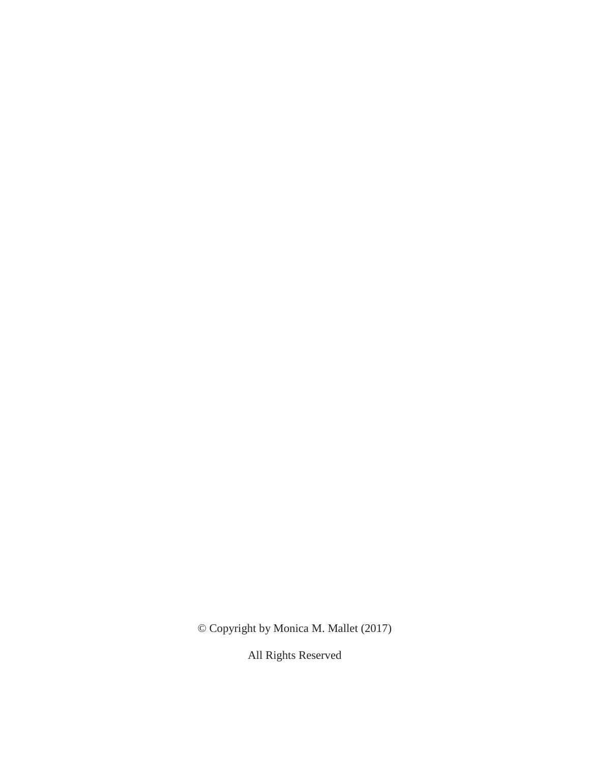© Copyright by Monica M. Mallet (2017)

All Rights Reserved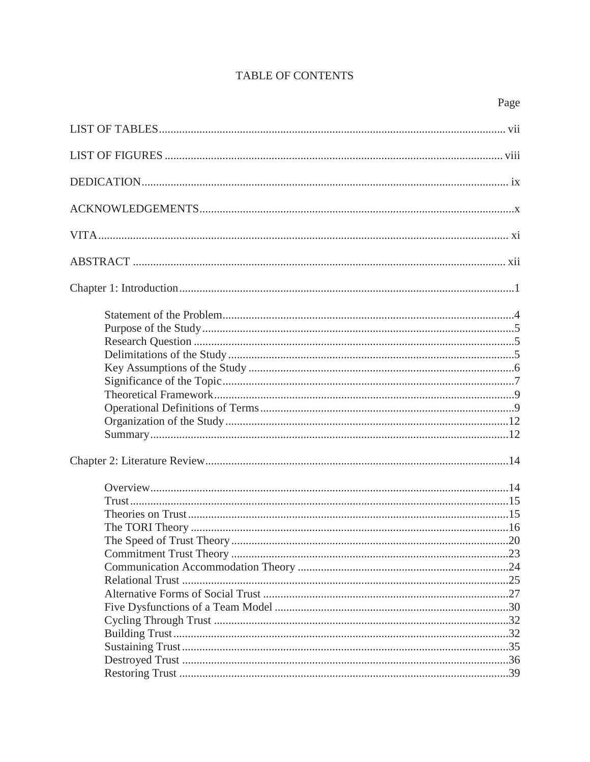# **TABLE OF CONTENTS**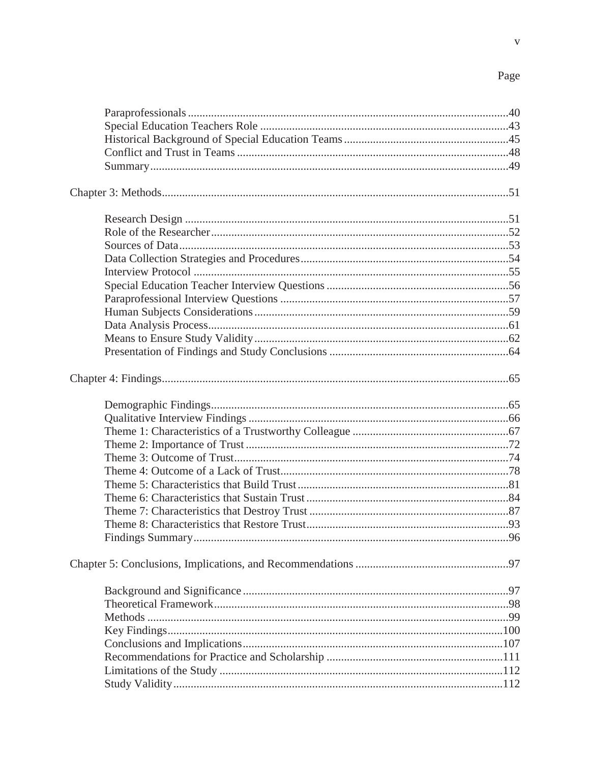$\overline{\mathbf{v}}$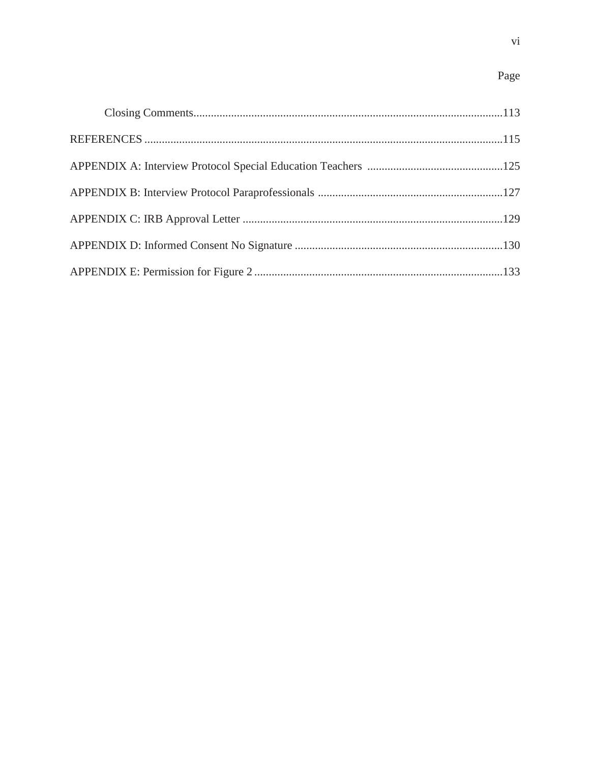# Page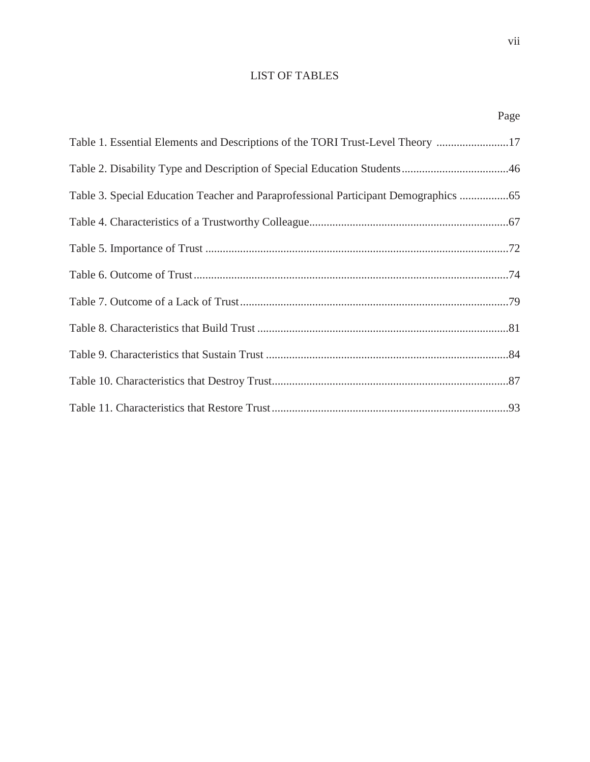# LIST OF TABLES

Page

| Table 1. Essential Elements and Descriptions of the TORI Trust-Level Theory 17   |
|----------------------------------------------------------------------------------|
|                                                                                  |
| Table 3. Special Education Teacher and Paraprofessional Participant Demographics |
|                                                                                  |
|                                                                                  |
|                                                                                  |
|                                                                                  |
|                                                                                  |
|                                                                                  |
|                                                                                  |
|                                                                                  |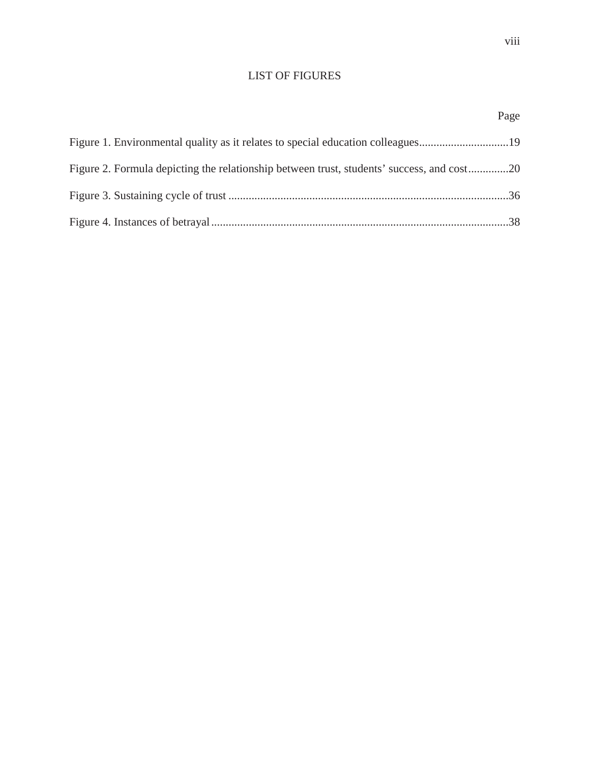# LIST OF FIGURES

|                                                                                           | Page |
|-------------------------------------------------------------------------------------------|------|
| Figure 1. Environmental quality as it relates to special education colleagues19           |      |
| Figure 2. Formula depicting the relationship between trust, students' success, and cost20 |      |
|                                                                                           |      |
|                                                                                           |      |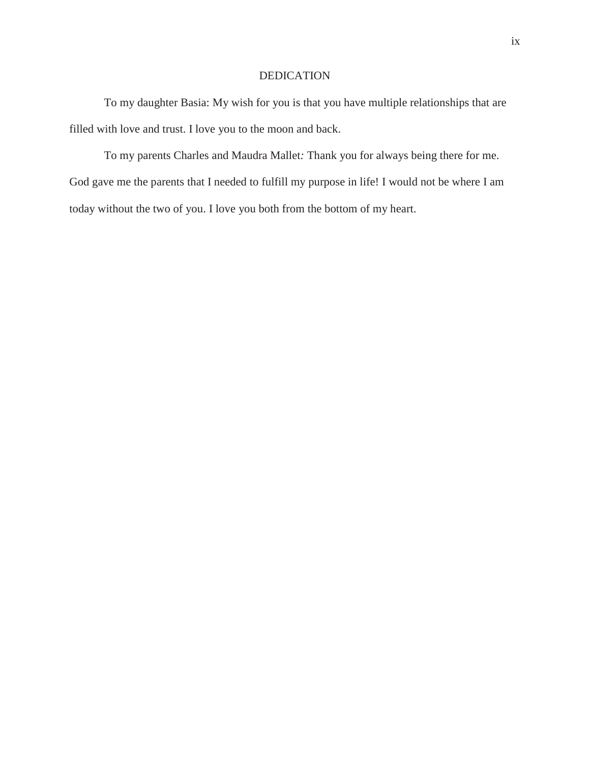# DEDICATION

To my daughter Basia: My wish for you is that you have multiple relationships that are filled with love and trust. I love you to the moon and back.

To my parents Charles and Maudra Mallet*:* Thank you for always being there for me. God gave me the parents that I needed to fulfill my purpose in life! I would not be where I am today without the two of you. I love you both from the bottom of my heart.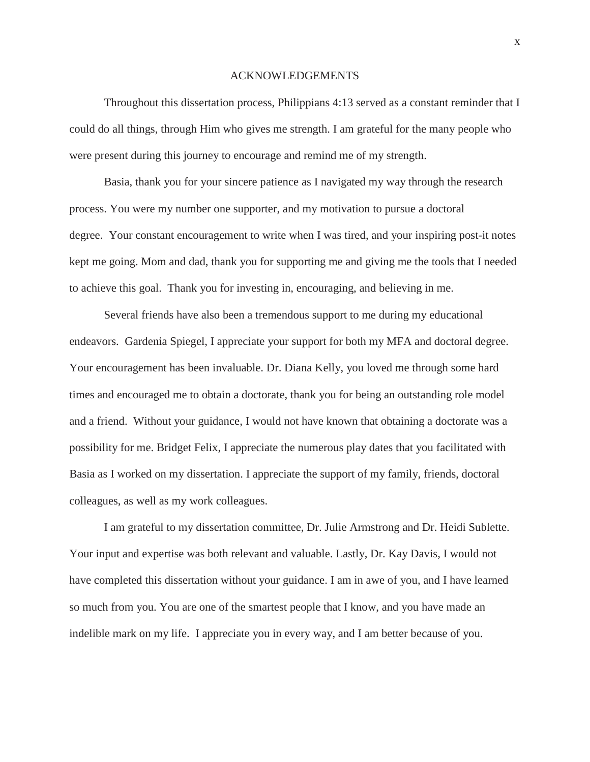#### ACKNOWLEDGEMENTS

Throughout this dissertation process, Philippians 4:13 served as a constant reminder that I could do all things, through Him who gives me strength. I am grateful for the many people who were present during this journey to encourage and remind me of my strength.

Basia, thank you for your sincere patience as I navigated my way through the research process. You were my number one supporter, and my motivation to pursue a doctoral degree. Your constant encouragement to write when I was tired, and your inspiring post-it notes kept me going. Mom and dad, thank you for supporting me and giving me the tools that I needed to achieve this goal. Thank you for investing in, encouraging, and believing in me.

Several friends have also been a tremendous support to me during my educational endeavors. Gardenia Spiegel, I appreciate your support for both my MFA and doctoral degree. Your encouragement has been invaluable. Dr. Diana Kelly, you loved me through some hard times and encouraged me to obtain a doctorate, thank you for being an outstanding role model and a friend. Without your guidance, I would not have known that obtaining a doctorate was a possibility for me. Bridget Felix, I appreciate the numerous play dates that you facilitated with Basia as I worked on my dissertation. I appreciate the support of my family, friends, doctoral colleagues, as well as my work colleagues.

I am grateful to my dissertation committee, Dr. Julie Armstrong and Dr. Heidi Sublette. Your input and expertise was both relevant and valuable. Lastly, Dr. Kay Davis, I would not have completed this dissertation without your guidance. I am in awe of you, and I have learned so much from you. You are one of the smartest people that I know, and you have made an indelible mark on my life. I appreciate you in every way, and I am better because of you.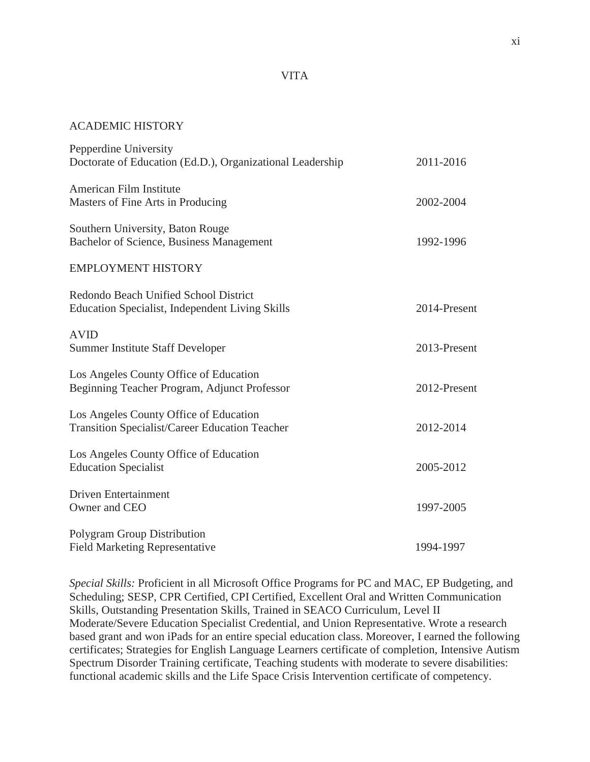# VITA

#### ACADEMIC HISTORY

| Pepperdine University                                                                           |              |
|-------------------------------------------------------------------------------------------------|--------------|
| Doctorate of Education (Ed.D.), Organizational Leadership                                       | 2011-2016    |
| American Film Institute<br>Masters of Fine Arts in Producing                                    | 2002-2004    |
| Southern University, Baton Rouge<br>Bachelor of Science, Business Management                    | 1992-1996    |
| <b>EMPLOYMENT HISTORY</b>                                                                       |              |
| Redondo Beach Unified School District<br>Education Specialist, Independent Living Skills        | 2014-Present |
| <b>AVID</b><br><b>Summer Institute Staff Developer</b>                                          | 2013-Present |
| Los Angeles County Office of Education<br>Beginning Teacher Program, Adjunct Professor          | 2012-Present |
| Los Angeles County Office of Education<br><b>Transition Specialist/Career Education Teacher</b> | 2012-2014    |
| Los Angeles County Office of Education<br><b>Education Specialist</b>                           | 2005-2012    |
| <b>Driven Entertainment</b><br>Owner and CEO                                                    | 1997-2005    |
| Polygram Group Distribution<br><b>Field Marketing Representative</b>                            | 1994-1997    |

*Special Skills:* Proficient in all Microsoft Office Programs for PC and MAC, EP Budgeting, and Scheduling; SESP, CPR Certified, CPI Certified, Excellent Oral and Written Communication Skills, Outstanding Presentation Skills, Trained in SEACO Curriculum, Level II Moderate/Severe Education Specialist Credential, and Union Representative. Wrote a research based grant and won iPads for an entire special education class. Moreover, I earned the following certificates; Strategies for English Language Learners certificate of completion, Intensive Autism Spectrum Disorder Training certificate, Teaching students with moderate to severe disabilities: functional academic skills and the Life Space Crisis Intervention certificate of competency.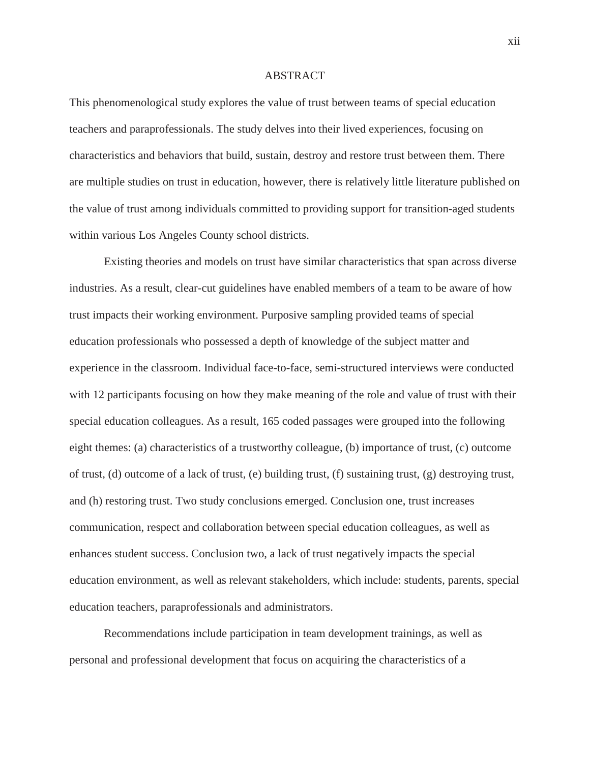## ABSTRACT

This phenomenological study explores the value of trust between teams of special education teachers and paraprofessionals. The study delves into their lived experiences, focusing on characteristics and behaviors that build, sustain, destroy and restore trust between them. There are multiple studies on trust in education, however, there is relatively little literature published on the value of trust among individuals committed to providing support for transition-aged students within various Los Angeles County school districts.

Existing theories and models on trust have similar characteristics that span across diverse industries. As a result, clear-cut guidelines have enabled members of a team to be aware of how trust impacts their working environment. Purposive sampling provided teams of special education professionals who possessed a depth of knowledge of the subject matter and experience in the classroom. Individual face-to-face, semi-structured interviews were conducted with 12 participants focusing on how they make meaning of the role and value of trust with their special education colleagues. As a result, 165 coded passages were grouped into the following eight themes: (a) characteristics of a trustworthy colleague, (b) importance of trust, (c) outcome of trust, (d) outcome of a lack of trust, (e) building trust, (f) sustaining trust, (g) destroying trust, and (h) restoring trust. Two study conclusions emerged. Conclusion one, trust increases communication, respect and collaboration between special education colleagues, as well as enhances student success. Conclusion two, a lack of trust negatively impacts the special education environment, as well as relevant stakeholders, which include: students, parents, special education teachers, paraprofessionals and administrators.

Recommendations include participation in team development trainings, as well as personal and professional development that focus on acquiring the characteristics of a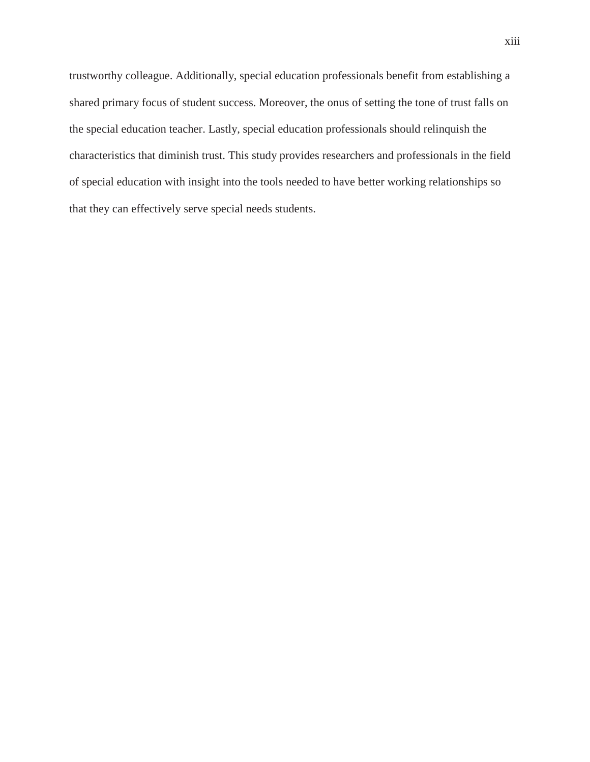trustworthy colleague. Additionally, special education professionals benefit from establishing a shared primary focus of student success. Moreover, the onus of setting the tone of trust falls on the special education teacher. Lastly, special education professionals should relinquish the characteristics that diminish trust. This study provides researchers and professionals in the field of special education with insight into the tools needed to have better working relationships so that they can effectively serve special needs students.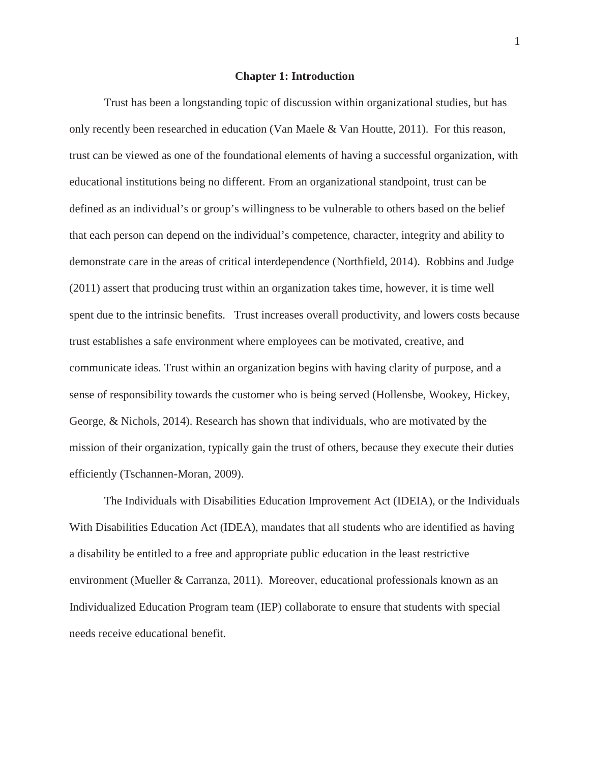#### **Chapter 1: Introduction**

Trust has been a longstanding topic of discussion within organizational studies, but has only recently been researched in education (Van Maele & Van Houtte, 2011). For this reason, trust can be viewed as one of the foundational elements of having a successful organization, with educational institutions being no different. From an organizational standpoint, trust can be defined as an individual's or group's willingness to be vulnerable to others based on the belief that each person can depend on the individual's competence, character, integrity and ability to demonstrate care in the areas of critical interdependence (Northfield, 2014). Robbins and Judge (2011) assert that producing trust within an organization takes time, however, it is time well spent due to the intrinsic benefits. Trust increases overall productivity, and lowers costs because trust establishes a safe environment where employees can be motivated, creative, and communicate ideas. Trust within an organization begins with having clarity of purpose, and a sense of responsibility towards the customer who is being served (Hollensbe, Wookey, Hickey, George, & Nichols, 2014). Research has shown that individuals, who are motivated by the mission of their organization, typically gain the trust of others, because they execute their duties efficiently (Tschannen-Moran, 2009).

The Individuals with Disabilities Education Improvement Act (IDEIA), or the Individuals With Disabilities Education Act (IDEA), mandates that all students who are identified as having a disability be entitled to a free and appropriate public education in the least restrictive environment (Mueller & Carranza, 2011). Moreover, educational professionals known as an Individualized Education Program team (IEP) collaborate to ensure that students with special needs receive educational benefit.

1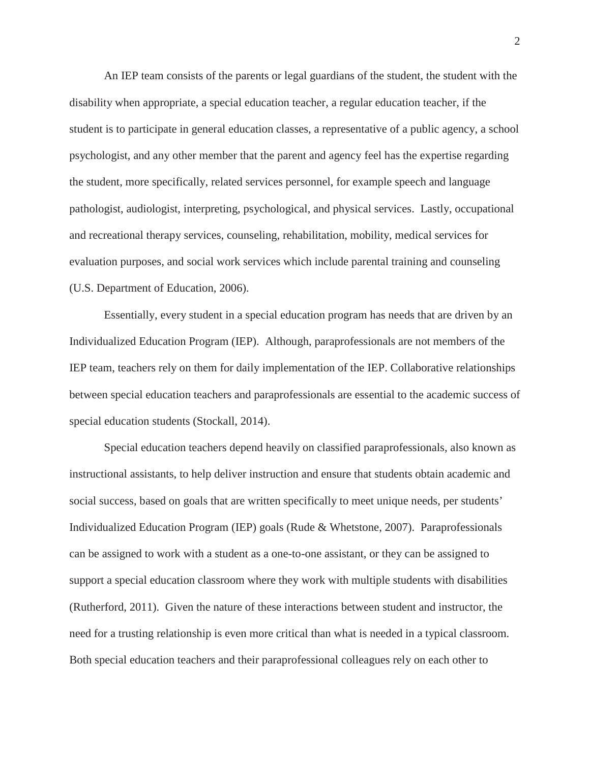An IEP team consists of the parents or legal guardians of the student, the student with the disability when appropriate, a special education teacher, a regular education teacher, if the student is to participate in general education classes, a representative of a public agency, a school psychologist, and any other member that the parent and agency feel has the expertise regarding the student, more specifically, related services personnel, for example speech and language pathologist, audiologist, interpreting, psychological, and physical services. Lastly, occupational and recreational therapy services, counseling, rehabilitation, mobility, medical services for evaluation purposes, and social work services which include parental training and counseling (U.S. Department of Education, 2006).

Essentially, every student in a special education program has needs that are driven by an Individualized Education Program (IEP). Although, paraprofessionals are not members of the IEP team, teachers rely on them for daily implementation of the IEP. Collaborative relationships between special education teachers and paraprofessionals are essential to the academic success of special education students (Stockall, 2014).

Special education teachers depend heavily on classified paraprofessionals, also known as instructional assistants, to help deliver instruction and ensure that students obtain academic and social success, based on goals that are written specifically to meet unique needs, per students' Individualized Education Program (IEP) goals (Rude & Whetstone, 2007). Paraprofessionals can be assigned to work with a student as a one-to-one assistant, or they can be assigned to support a special education classroom where they work with multiple students with disabilities (Rutherford, 2011). Given the nature of these interactions between student and instructor, the need for a trusting relationship is even more critical than what is needed in a typical classroom. Both special education teachers and their paraprofessional colleagues rely on each other to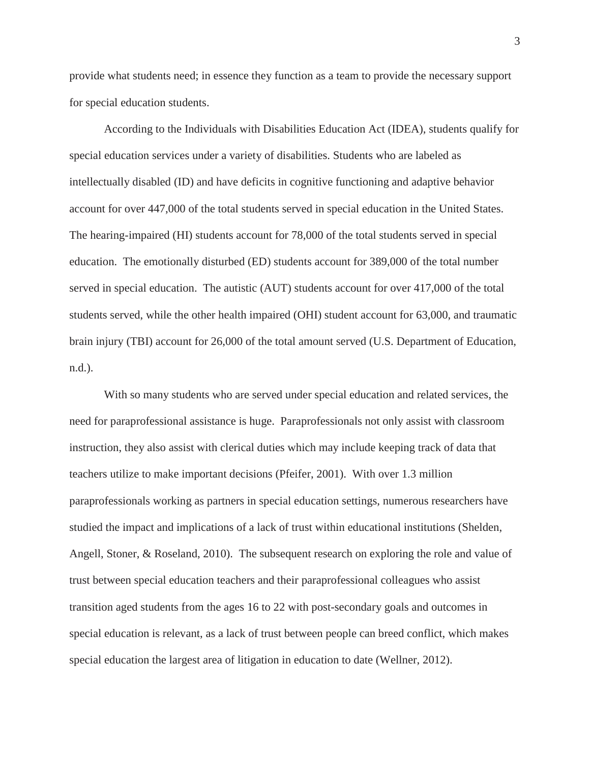provide what students need; in essence they function as a team to provide the necessary support for special education students.

According to the Individuals with Disabilities Education Act (IDEA), students qualify for special education services under a variety of disabilities. Students who are labeled as intellectually disabled (ID) and have deficits in cognitive functioning and adaptive behavior account for over 447,000 of the total students served in special education in the United States. The hearing-impaired (HI) students account for 78,000 of the total students served in special education. The emotionally disturbed (ED) students account for 389,000 of the total number served in special education. The autistic (AUT) students account for over 417,000 of the total students served, while the other health impaired (OHI) student account for 63,000, and traumatic brain injury (TBI) account for 26,000 of the total amount served (U.S. Department of Education, n.d.).

With so many students who are served under special education and related services, the need for paraprofessional assistance is huge. Paraprofessionals not only assist with classroom instruction, they also assist with clerical duties which may include keeping track of data that teachers utilize to make important decisions (Pfeifer, 2001). With over 1.3 million paraprofessionals working as partners in special education settings, numerous researchers have studied the impact and implications of a lack of trust within educational institutions (Shelden, Angell, Stoner, & Roseland, 2010). The subsequent research on exploring the role and value of trust between special education teachers and their paraprofessional colleagues who assist transition aged students from the ages 16 to 22 with post-secondary goals and outcomes in special education is relevant, as a lack of trust between people can breed conflict, which makes special education the largest area of litigation in education to date (Wellner, 2012).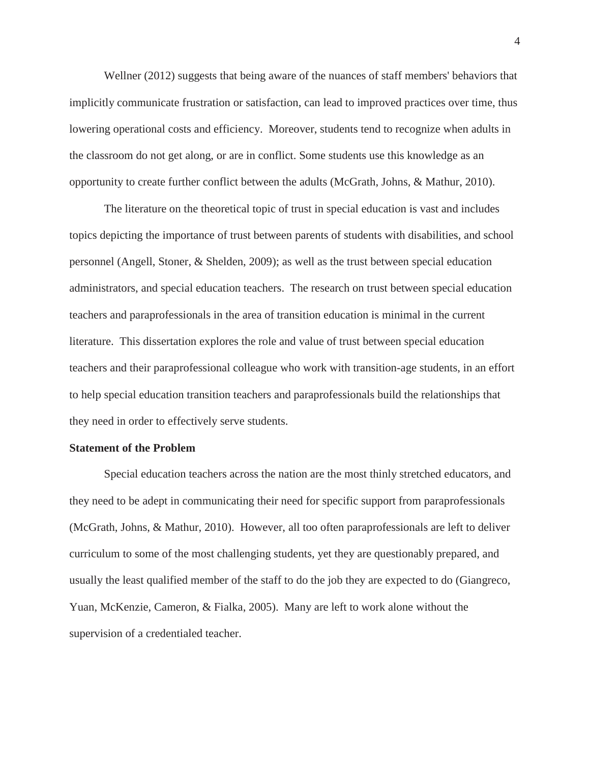Wellner (2012) suggests that being aware of the nuances of staff members' behaviors that implicitly communicate frustration or satisfaction, can lead to improved practices over time, thus lowering operational costs and efficiency. Moreover, students tend to recognize when adults in the classroom do not get along, or are in conflict. Some students use this knowledge as an opportunity to create further conflict between the adults (McGrath, Johns, & Mathur, 2010).

The literature on the theoretical topic of trust in special education is vast and includes topics depicting the importance of trust between parents of students with disabilities, and school personnel (Angell, Stoner, & Shelden, 2009); as well as the trust between special education administrators, and special education teachers. The research on trust between special education teachers and paraprofessionals in the area of transition education is minimal in the current literature. This dissertation explores the role and value of trust between special education teachers and their paraprofessional colleague who work with transition-age students, in an effort to help special education transition teachers and paraprofessionals build the relationships that they need in order to effectively serve students.

#### **Statement of the Problem**

Special education teachers across the nation are the most thinly stretched educators, and they need to be adept in communicating their need for specific support from paraprofessionals (McGrath, Johns, & Mathur, 2010). However, all too often paraprofessionals are left to deliver curriculum to some of the most challenging students, yet they are questionably prepared, and usually the least qualified member of the staff to do the job they are expected to do (Giangreco, Yuan, McKenzie, Cameron, & Fialka, 2005). Many are left to work alone without the supervision of a credentialed teacher.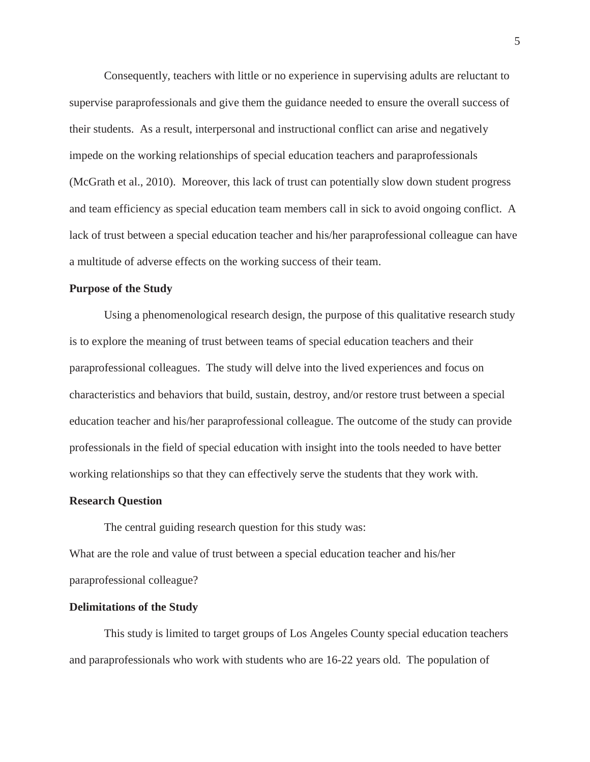Consequently, teachers with little or no experience in supervising adults are reluctant to supervise paraprofessionals and give them the guidance needed to ensure the overall success of their students. As a result, interpersonal and instructional conflict can arise and negatively impede on the working relationships of special education teachers and paraprofessionals (McGrath et al., 2010). Moreover, this lack of trust can potentially slow down student progress and team efficiency as special education team members call in sick to avoid ongoing conflict. A lack of trust between a special education teacher and his/her paraprofessional colleague can have a multitude of adverse effects on the working success of their team.

### **Purpose of the Study**

Using a phenomenological research design, the purpose of this qualitative research study is to explore the meaning of trust between teams of special education teachers and their paraprofessional colleagues. The study will delve into the lived experiences and focus on characteristics and behaviors that build, sustain, destroy, and/or restore trust between a special education teacher and his/her paraprofessional colleague. The outcome of the study can provide professionals in the field of special education with insight into the tools needed to have better working relationships so that they can effectively serve the students that they work with.

#### **Research Question**

The central guiding research question for this study was:

What are the role and value of trust between a special education teacher and his/her paraprofessional colleague?

#### **Delimitations of the Study**

This study is limited to target groups of Los Angeles County special education teachers and paraprofessionals who work with students who are 16-22 years old. The population of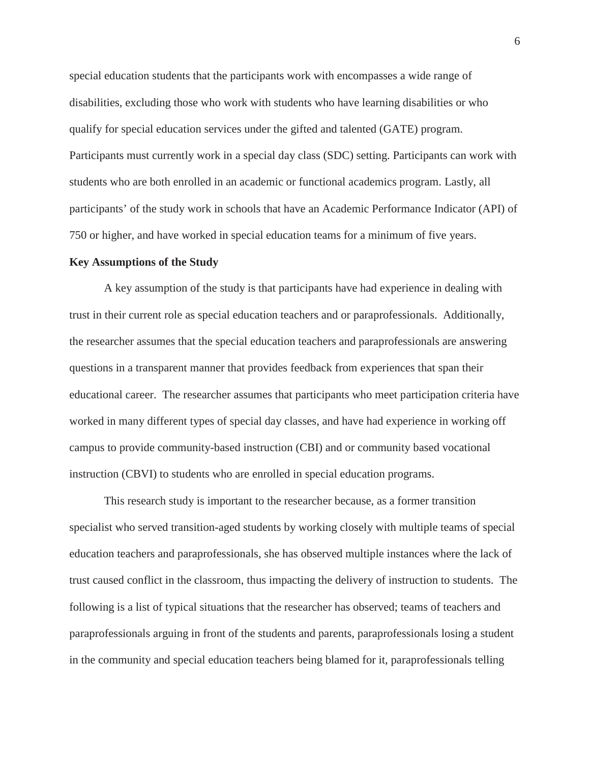special education students that the participants work with encompasses a wide range of disabilities, excluding those who work with students who have learning disabilities or who qualify for special education services under the gifted and talented (GATE) program. Participants must currently work in a special day class (SDC) setting. Participants can work with students who are both enrolled in an academic or functional academics program. Lastly, all participants' of the study work in schools that have an Academic Performance Indicator (API) of 750 or higher, and have worked in special education teams for a minimum of five years.

#### **Key Assumptions of the Study**

A key assumption of the study is that participants have had experience in dealing with trust in their current role as special education teachers and or paraprofessionals. Additionally, the researcher assumes that the special education teachers and paraprofessionals are answering questions in a transparent manner that provides feedback from experiences that span their educational career. The researcher assumes that participants who meet participation criteria have worked in many different types of special day classes, and have had experience in working off campus to provide community-based instruction (CBI) and or community based vocational instruction (CBVI) to students who are enrolled in special education programs.

This research study is important to the researcher because, as a former transition specialist who served transition-aged students by working closely with multiple teams of special education teachers and paraprofessionals, she has observed multiple instances where the lack of trust caused conflict in the classroom, thus impacting the delivery of instruction to students. The following is a list of typical situations that the researcher has observed; teams of teachers and paraprofessionals arguing in front of the students and parents, paraprofessionals losing a student in the community and special education teachers being blamed for it, paraprofessionals telling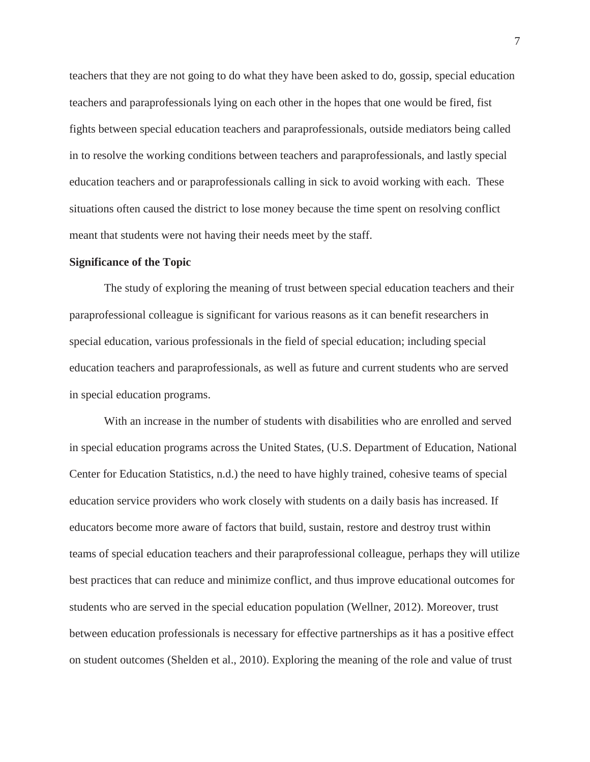teachers that they are not going to do what they have been asked to do, gossip, special education teachers and paraprofessionals lying on each other in the hopes that one would be fired, fist fights between special education teachers and paraprofessionals, outside mediators being called in to resolve the working conditions between teachers and paraprofessionals, and lastly special education teachers and or paraprofessionals calling in sick to avoid working with each. These situations often caused the district to lose money because the time spent on resolving conflict meant that students were not having their needs meet by the staff.

#### **Significance of the Topic**

The study of exploring the meaning of trust between special education teachers and their paraprofessional colleague is significant for various reasons as it can benefit researchers in special education, various professionals in the field of special education; including special education teachers and paraprofessionals, as well as future and current students who are served in special education programs.

With an increase in the number of students with disabilities who are enrolled and served in special education programs across the United States, (U.S. Department of Education, National Center for Education Statistics, n.d.) the need to have highly trained, cohesive teams of special education service providers who work closely with students on a daily basis has increased. If educators become more aware of factors that build, sustain, restore and destroy trust within teams of special education teachers and their paraprofessional colleague, perhaps they will utilize best practices that can reduce and minimize conflict, and thus improve educational outcomes for students who are served in the special education population (Wellner, 2012). Moreover, trust between education professionals is necessary for effective partnerships as it has a positive effect on student outcomes (Shelden et al., 2010). Exploring the meaning of the role and value of trust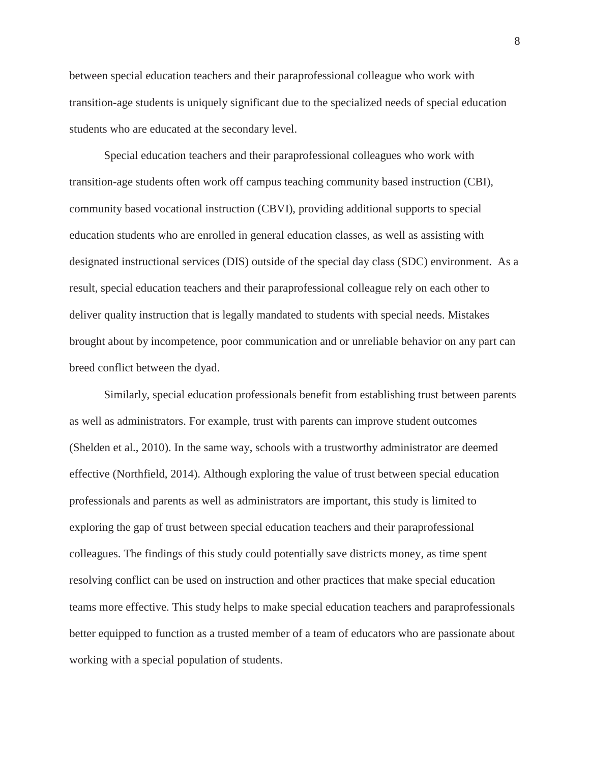between special education teachers and their paraprofessional colleague who work with transition-age students is uniquely significant due to the specialized needs of special education students who are educated at the secondary level.

Special education teachers and their paraprofessional colleagues who work with transition-age students often work off campus teaching community based instruction (CBI), community based vocational instruction (CBVI), providing additional supports to special education students who are enrolled in general education classes, as well as assisting with designated instructional services (DIS) outside of the special day class (SDC) environment. As a result, special education teachers and their paraprofessional colleague rely on each other to deliver quality instruction that is legally mandated to students with special needs. Mistakes brought about by incompetence, poor communication and or unreliable behavior on any part can breed conflict between the dyad.

Similarly, special education professionals benefit from establishing trust between parents as well as administrators. For example, trust with parents can improve student outcomes (Shelden et al., 2010). In the same way, schools with a trustworthy administrator are deemed effective (Northfield, 2014). Although exploring the value of trust between special education professionals and parents as well as administrators are important, this study is limited to exploring the gap of trust between special education teachers and their paraprofessional colleagues. The findings of this study could potentially save districts money, as time spent resolving conflict can be used on instruction and other practices that make special education teams more effective. This study helps to make special education teachers and paraprofessionals better equipped to function as a trusted member of a team of educators who are passionate about working with a special population of students.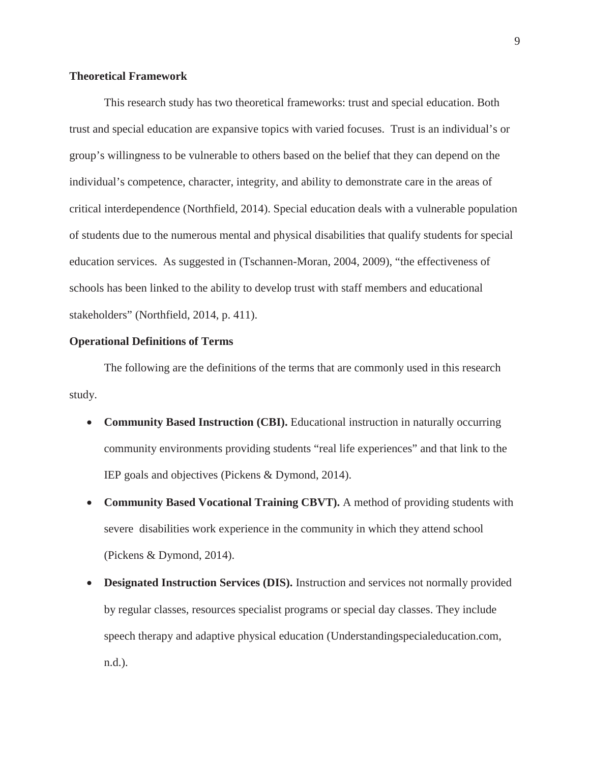## **Theoretical Framework**

This research study has two theoretical frameworks: trust and special education. Both trust and special education are expansive topics with varied focuses. Trust is an individual's or group's willingness to be vulnerable to others based on the belief that they can depend on the individual's competence, character, integrity, and ability to demonstrate care in the areas of critical interdependence (Northfield, 2014). Special education deals with a vulnerable population of students due to the numerous mental and physical disabilities that qualify students for special education services. As suggested in (Tschannen-Moran, 2004, 2009), "the effectiveness of schools has been linked to the ability to develop trust with staff members and educational stakeholders" (Northfield, 2014, p. 411).

#### **Operational Definitions of Terms**

The following are the definitions of the terms that are commonly used in this research study.

- **Community Based Instruction (CBI).** Educational instruction in naturally occurring community environments providing students "real life experiences" and that link to the IEP goals and objectives (Pickens & Dymond, 2014).
- Community Based Vocational Training CBVT). A method of providing students with severe disabilities work experience in the community in which they attend school (Pickens & Dymond, 2014).
- **Designated Instruction Services (DIS).** Instruction and services not normally provided by regular classes, resources specialist programs or special day classes. They include speech therapy and adaptive physical education (Understandingspecialeducation.com, n.d.).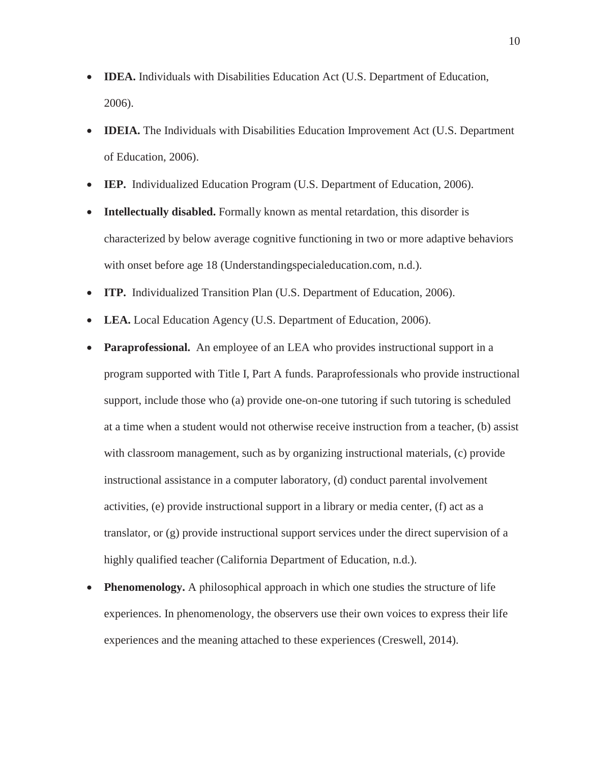- **IDEA.** Individuals with Disabilities Education Act (U.S. Department of Education, 2006).
- **IDEIA.** The Individuals with Disabilities Education Improvement Act (U.S. Department of Education, 2006).
- **IEP.** Individualized Education Program (U.S. Department of Education, 2006).
- Intellectually disabled. Formally known as mental retardation, this disorder is characterized by below average cognitive functioning in two or more adaptive behaviors with onset before age 18 (Understandingspecialeducation.com, n.d.).
- **ITP.** Individualized Transition Plan (U.S. Department of Education, 2006).
- LEA. Local Education Agency (U.S. Department of Education, 2006).
- **Paraprofessional.** An employee of an LEA who provides instructional support in a program supported with Title I, Part A funds. Paraprofessionals who provide instructional support, include those who (a) provide one-on-one tutoring if such tutoring is scheduled at a time when a student would not otherwise receive instruction from a teacher, (b) assist with classroom management, such as by organizing instructional materials, (c) provide instructional assistance in a computer laboratory, (d) conduct parental involvement activities, (e) provide instructional support in a library or media center, (f) act as a translator, or (g) provide instructional support services under the direct supervision of a highly qualified teacher (California Department of Education, n.d.).
- **Phenomenology.** A philosophical approach in which one studies the structure of life experiences. In phenomenology, the observers use their own voices to express their life experiences and the meaning attached to these experiences (Creswell, 2014).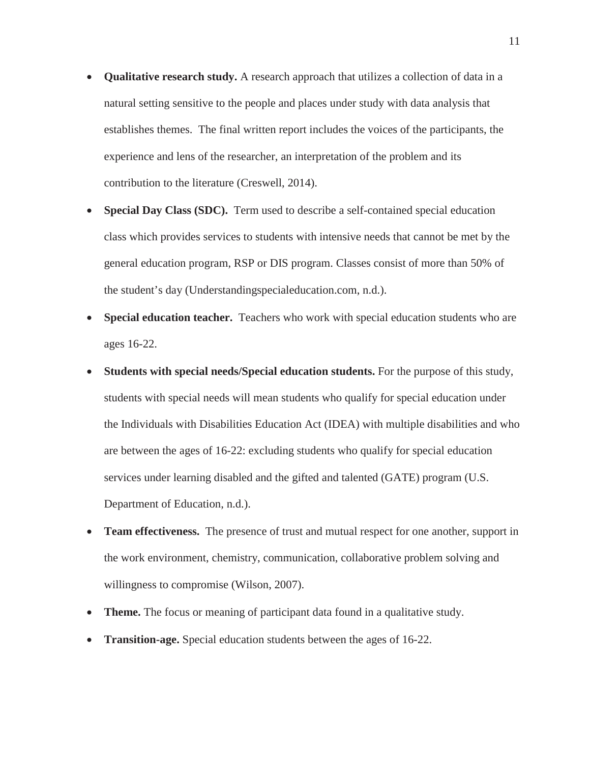- **Qualitative research study.** A research approach that utilizes a collection of data in a natural setting sensitive to the people and places under study with data analysis that establishes themes. The final written report includes the voices of the participants, the experience and lens of the researcher, an interpretation of the problem and its contribution to the literature (Creswell, 2014).
- **Special Day Class (SDC).** Term used to describe a self-contained special education class which provides services to students with intensive needs that cannot be met by the general education program, RSP or DIS program. Classes consist of more than 50% of the student's day (Understandingspecialeducation.com, n.d.).
- **Special education teacher.** Teachers who work with special education students who are ages 16-22.
- **Students with special needs/Special education students.** For the purpose of this study, students with special needs will mean students who qualify for special education under the Individuals with Disabilities Education Act (IDEA) with multiple disabilities and who are between the ages of 16-22: excluding students who qualify for special education services under learning disabled and the gifted and talented (GATE) program (U.S. Department of Education, n.d.).
- **Team effectiveness.** The presence of trust and mutual respect for one another, support in the work environment, chemistry, communication, collaborative problem solving and willingness to compromise (Wilson, 2007).
- **Theme.** The focus or meaning of participant data found in a qualitative study.
- **Transition-age.** Special education students between the ages of 16-22.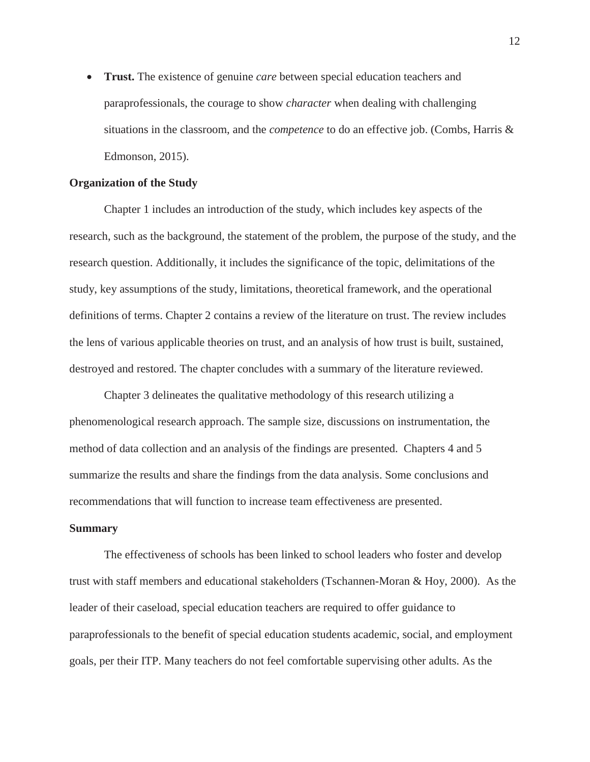• **Trust.** The existence of genuine *care* between special education teachers and paraprofessionals, the courage to show *character* when dealing with challenging situations in the classroom, and the *competence* to do an effective job. (Combs, Harris & Edmonson, 2015).

#### **Organization of the Study**

Chapter 1 includes an introduction of the study, which includes key aspects of the research, such as the background, the statement of the problem, the purpose of the study, and the research question. Additionally, it includes the significance of the topic, delimitations of the study, key assumptions of the study, limitations, theoretical framework, and the operational definitions of terms. Chapter 2 contains a review of the literature on trust. The review includes the lens of various applicable theories on trust, and an analysis of how trust is built, sustained, destroyed and restored. The chapter concludes with a summary of the literature reviewed.

Chapter 3 delineates the qualitative methodology of this research utilizing a phenomenological research approach. The sample size, discussions on instrumentation, the method of data collection and an analysis of the findings are presented. Chapters 4 and 5 summarize the results and share the findings from the data analysis. Some conclusions and recommendations that will function to increase team effectiveness are presented.

#### **Summary**

The effectiveness of schools has been linked to school leaders who foster and develop trust with staff members and educational stakeholders (Tschannen-Moran & Hoy, 2000). As the leader of their caseload, special education teachers are required to offer guidance to paraprofessionals to the benefit of special education students academic, social, and employment goals, per their ITP. Many teachers do not feel comfortable supervising other adults. As the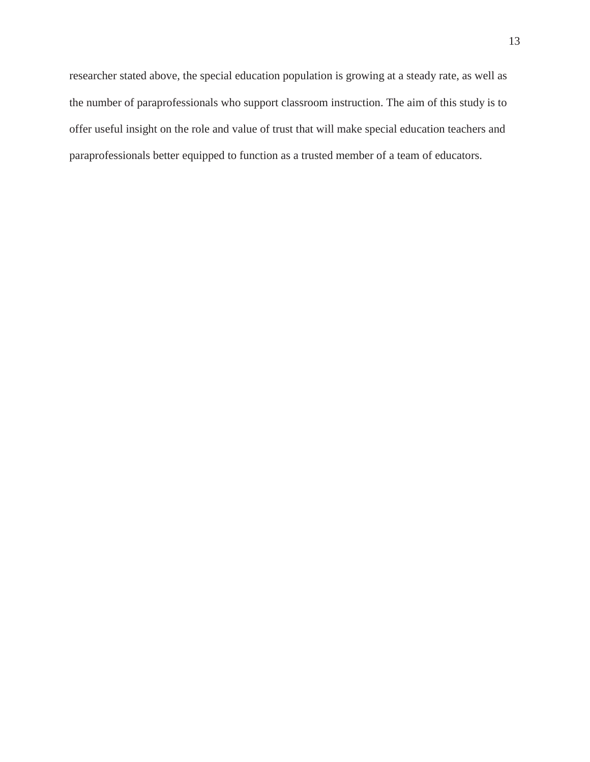researcher stated above, the special education population is growing at a steady rate, as well as the number of paraprofessionals who support classroom instruction. The aim of this study is to offer useful insight on the role and value of trust that will make special education teachers and paraprofessionals better equipped to function as a trusted member of a team of educators.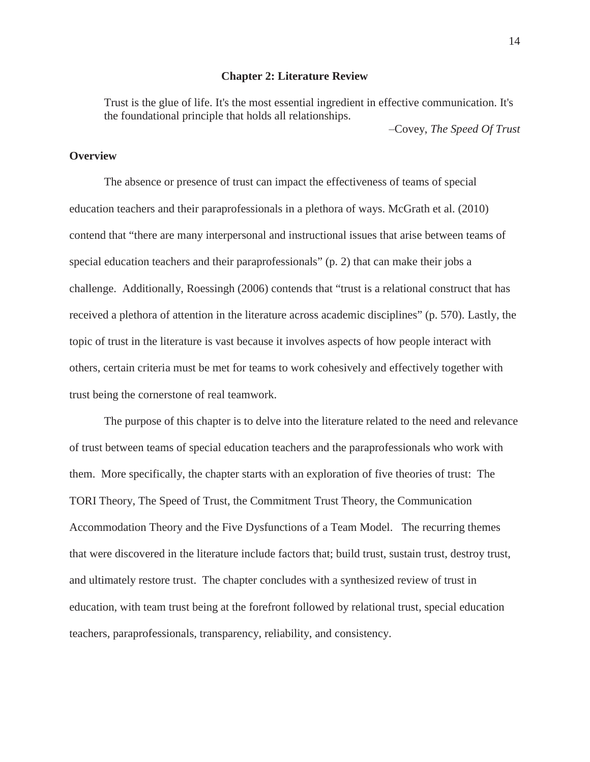#### **Chapter 2: Literature Review**

Trust is the glue of life. It's the most essential ingredient in effective communication. It's the foundational principle that holds all relationships.

Covey, *The Speed Of Trust*

# **Overview**

The absence or presence of trust can impact the effectiveness of teams of special education teachers and their paraprofessionals in a plethora of ways. McGrath et al. (2010) contend that "there are many interpersonal and instructional issues that arise between teams of special education teachers and their paraprofessionals" (p. 2) that can make their jobs a challenge. Additionally, Roessingh (2006) contends that "trust is a relational construct that has received a plethora of attention in the literature across academic disciplines" (p. 570). Lastly, the topic of trust in the literature is vast because it involves aspects of how people interact with others, certain criteria must be met for teams to work cohesively and effectively together with trust being the cornerstone of real teamwork.

The purpose of this chapter is to delve into the literature related to the need and relevance of trust between teams of special education teachers and the paraprofessionals who work with them. More specifically, the chapter starts with an exploration of five theories of trust: The TORI Theory, The Speed of Trust, the Commitment Trust Theory, the Communication Accommodation Theory and the Five Dysfunctions of a Team Model. The recurring themes that were discovered in the literature include factors that; build trust, sustain trust, destroy trust, and ultimately restore trust. The chapter concludes with a synthesized review of trust in education, with team trust being at the forefront followed by relational trust, special education teachers, paraprofessionals, transparency, reliability, and consistency.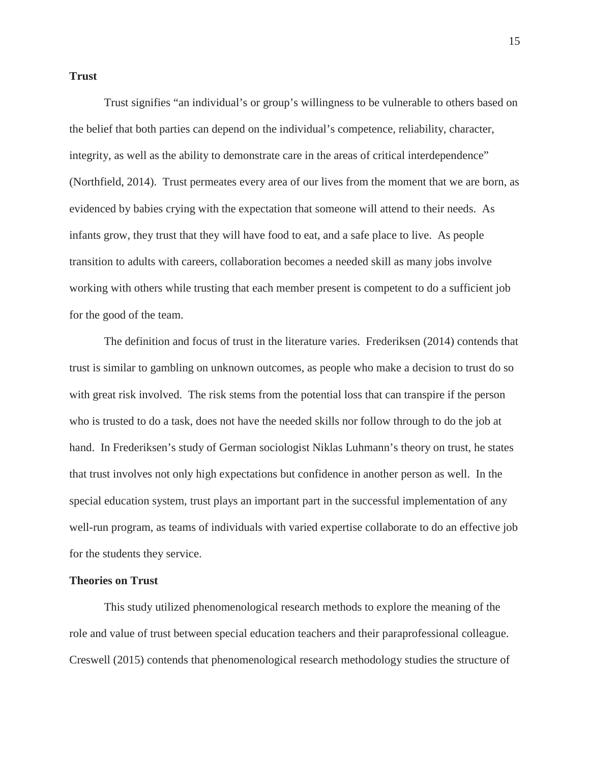#### **Trust**

Trust signifies "an individual's or group's willingness to be vulnerable to others based on the belief that both parties can depend on the individual's competence, reliability, character, integrity, as well as the ability to demonstrate care in the areas of critical interdependence" (Northfield, 2014). Trust permeates every area of our lives from the moment that we are born, as evidenced by babies crying with the expectation that someone will attend to their needs. As infants grow, they trust that they will have food to eat, and a safe place to live. As people transition to adults with careers, collaboration becomes a needed skill as many jobs involve working with others while trusting that each member present is competent to do a sufficient job for the good of the team.

The definition and focus of trust in the literature varies. Frederiksen (2014) contends that trust is similar to gambling on unknown outcomes, as people who make a decision to trust do so with great risk involved. The risk stems from the potential loss that can transpire if the person who is trusted to do a task, does not have the needed skills nor follow through to do the job at hand. In Frederiksen's study of German sociologist Niklas Luhmann's theory on trust, he states that trust involves not only high expectations but confidence in another person as well. In the special education system, trust plays an important part in the successful implementation of any well-run program, as teams of individuals with varied expertise collaborate to do an effective job for the students they service.

#### **Theories on Trust**

This study utilized phenomenological research methods to explore the meaning of the role and value of trust between special education teachers and their paraprofessional colleague. Creswell (2015) contends that phenomenological research methodology studies the structure of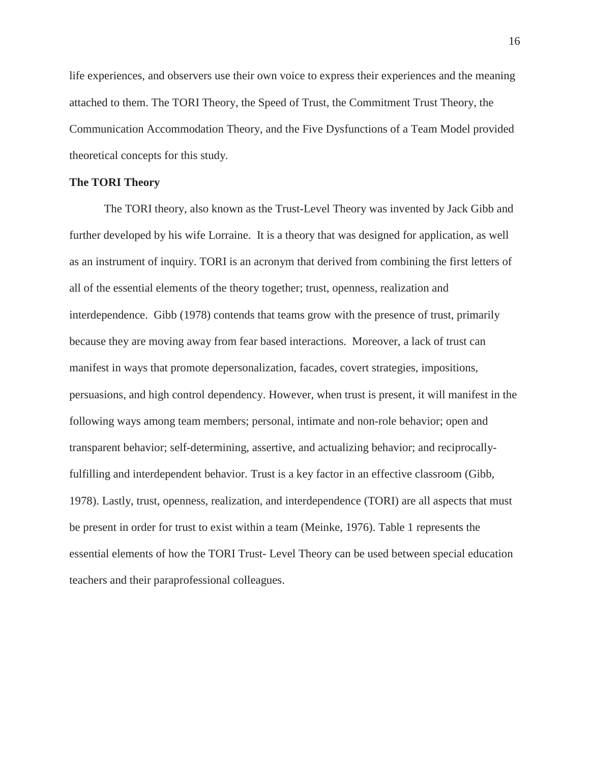life experiences, and observers use their own voice to express their experiences and the meaning attached to them. The TORI Theory, the Speed of Trust, the Commitment Trust Theory, the Communication Accommodation Theory, and the Five Dysfunctions of a Team Model provided theoretical concepts for this study.

## **The TORI Theory**

The TORI theory, also known as the Trust-Level Theory was invented by Jack Gibb and further developed by his wife Lorraine. It is a theory that was designed for application, as well as an instrument of inquiry. TORI is an acronym that derived from combining the first letters of all of the essential elements of the theory together; trust, openness, realization and interdependence. Gibb (1978) contends that teams grow with the presence of trust, primarily because they are moving away from fear based interactions. Moreover, a lack of trust can manifest in ways that promote depersonalization, facades, covert strategies, impositions, persuasions, and high control dependency. However, when trust is present, it will manifest in the following ways among team members; personal, intimate and non-role behavior; open and transparent behavior; self-determining, assertive, and actualizing behavior; and reciprocallyfulfilling and interdependent behavior. Trust is a key factor in an effective classroom (Gibb, 1978). Lastly, trust, openness, realization, and interdependence (TORI) are all aspects that must be present in order for trust to exist within a team (Meinke, 1976). Table 1 represents the essential elements of how the TORI Trust- Level Theory can be used between special education teachers and their paraprofessional colleagues.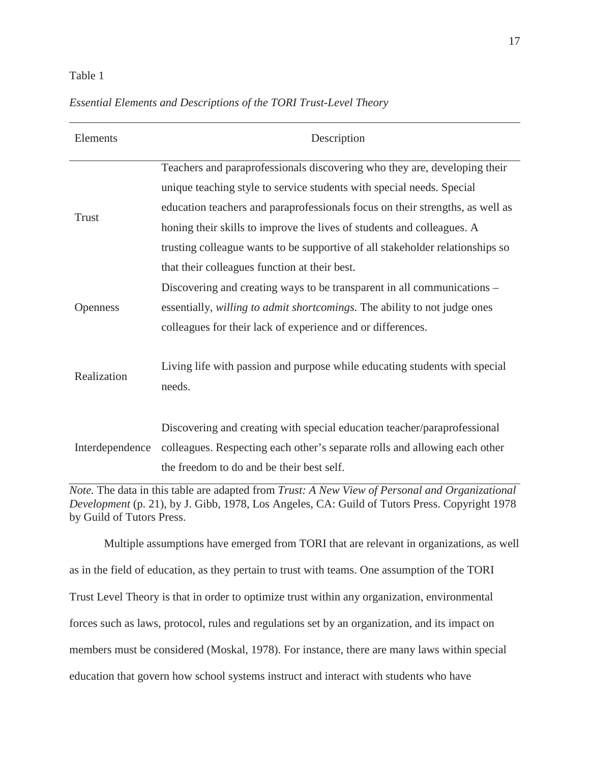## Table 1

| Elements        | Description                                                                          |
|-----------------|--------------------------------------------------------------------------------------|
| <b>Trust</b>    | Teachers and paraprofessionals discovering who they are, developing their            |
|                 | unique teaching style to service students with special needs. Special                |
|                 | education teachers and paraprofessionals focus on their strengths, as well as        |
|                 | honing their skills to improve the lives of students and colleagues. A               |
|                 | trusting colleague wants to be supportive of all stakeholder relationships so        |
|                 | that their colleagues function at their best.                                        |
| Openness        | Discovering and creating ways to be transparent in all communications –              |
|                 | essentially, willing to admit shortcomings. The ability to not judge ones            |
|                 | colleagues for their lack of experience and or differences.                          |
| Realization     | Living life with passion and purpose while educating students with special<br>needs. |
| Interdependence | Discovering and creating with special education teacher/paraprofessional             |
|                 | colleagues. Respecting each other's separate rolls and allowing each other           |
|                 | the freedom to do and be their best self.                                            |

## *Essential Elements and Descriptions of the TORI Trust-Level Theory*

*Note.* The data in this table are adapted from *Trust: A New View of Personal and Organizational Development* (p. 21), by J. Gibb, 1978, Los Angeles, CA: Guild of Tutors Press. Copyright 1978 by Guild of Tutors Press.

Multiple assumptions have emerged from TORI that are relevant in organizations, as well as in the field of education, as they pertain to trust with teams. One assumption of the TORI Trust Level Theory is that in order to optimize trust within any organization, environmental forces such as laws, protocol, rules and regulations set by an organization, and its impact on members must be considered (Moskal, 1978). For instance, there are many laws within special education that govern how school systems instruct and interact with students who have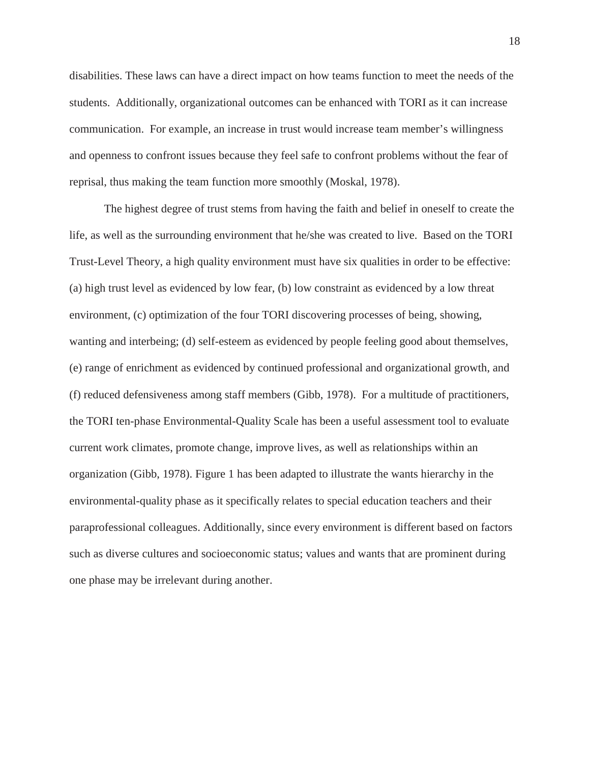disabilities. These laws can have a direct impact on how teams function to meet the needs of the students. Additionally, organizational outcomes can be enhanced with TORI as it can increase communication. For example, an increase in trust would increase team member's willingness and openness to confront issues because they feel safe to confront problems without the fear of reprisal, thus making the team function more smoothly (Moskal, 1978).

The highest degree of trust stems from having the faith and belief in oneself to create the life, as well as the surrounding environment that he/she was created to live. Based on the TORI Trust-Level Theory, a high quality environment must have six qualities in order to be effective: (a) high trust level as evidenced by low fear, (b) low constraint as evidenced by a low threat environment, (c) optimization of the four TORI discovering processes of being, showing, wanting and interbeing; (d) self-esteem as evidenced by people feeling good about themselves, (e) range of enrichment as evidenced by continued professional and organizational growth, and (f) reduced defensiveness among staff members (Gibb, 1978). For a multitude of practitioners, the TORI ten-phase Environmental-Quality Scale has been a useful assessment tool to evaluate current work climates, promote change, improve lives, as well as relationships within an organization (Gibb, 1978). Figure 1 has been adapted to illustrate the wants hierarchy in the environmental-quality phase as it specifically relates to special education teachers and their paraprofessional colleagues. Additionally, since every environment is different based on factors such as diverse cultures and socioeconomic status; values and wants that are prominent during one phase may be irrelevant during another.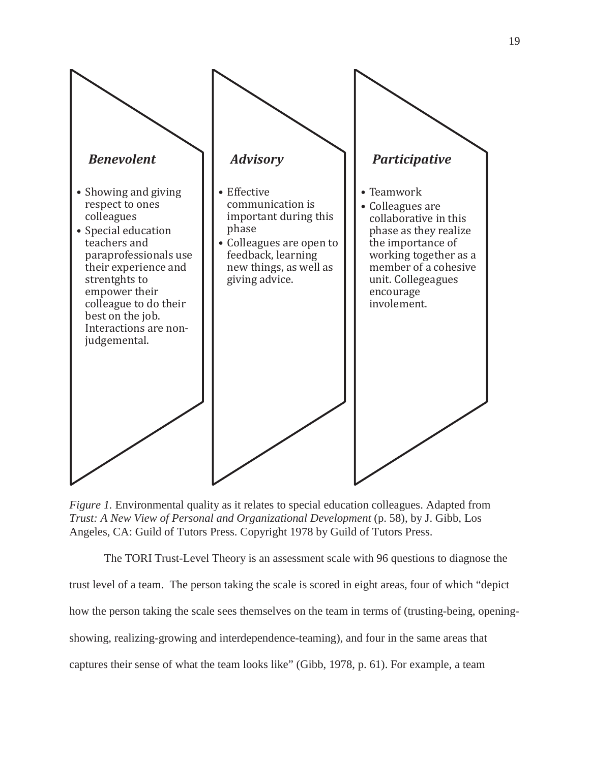

*Figure 1.* Environmental quality as it relates to special education colleagues. Adapted from *Trust: A New View of Personal and Organizational Development* (p. 58), by J. Gibb, Los Angeles, CA: Guild of Tutors Press. Copyright 1978 by Guild of Tutors Press.

The TORI Trust-Level Theory is an assessment scale with 96 questions to diagnose the trust level of a team. The person taking the scale is scored in eight areas, four of which "depict how the person taking the scale sees themselves on the team in terms of (trusting-being, openingshowing, realizing-growing and interdependence-teaming), and four in the same areas that captures their sense of what the team looks like" (Gibb, 1978, p. 61). For example, a team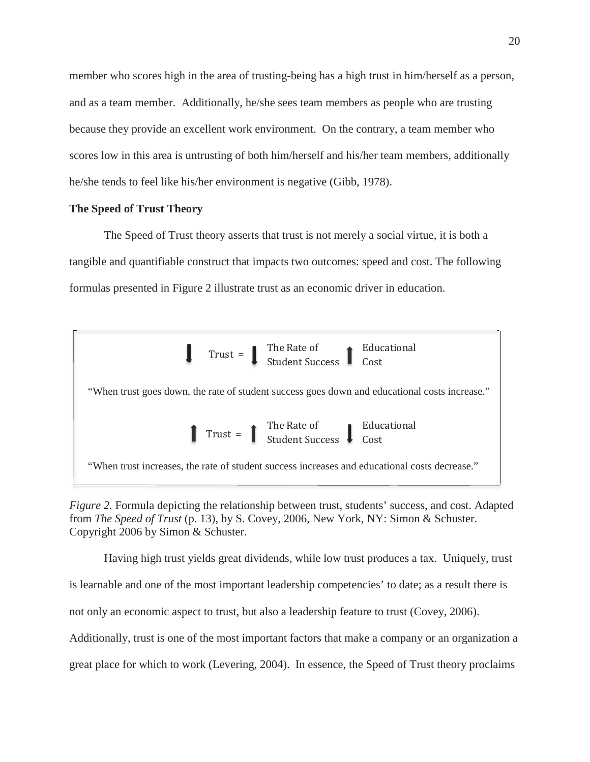member who scores high in the area of trusting-being has a high trust in him/herself as a person, and as a team member. Additionally, he/she sees team members as people who are trusting because they provide an excellent work environment. On the contrary, a team member who scores low in this area is untrusting of both him/herself and his/her team members, additionally he/she tends to feel like his/her environment is negative (Gibb, 1978).

## **The Speed of Trust Theory**

The Speed of Trust theory asserts that trust is not merely a social virtue, it is both a tangible and quantifiable construct that impacts two outcomes: speed and cost. The following formulas presented in Figure 2 illustrate trust as an economic driver in education.



*Figure 2.* Formula depicting the relationship between trust, students' success, and cost. Adapted from *The Speed of Trust* (p. 13), by S. Covey, 2006, New York, NY: Simon & Schuster. Copyright 2006 by Simon & Schuster.

Having high trust yields great dividends, while low trust produces a tax. Uniquely, trust is learnable and one of the most important leadership competencies' to date; as a result there is not only an economic aspect to trust, but also a leadership feature to trust (Covey, 2006). Additionally, trust is one of the most important factors that make a company or an organization a great place for which to work (Levering, 2004). In essence, the Speed of Trust theory proclaims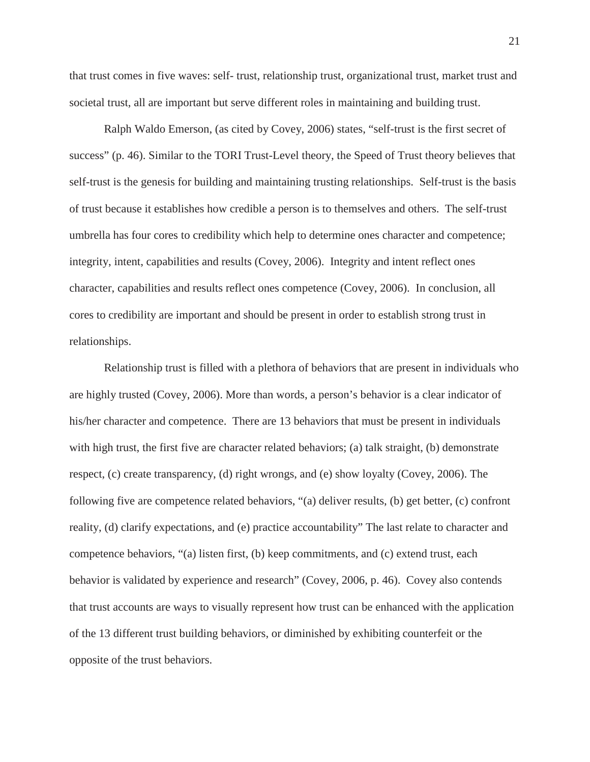that trust comes in five waves: self- trust, relationship trust, organizational trust, market trust and societal trust, all are important but serve different roles in maintaining and building trust.

Ralph Waldo Emerson, (as cited by Covey, 2006) states, "self-trust is the first secret of success" (p. 46). Similar to the TORI Trust-Level theory, the Speed of Trust theory believes that self-trust is the genesis for building and maintaining trusting relationships. Self-trust is the basis of trust because it establishes how credible a person is to themselves and others. The self-trust umbrella has four cores to credibility which help to determine ones character and competence; integrity, intent, capabilities and results (Covey, 2006). Integrity and intent reflect ones character, capabilities and results reflect ones competence (Covey, 2006). In conclusion, all cores to credibility are important and should be present in order to establish strong trust in relationships.

Relationship trust is filled with a plethora of behaviors that are present in individuals who are highly trusted (Covey, 2006). More than words, a person's behavior is a clear indicator of his/her character and competence. There are 13 behaviors that must be present in individuals with high trust, the first five are character related behaviors; (a) talk straight, (b) demonstrate respect, (c) create transparency, (d) right wrongs, and (e) show loyalty (Covey, 2006). The following five are competence related behaviors, "(a) deliver results, (b) get better, (c) confront reality, (d) clarify expectations, and (e) practice accountability" The last relate to character and competence behaviors, "(a) listen first, (b) keep commitments, and (c) extend trust, each behavior is validated by experience and research" (Covey, 2006, p. 46). Covey also contends that trust accounts are ways to visually represent how trust can be enhanced with the application of the 13 different trust building behaviors, or diminished by exhibiting counterfeit or the opposite of the trust behaviors.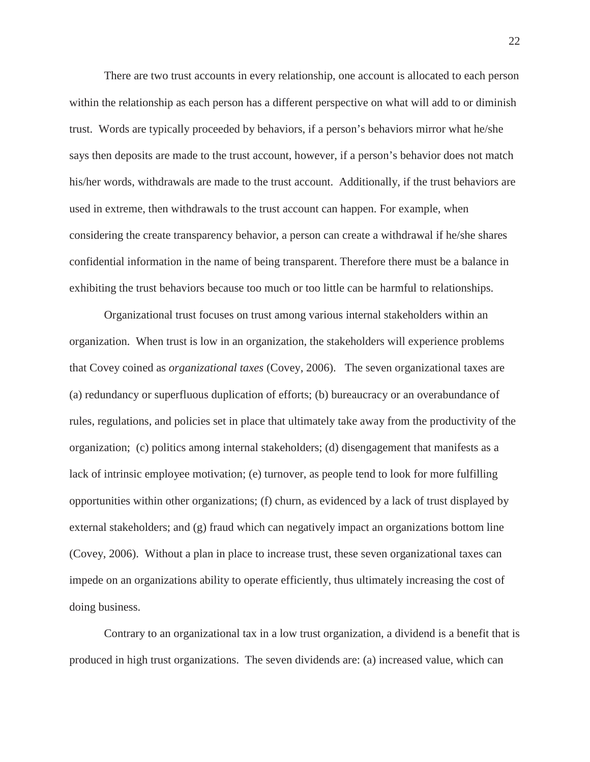There are two trust accounts in every relationship, one account is allocated to each person within the relationship as each person has a different perspective on what will add to or diminish trust. Words are typically proceeded by behaviors, if a person's behaviors mirror what he/she says then deposits are made to the trust account, however, if a person's behavior does not match his/her words, withdrawals are made to the trust account. Additionally, if the trust behaviors are used in extreme, then withdrawals to the trust account can happen. For example, when considering the create transparency behavior, a person can create a withdrawal if he/she shares confidential information in the name of being transparent. Therefore there must be a balance in exhibiting the trust behaviors because too much or too little can be harmful to relationships.

Organizational trust focuses on trust among various internal stakeholders within an organization. When trust is low in an organization, the stakeholders will experience problems that Covey coined as *organizational taxes* (Covey, 2006). The seven organizational taxes are (a) redundancy or superfluous duplication of efforts; (b) bureaucracy or an overabundance of rules, regulations, and policies set in place that ultimately take away from the productivity of the organization; (c) politics among internal stakeholders; (d) disengagement that manifests as a lack of intrinsic employee motivation; (e) turnover, as people tend to look for more fulfilling opportunities within other organizations; (f) churn, as evidenced by a lack of trust displayed by external stakeholders; and (g) fraud which can negatively impact an organizations bottom line (Covey, 2006). Without a plan in place to increase trust, these seven organizational taxes can impede on an organizations ability to operate efficiently, thus ultimately increasing the cost of doing business.

Contrary to an organizational tax in a low trust organization, a dividend is a benefit that is produced in high trust organizations. The seven dividends are: (a) increased value, which can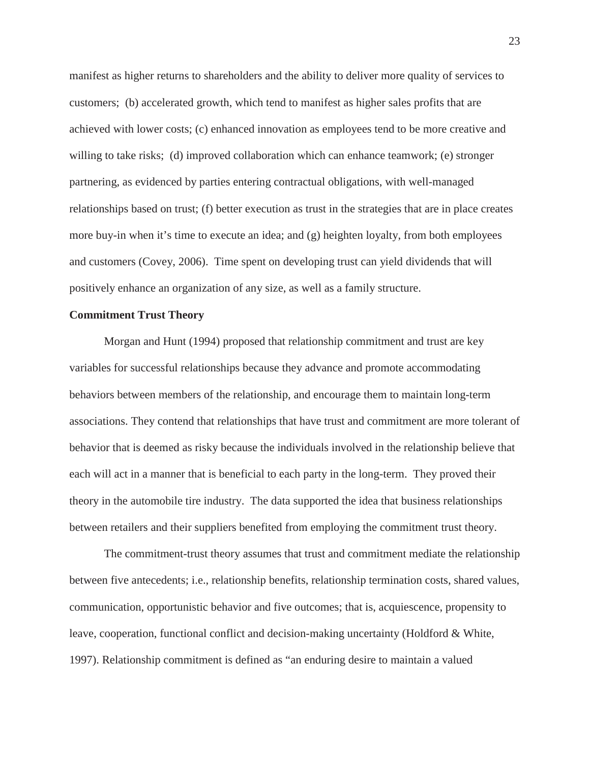manifest as higher returns to shareholders and the ability to deliver more quality of services to customers; (b) accelerated growth, which tend to manifest as higher sales profits that are achieved with lower costs; (c) enhanced innovation as employees tend to be more creative and willing to take risks; (d) improved collaboration which can enhance teamwork; (e) stronger partnering, as evidenced by parties entering contractual obligations, with well-managed relationships based on trust; (f) better execution as trust in the strategies that are in place creates more buy-in when it's time to execute an idea; and (g) heighten loyalty, from both employees and customers (Covey, 2006). Time spent on developing trust can yield dividends that will positively enhance an organization of any size, as well as a family structure.

# **Commitment Trust Theory**

Morgan and Hunt (1994) proposed that relationship commitment and trust are key variables for successful relationships because they advance and promote accommodating behaviors between members of the relationship, and encourage them to maintain long-term associations. They contend that relationships that have trust and commitment are more tolerant of behavior that is deemed as risky because the individuals involved in the relationship believe that each will act in a manner that is beneficial to each party in the long-term. They proved their theory in the automobile tire industry. The data supported the idea that business relationships between retailers and their suppliers benefited from employing the commitment trust theory.

The commitment-trust theory assumes that trust and commitment mediate the relationship between five antecedents; i.e., relationship benefits, relationship termination costs, shared values, communication, opportunistic behavior and five outcomes; that is, acquiescence, propensity to leave, cooperation, functional conflict and decision-making uncertainty (Holdford & White, 1997). Relationship commitment is defined as "an enduring desire to maintain a valued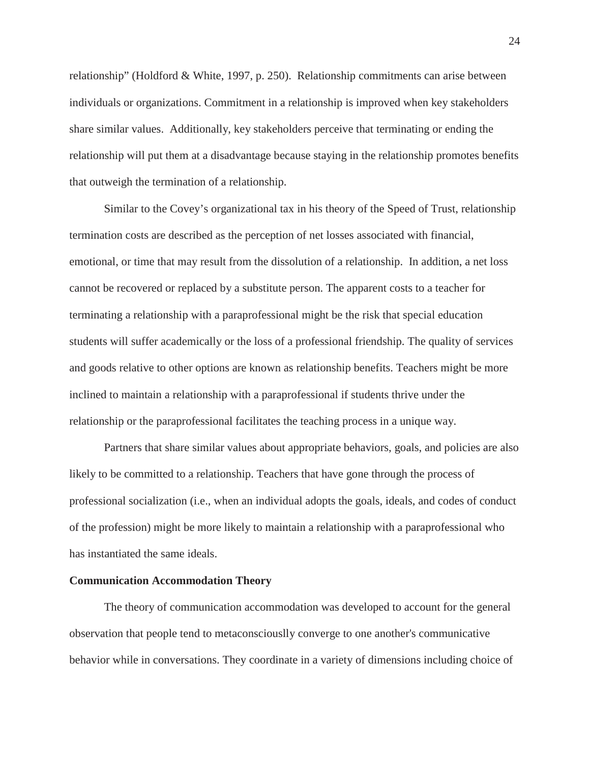relationship" (Holdford & White, 1997, p. 250). Relationship commitments can arise between individuals or organizations. Commitment in a relationship is improved when key stakeholders share similar values. Additionally, key stakeholders perceive that terminating or ending the relationship will put them at a disadvantage because staying in the relationship promotes benefits that outweigh the termination of a relationship.

Similar to the Covey's organizational tax in his theory of the Speed of Trust, relationship termination costs are described as the perception of net losses associated with financial, emotional, or time that may result from the dissolution of a relationship. In addition, a net loss cannot be recovered or replaced by a substitute person. The apparent costs to a teacher for terminating a relationship with a paraprofessional might be the risk that special education students will suffer academically or the loss of a professional friendship. The quality of services and goods relative to other options are known as relationship benefits. Teachers might be more inclined to maintain a relationship with a paraprofessional if students thrive under the relationship or the paraprofessional facilitates the teaching process in a unique way.

Partners that share similar values about appropriate behaviors, goals, and policies are also likely to be committed to a relationship. Teachers that have gone through the process of professional socialization (i.e., when an individual adopts the goals, ideals, and codes of conduct of the profession) might be more likely to maintain a relationship with a paraprofessional who has instantiated the same ideals.

#### **Communication Accommodation Theory**

The theory of communication accommodation was developed to account for the general observation that people tend to metaconsciouslly converge to one another's communicative behavior while in conversations. They coordinate in a variety of dimensions including choice of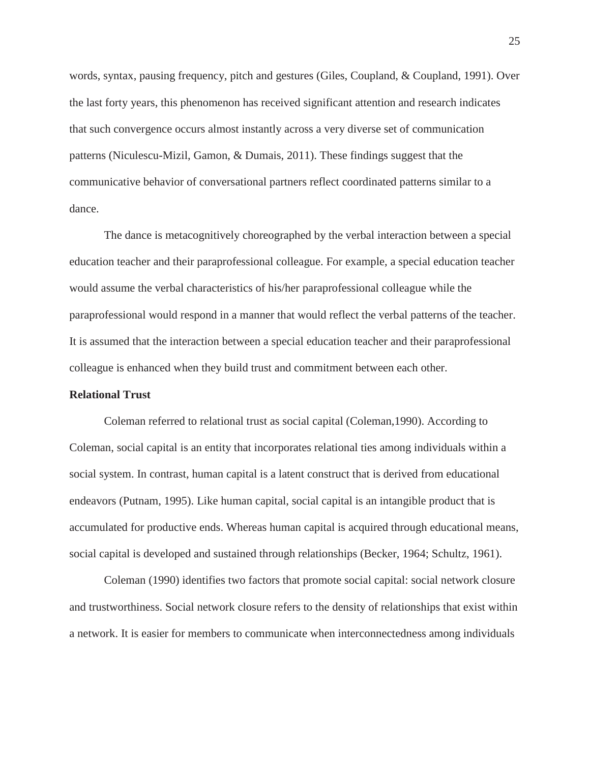words, syntax, pausing frequency, pitch and gestures (Giles, Coupland, & Coupland, 1991). Over the last forty years, this phenomenon has received significant attention and research indicates that such convergence occurs almost instantly across a very diverse set of communication patterns (Niculescu-Mizil, Gamon, & Dumais, 2011). These findings suggest that the communicative behavior of conversational partners reflect coordinated patterns similar to a dance.

The dance is metacognitively choreographed by the verbal interaction between a special education teacher and their paraprofessional colleague. For example, a special education teacher would assume the verbal characteristics of his/her paraprofessional colleague while the paraprofessional would respond in a manner that would reflect the verbal patterns of the teacher. It is assumed that the interaction between a special education teacher and their paraprofessional colleague is enhanced when they build trust and commitment between each other.

#### **Relational Trust**

Coleman referred to relational trust as social capital (Coleman,1990). According to Coleman, social capital is an entity that incorporates relational ties among individuals within a social system. In contrast, human capital is a latent construct that is derived from educational endeavors (Putnam, 1995). Like human capital, social capital is an intangible product that is accumulated for productive ends. Whereas human capital is acquired through educational means, social capital is developed and sustained through relationships (Becker, 1964; Schultz, 1961).

Coleman (1990) identifies two factors that promote social capital: social network closure and trustworthiness. Social network closure refers to the density of relationships that exist within a network. It is easier for members to communicate when interconnectedness among individuals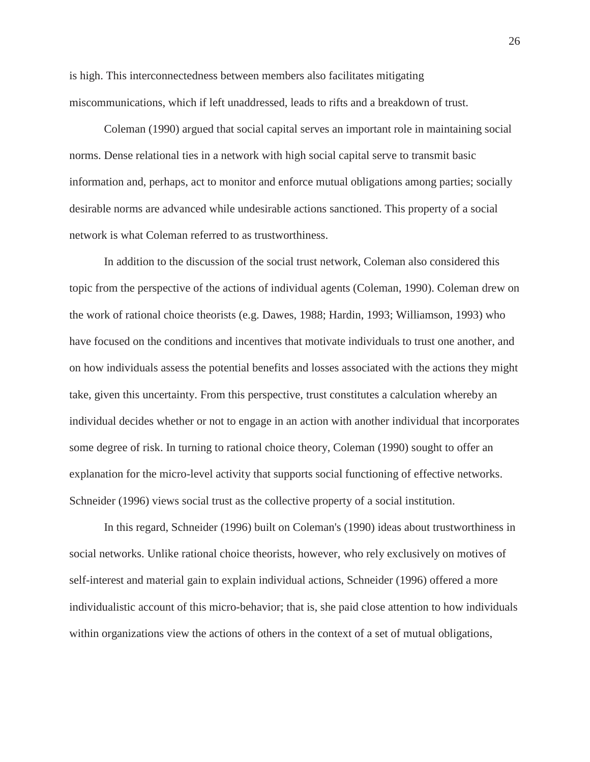is high. This interconnectedness between members also facilitates mitigating miscommunications, which if left unaddressed, leads to rifts and a breakdown of trust.

Coleman (1990) argued that social capital serves an important role in maintaining social norms. Dense relational ties in a network with high social capital serve to transmit basic information and, perhaps, act to monitor and enforce mutual obligations among parties; socially desirable norms are advanced while undesirable actions sanctioned. This property of a social network is what Coleman referred to as trustworthiness.

In addition to the discussion of the social trust network, Coleman also considered this topic from the perspective of the actions of individual agents (Coleman, 1990). Coleman drew on the work of rational choice theorists (e.g. Dawes, 1988; Hardin, 1993; Williamson, 1993) who have focused on the conditions and incentives that motivate individuals to trust one another, and on how individuals assess the potential benefits and losses associated with the actions they might take, given this uncertainty. From this perspective, trust constitutes a calculation whereby an individual decides whether or not to engage in an action with another individual that incorporates some degree of risk. In turning to rational choice theory, Coleman (1990) sought to offer an explanation for the micro-level activity that supports social functioning of effective networks. Schneider (1996) views social trust as the collective property of a social institution.

In this regard, Schneider (1996) built on Coleman's (1990) ideas about trustworthiness in social networks. Unlike rational choice theorists, however, who rely exclusively on motives of self-interest and material gain to explain individual actions, Schneider (1996) offered a more individualistic account of this micro-behavior; that is, she paid close attention to how individuals within organizations view the actions of others in the context of a set of mutual obligations,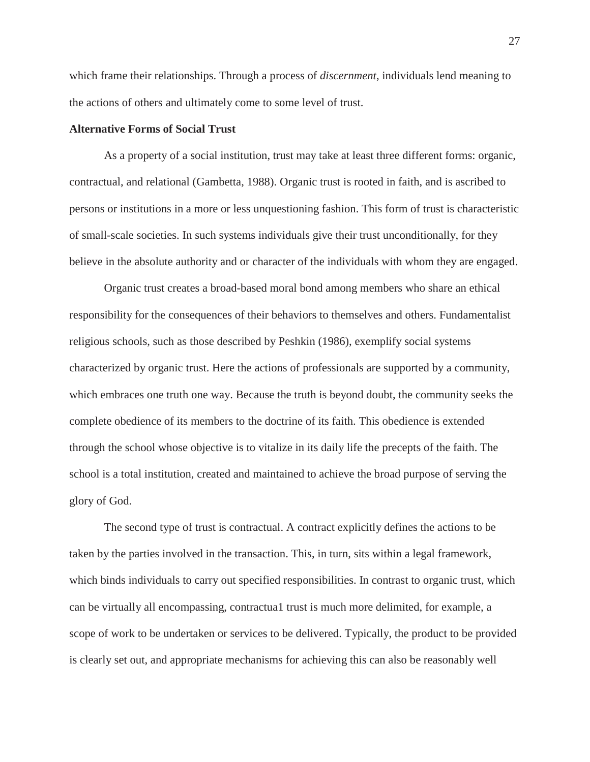which frame their relationships. Through a process of *discernment*, individuals lend meaning to the actions of others and ultimately come to some level of trust.

# **Alternative Forms of Social Trust**

As a property of a social institution, trust may take at least three different forms: organic, contractual, and relational (Gambetta, 1988). Organic trust is rooted in faith, and is ascribed to persons or institutions in a more or less unquestioning fashion. This form of trust is characteristic of small-scale societies. In such systems individuals give their trust unconditionally, for they believe in the absolute authority and or character of the individuals with whom they are engaged.

Organic trust creates a broad-based moral bond among members who share an ethical responsibility for the consequences of their behaviors to themselves and others. Fundamentalist religious schools, such as those described by Peshkin (1986), exemplify social systems characterized by organic trust. Here the actions of professionals are supported by a community, which embraces one truth one way. Because the truth is beyond doubt, the community seeks the complete obedience of its members to the doctrine of its faith. This obedience is extended through the school whose objective is to vitalize in its daily life the precepts of the faith. The school is a total institution, created and maintained to achieve the broad purpose of serving the glory of God.

The second type of trust is contractual. A contract explicitly defines the actions to be taken by the parties involved in the transaction. This, in turn, sits within a legal framework, which binds individuals to carry out specified responsibilities. In contrast to organic trust, which can be virtually all encompassing, contractua1 trust is much more delimited, for example, a scope of work to be undertaken or services to be delivered. Typically, the product to be provided is clearly set out, and appropriate mechanisms for achieving this can also be reasonably well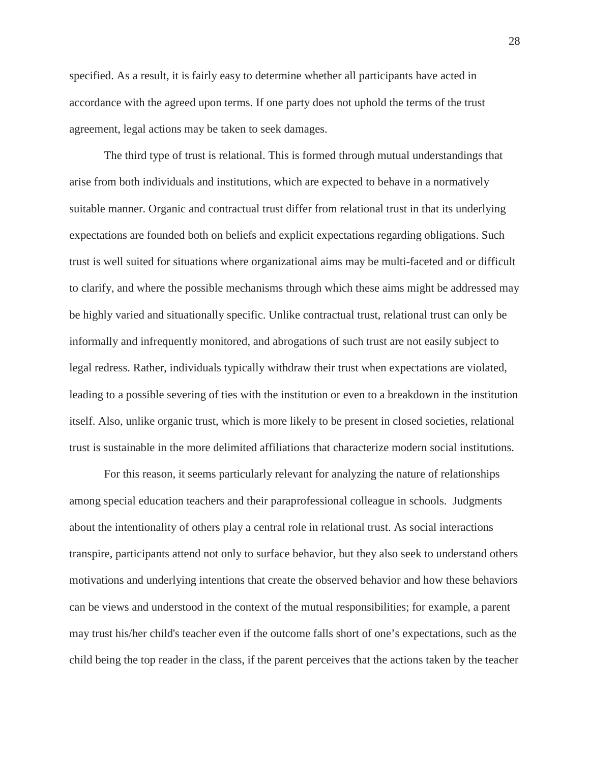specified. As a result, it is fairly easy to determine whether all participants have acted in accordance with the agreed upon terms. If one party does not uphold the terms of the trust agreement, legal actions may be taken to seek damages.

The third type of trust is relational. This is formed through mutual understandings that arise from both individuals and institutions, which are expected to behave in a normatively suitable manner. Organic and contractual trust differ from relational trust in that its underlying expectations are founded both on beliefs and explicit expectations regarding obligations. Such trust is well suited for situations where organizational aims may be multi-faceted and or difficult to clarify, and where the possible mechanisms through which these aims might be addressed may be highly varied and situationally specific. Unlike contractual trust, relational trust can only be informally and infrequently monitored, and abrogations of such trust are not easily subject to legal redress. Rather, individuals typically withdraw their trust when expectations are violated, leading to a possible severing of ties with the institution or even to a breakdown in the institution itself. Also, unlike organic trust, which is more likely to be present in closed societies, relational trust is sustainable in the more delimited affiliations that characterize modern social institutions.

For this reason, it seems particularly relevant for analyzing the nature of relationships among special education teachers and their paraprofessional colleague in schools. Judgments about the intentionality of others play a central role in relational trust. As social interactions transpire, participants attend not only to surface behavior, but they also seek to understand others motivations and underlying intentions that create the observed behavior and how these behaviors can be views and understood in the context of the mutual responsibilities; for example, a parent may trust his/her child's teacher even if the outcome falls short of one's expectations, such as the child being the top reader in the class, if the parent perceives that the actions taken by the teacher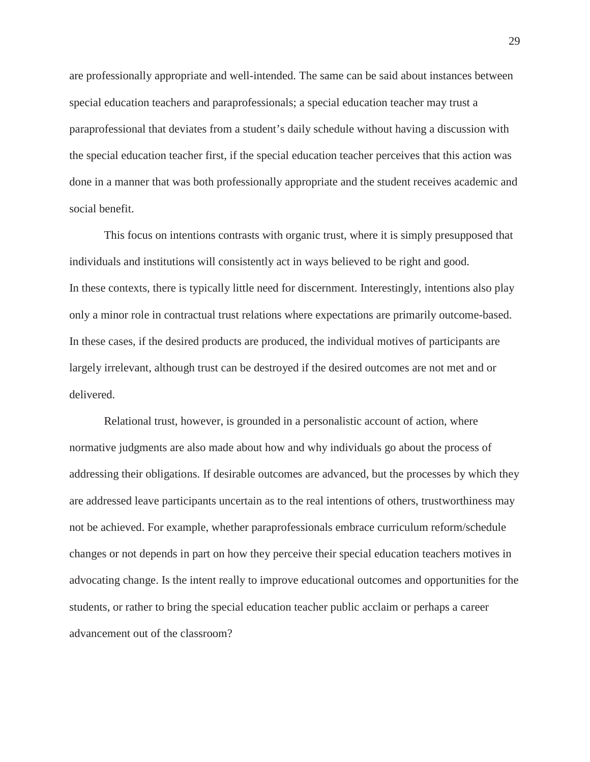are professionally appropriate and well-intended. The same can be said about instances between special education teachers and paraprofessionals; a special education teacher may trust a paraprofessional that deviates from a student's daily schedule without having a discussion with the special education teacher first, if the special education teacher perceives that this action was done in a manner that was both professionally appropriate and the student receives academic and social benefit.

This focus on intentions contrasts with organic trust, where it is simply presupposed that individuals and institutions will consistently act in ways believed to be right and good. In these contexts, there is typically little need for discernment. Interestingly, intentions also play only a minor role in contractual trust relations where expectations are primarily outcome-based. In these cases, if the desired products are produced, the individual motives of participants are largely irrelevant, although trust can be destroyed if the desired outcomes are not met and or delivered.

Relational trust, however, is grounded in a personalistic account of action, where normative judgments are also made about how and why individuals go about the process of addressing their obligations. If desirable outcomes are advanced, but the processes by which they are addressed leave participants uncertain as to the real intentions of others, trustworthiness may not be achieved. For example, whether paraprofessionals embrace curriculum reform/schedule changes or not depends in part on how they perceive their special education teachers motives in advocating change. Is the intent really to improve educational outcomes and opportunities for the students, or rather to bring the special education teacher public acclaim or perhaps a career advancement out of the classroom?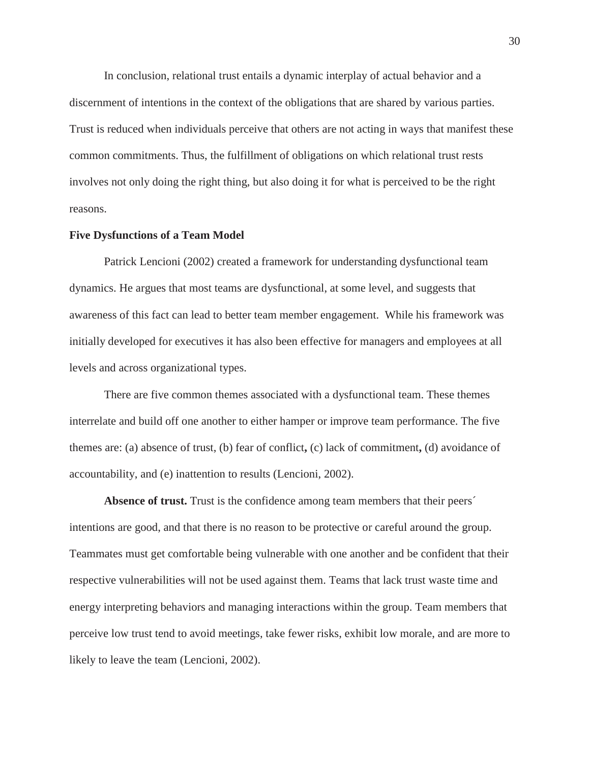In conclusion, relational trust entails a dynamic interplay of actual behavior and a discernment of intentions in the context of the obligations that are shared by various parties. Trust is reduced when individuals perceive that others are not acting in ways that manifest these common commitments. Thus, the fulfillment of obligations on which relational trust rests involves not only doing the right thing, but also doing it for what is perceived to be the right reasons.

#### **Five Dysfunctions of a Team Model**

Patrick Lencioni (2002) created a framework for understanding dysfunctional team dynamics. He argues that most teams are dysfunctional, at some level, and suggests that awareness of this fact can lead to better team member engagement. While his framework was initially developed for executives it has also been effective for managers and employees at all levels and across organizational types.

There are five common themes associated with a dysfunctional team. These themes interrelate and build off one another to either hamper or improve team performance. The five themes are: (a) absence of trust, (b) fear of conflict**,** (c) lack of commitment**,** (d) avoidance of accountability, and (e) inattention to results (Lencioni, 2002).

**Absence of trust.** Trust is the confidence among team members that their peers´ intentions are good, and that there is no reason to be protective or careful around the group. Teammates must get comfortable being vulnerable with one another and be confident that their respective vulnerabilities will not be used against them. Teams that lack trust waste time and energy interpreting behaviors and managing interactions within the group. Team members that perceive low trust tend to avoid meetings, take fewer risks, exhibit low morale, and are more to likely to leave the team (Lencioni, 2002).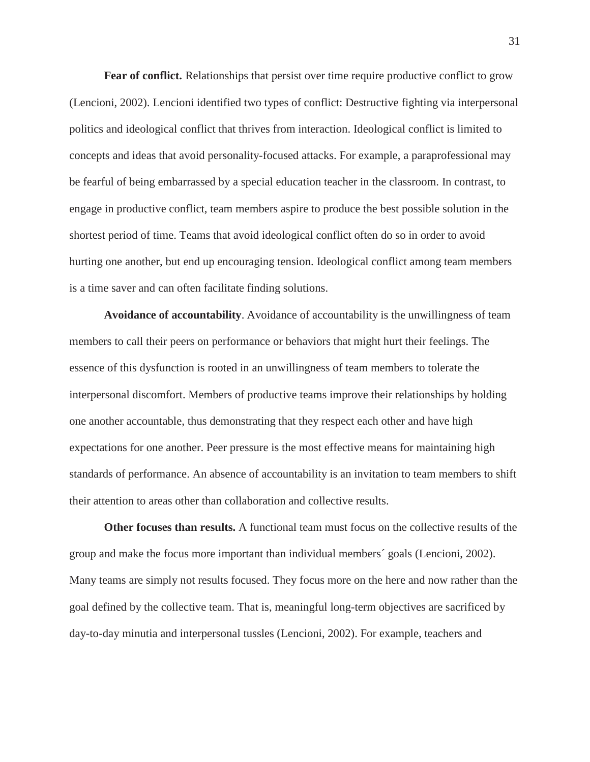**Fear of conflict.** Relationships that persist over time require productive conflict to grow (Lencioni, 2002). Lencioni identified two types of conflict: Destructive fighting via interpersonal politics and ideological conflict that thrives from interaction. Ideological conflict is limited to concepts and ideas that avoid personality-focused attacks. For example, a paraprofessional may be fearful of being embarrassed by a special education teacher in the classroom. In contrast, to engage in productive conflict, team members aspire to produce the best possible solution in the shortest period of time. Teams that avoid ideological conflict often do so in order to avoid hurting one another, but end up encouraging tension. Ideological conflict among team members is a time saver and can often facilitate finding solutions.

**Avoidance of accountability**. Avoidance of accountability is the unwillingness of team members to call their peers on performance or behaviors that might hurt their feelings. The essence of this dysfunction is rooted in an unwillingness of team members to tolerate the interpersonal discomfort. Members of productive teams improve their relationships by holding one another accountable, thus demonstrating that they respect each other and have high expectations for one another. Peer pressure is the most effective means for maintaining high standards of performance. An absence of accountability is an invitation to team members to shift their attention to areas other than collaboration and collective results.

**Other focuses than results.** A functional team must focus on the collective results of the group and make the focus more important than individual members´ goals (Lencioni, 2002). Many teams are simply not results focused. They focus more on the here and now rather than the goal defined by the collective team. That is, meaningful long-term objectives are sacrificed by day-to-day minutia and interpersonal tussles (Lencioni, 2002). For example, teachers and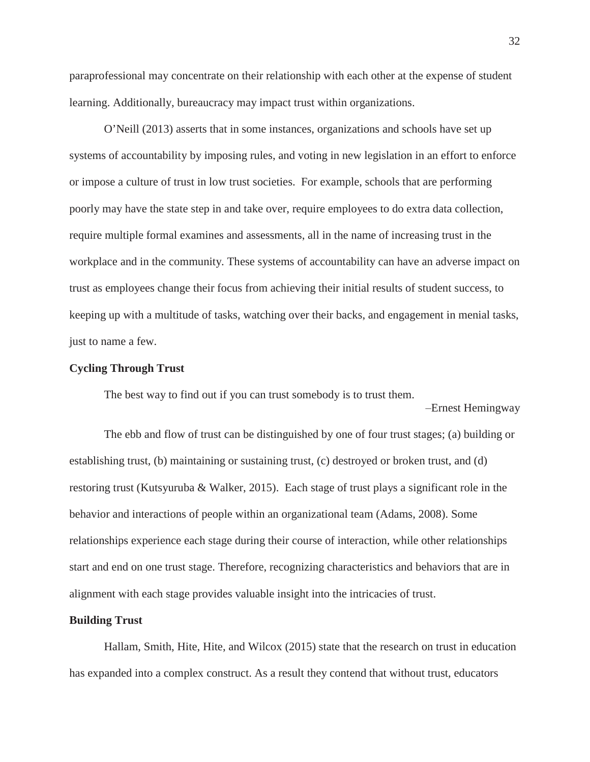paraprofessional may concentrate on their relationship with each other at the expense of student learning. Additionally, bureaucracy may impact trust within organizations.

O'Neill (2013) asserts that in some instances, organizations and schools have set up systems of accountability by imposing rules, and voting in new legislation in an effort to enforce or impose a culture of trust in low trust societies. For example, schools that are performing poorly may have the state step in and take over, require employees to do extra data collection, require multiple formal examines and assessments, all in the name of increasing trust in the workplace and in the community. These systems of accountability can have an adverse impact on trust as employees change their focus from achieving their initial results of student success, to keeping up with a multitude of tasks, watching over their backs, and engagement in menial tasks, just to name a few.

# **Cycling Through Trust**

The best way to find out if you can trust somebody is to trust them.

Ernest Hemingway

The ebb and flow of trust can be distinguished by one of four trust stages; (a) building or establishing trust, (b) maintaining or sustaining trust, (c) destroyed or broken trust, and (d) restoring trust (Kutsyuruba & Walker, 2015). Each stage of trust plays a significant role in the behavior and interactions of people within an organizational team (Adams, 2008). Some relationships experience each stage during their course of interaction, while other relationships start and end on one trust stage. Therefore, recognizing characteristics and behaviors that are in alignment with each stage provides valuable insight into the intricacies of trust.

#### **Building Trust**

Hallam, Smith, Hite, Hite, and Wilcox (2015) state that the research on trust in education has expanded into a complex construct. As a result they contend that without trust, educators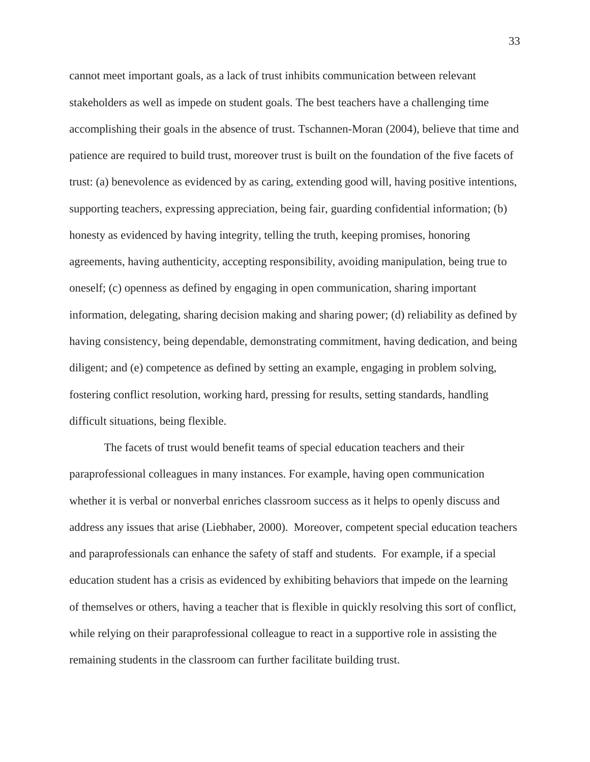cannot meet important goals, as a lack of trust inhibits communication between relevant stakeholders as well as impede on student goals. The best teachers have a challenging time accomplishing their goals in the absence of trust. Tschannen-Moran (2004), believe that time and patience are required to build trust, moreover trust is built on the foundation of the five facets of trust: (a) benevolence as evidenced by as caring, extending good will, having positive intentions, supporting teachers, expressing appreciation, being fair, guarding confidential information; (b) honesty as evidenced by having integrity, telling the truth, keeping promises, honoring agreements, having authenticity, accepting responsibility, avoiding manipulation, being true to oneself; (c) openness as defined by engaging in open communication, sharing important information, delegating, sharing decision making and sharing power; (d) reliability as defined by having consistency, being dependable, demonstrating commitment, having dedication, and being diligent; and (e) competence as defined by setting an example, engaging in problem solving, fostering conflict resolution, working hard, pressing for results, setting standards, handling difficult situations, being flexible.

The facets of trust would benefit teams of special education teachers and their paraprofessional colleagues in many instances. For example, having open communication whether it is verbal or nonverbal enriches classroom success as it helps to openly discuss and address any issues that arise (Liebhaber, 2000). Moreover, competent special education teachers and paraprofessionals can enhance the safety of staff and students. For example, if a special education student has a crisis as evidenced by exhibiting behaviors that impede on the learning of themselves or others, having a teacher that is flexible in quickly resolving this sort of conflict, while relying on their paraprofessional colleague to react in a supportive role in assisting the remaining students in the classroom can further facilitate building trust.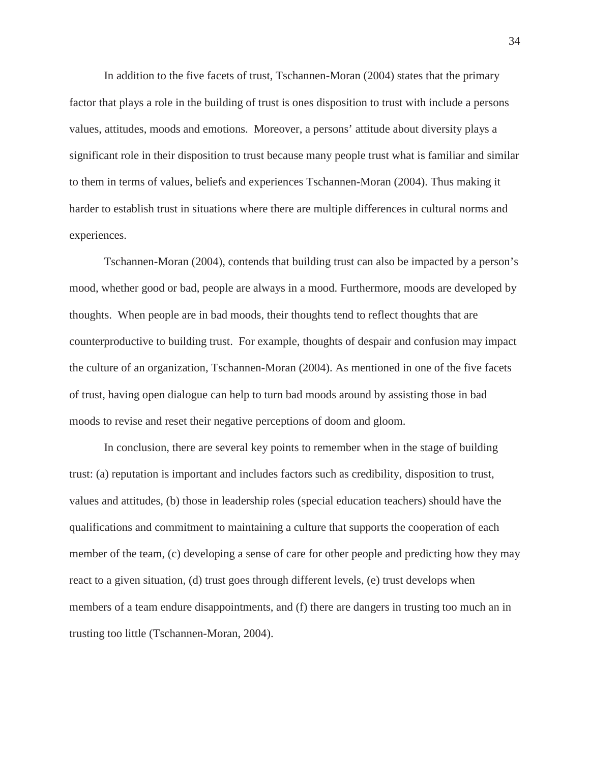In addition to the five facets of trust, Tschannen-Moran (2004) states that the primary factor that plays a role in the building of trust is ones disposition to trust with include a persons values, attitudes, moods and emotions. Moreover, a persons' attitude about diversity plays a significant role in their disposition to trust because many people trust what is familiar and similar to them in terms of values, beliefs and experiences Tschannen-Moran (2004). Thus making it harder to establish trust in situations where there are multiple differences in cultural norms and experiences.

Tschannen-Moran (2004), contends that building trust can also be impacted by a person's mood, whether good or bad, people are always in a mood. Furthermore, moods are developed by thoughts. When people are in bad moods, their thoughts tend to reflect thoughts that are counterproductive to building trust. For example, thoughts of despair and confusion may impact the culture of an organization, Tschannen-Moran (2004). As mentioned in one of the five facets of trust, having open dialogue can help to turn bad moods around by assisting those in bad moods to revise and reset their negative perceptions of doom and gloom.

In conclusion, there are several key points to remember when in the stage of building trust: (a) reputation is important and includes factors such as credibility, disposition to trust, values and attitudes, (b) those in leadership roles (special education teachers) should have the qualifications and commitment to maintaining a culture that supports the cooperation of each member of the team, (c) developing a sense of care for other people and predicting how they may react to a given situation, (d) trust goes through different levels, (e) trust develops when members of a team endure disappointments, and (f) there are dangers in trusting too much an in trusting too little (Tschannen-Moran, 2004).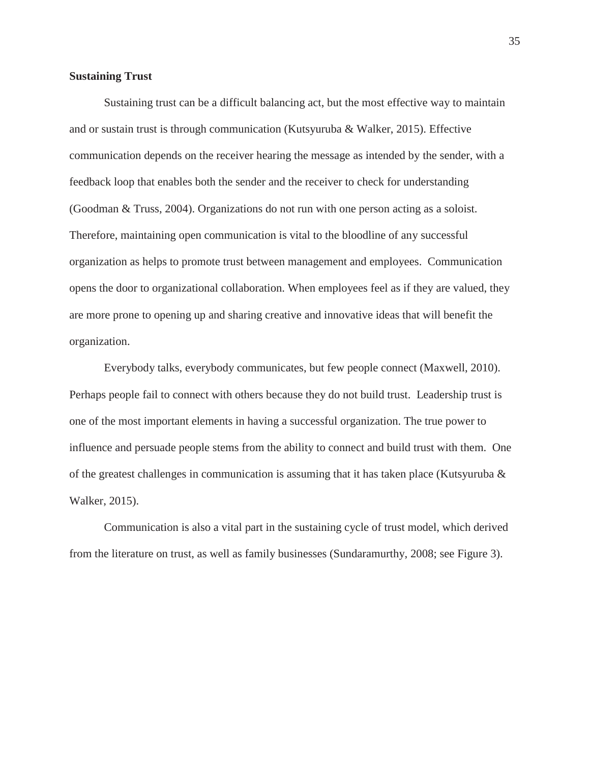### **Sustaining Trust**

Sustaining trust can be a difficult balancing act, but the most effective way to maintain and or sustain trust is through communication (Kutsyuruba & Walker, 2015). Effective communication depends on the receiver hearing the message as intended by the sender, with a feedback loop that enables both the sender and the receiver to check for understanding (Goodman & Truss, 2004). Organizations do not run with one person acting as a soloist. Therefore, maintaining open communication is vital to the bloodline of any successful organization as helps to promote trust between management and employees. Communication opens the door to organizational collaboration. When employees feel as if they are valued, they are more prone to opening up and sharing creative and innovative ideas that will benefit the organization.

Everybody talks, everybody communicates, but few people connect (Maxwell, 2010). Perhaps people fail to connect with others because they do not build trust. Leadership trust is one of the most important elements in having a successful organization. The true power to influence and persuade people stems from the ability to connect and build trust with them. One of the greatest challenges in communication is assuming that it has taken place (Kutsyuruba  $\&$ Walker, 2015).

Communication is also a vital part in the sustaining cycle of trust model, which derived from the literature on trust, as well as family businesses (Sundaramurthy, 2008; see Figure 3).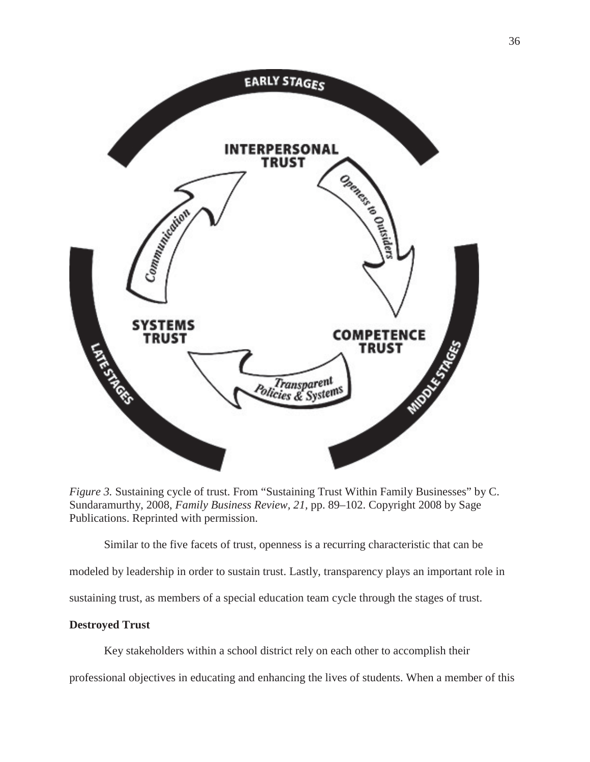

*Figure 3.* Sustaining cycle of trust. From "Sustaining Trust Within Family Businesses" by C. Sundaramurthy, 2008, *Family Business Review, 21,* pp. 89–102. Copyright 2008 by Sage Publications. Reprinted with permission.

Similar to the five facets of trust, openness is a recurring characteristic that can be modeled by leadership in order to sustain trust. Lastly, transparency plays an important role in sustaining trust, as members of a special education team cycle through the stages of trust.

# **Destroyed Trust**

Key stakeholders within a school district rely on each other to accomplish their professional objectives in educating and enhancing the lives of students. When a member of this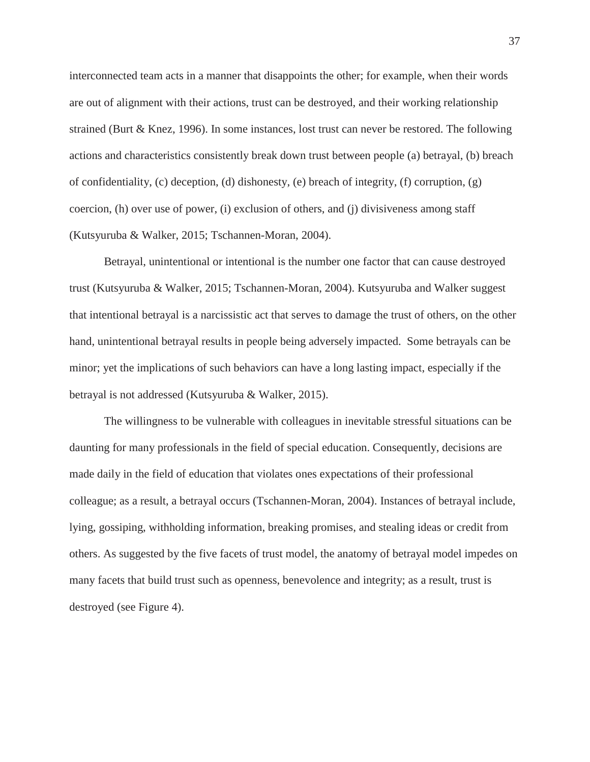interconnected team acts in a manner that disappoints the other; for example, when their words are out of alignment with their actions, trust can be destroyed, and their working relationship strained (Burt & Knez, 1996). In some instances, lost trust can never be restored. The following actions and characteristics consistently break down trust between people (a) betrayal, (b) breach of confidentiality, (c) deception, (d) dishonesty, (e) breach of integrity, (f) corruption,  $(g)$ coercion, (h) over use of power, (i) exclusion of others, and (j) divisiveness among staff (Kutsyuruba & Walker, 2015; Tschannen-Moran, 2004).

Betrayal, unintentional or intentional is the number one factor that can cause destroyed trust (Kutsyuruba & Walker, 2015; Tschannen-Moran, 2004). Kutsyuruba and Walker suggest that intentional betrayal is a narcissistic act that serves to damage the trust of others, on the other hand, unintentional betrayal results in people being adversely impacted. Some betrayals can be minor; yet the implications of such behaviors can have a long lasting impact, especially if the betrayal is not addressed (Kutsyuruba & Walker, 2015).

The willingness to be vulnerable with colleagues in inevitable stressful situations can be daunting for many professionals in the field of special education. Consequently, decisions are made daily in the field of education that violates ones expectations of their professional colleague; as a result, a betrayal occurs (Tschannen-Moran, 2004). Instances of betrayal include, lying, gossiping, withholding information, breaking promises, and stealing ideas or credit from others. As suggested by the five facets of trust model, the anatomy of betrayal model impedes on many facets that build trust such as openness, benevolence and integrity; as a result, trust is destroyed (see Figure 4).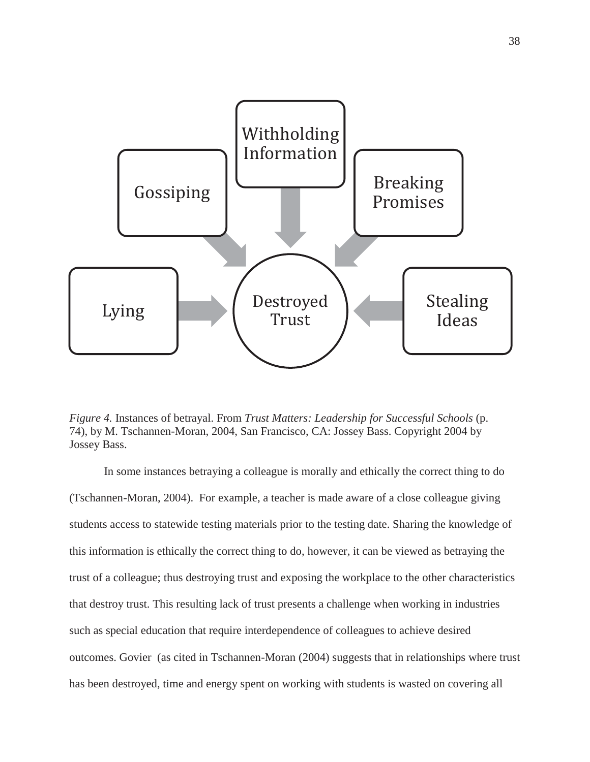

*Figure 4.* Instances of betrayal. From *Trust Matters: Leadership for Successful Schools* (p. 74), by M. Tschannen-Moran, 2004, San Francisco, CA: Jossey Bass. Copyright 2004 by Jossey Bass.

In some instances betraying a colleague is morally and ethically the correct thing to do (Tschannen-Moran, 2004). For example, a teacher is made aware of a close colleague giving students access to statewide testing materials prior to the testing date. Sharing the knowledge of this information is ethically the correct thing to do, however, it can be viewed as betraying the trust of a colleague; thus destroying trust and exposing the workplace to the other characteristics that destroy trust. This resulting lack of trust presents a challenge when working in industries such as special education that require interdependence of colleagues to achieve desired outcomes. Govier (as cited in Tschannen-Moran (2004) suggests that in relationships where trust has been destroyed, time and energy spent on working with students is wasted on covering all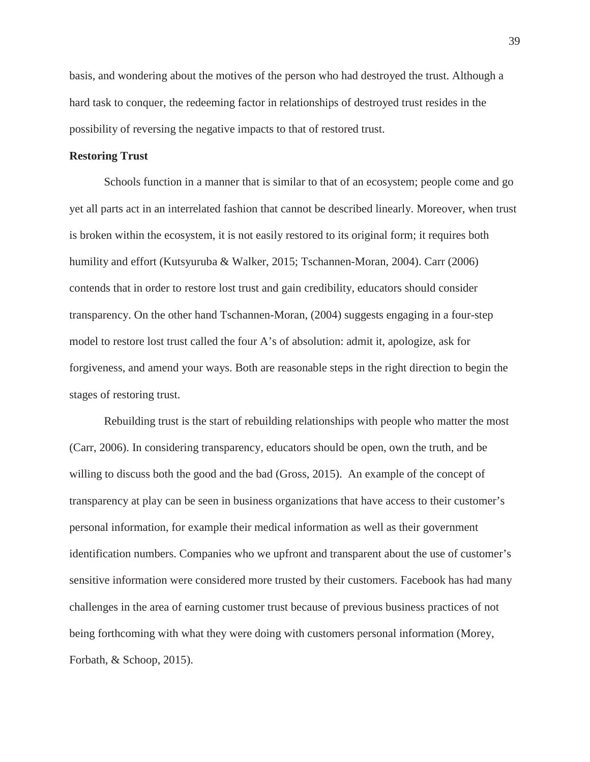basis, and wondering about the motives of the person who had destroyed the trust. Although a hard task to conquer, the redeeming factor in relationships of destroyed trust resides in the possibility of reversing the negative impacts to that of restored trust.

### **Restoring Trust**

Schools function in a manner that is similar to that of an ecosystem; people come and go yet all parts act in an interrelated fashion that cannot be described linearly. Moreover, when trust is broken within the ecosystem, it is not easily restored to its original form; it requires both humility and effort (Kutsyuruba & Walker, 2015; Tschannen-Moran, 2004). Carr (2006) contends that in order to restore lost trust and gain credibility, educators should consider transparency. On the other hand Tschannen-Moran, (2004) suggests engaging in a four-step model to restore lost trust called the four A's of absolution: admit it, apologize, ask for forgiveness, and amend your ways. Both are reasonable steps in the right direction to begin the stages of restoring trust.

Rebuilding trust is the start of rebuilding relationships with people who matter the most (Carr, 2006). In considering transparency, educators should be open, own the truth, and be willing to discuss both the good and the bad (Gross, 2015). An example of the concept of transparency at play can be seen in business organizations that have access to their customer's personal information, for example their medical information as well as their government identification numbers. Companies who we upfront and transparent about the use of customer's sensitive information were considered more trusted by their customers. Facebook has had many challenges in the area of earning customer trust because of previous business practices of not being forthcoming with what they were doing with customers personal information (Morey, Forbath, & Schoop, 2015).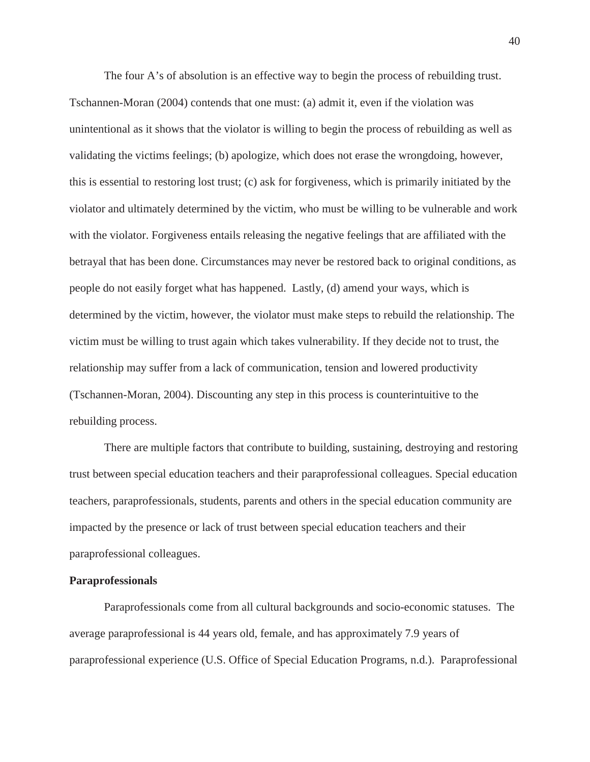The four A's of absolution is an effective way to begin the process of rebuilding trust.

Tschannen-Moran (2004) contends that one must: (a) admit it, even if the violation was unintentional as it shows that the violator is willing to begin the process of rebuilding as well as validating the victims feelings; (b) apologize, which does not erase the wrongdoing, however, this is essential to restoring lost trust; (c) ask for forgiveness, which is primarily initiated by the violator and ultimately determined by the victim, who must be willing to be vulnerable and work with the violator. Forgiveness entails releasing the negative feelings that are affiliated with the betrayal that has been done. Circumstances may never be restored back to original conditions, as people do not easily forget what has happened. Lastly, (d) amend your ways, which is determined by the victim, however, the violator must make steps to rebuild the relationship. The victim must be willing to trust again which takes vulnerability. If they decide not to trust, the relationship may suffer from a lack of communication, tension and lowered productivity (Tschannen-Moran, 2004). Discounting any step in this process is counterintuitive to the rebuilding process.

There are multiple factors that contribute to building, sustaining, destroying and restoring trust between special education teachers and their paraprofessional colleagues. Special education teachers, paraprofessionals, students, parents and others in the special education community are impacted by the presence or lack of trust between special education teachers and their paraprofessional colleagues.

### **Paraprofessionals**

Paraprofessionals come from all cultural backgrounds and socio-economic statuses. The average paraprofessional is 44 years old, female, and has approximately 7.9 years of paraprofessional experience (U.S. Office of Special Education Programs, n.d.). Paraprofessional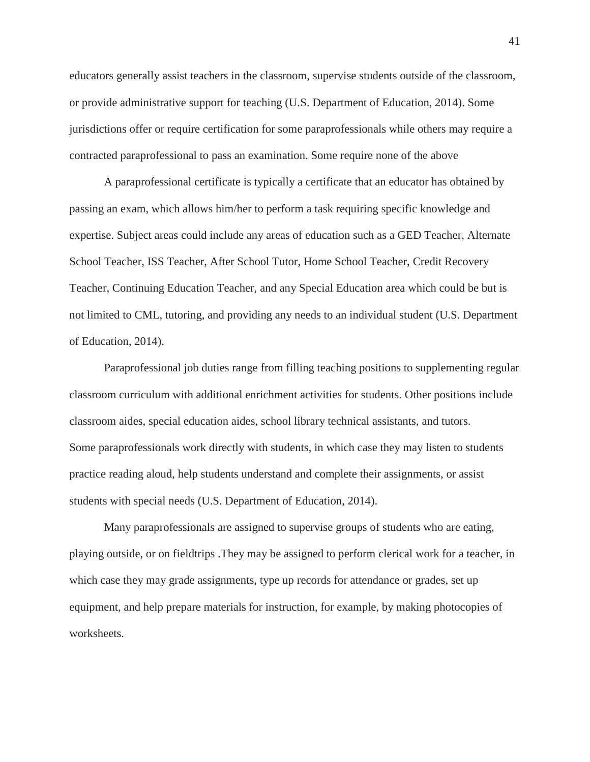educators generally assist teachers in the classroom, supervise students outside of the classroom, or provide administrative support for teaching (U.S. Department of Education, 2014). Some jurisdictions offer or require certification for some paraprofessionals while others may require a contracted paraprofessional to pass an examination. Some require none of the above

A paraprofessional certificate is typically a certificate that an educator has obtained by passing an exam, which allows him/her to perform a task requiring specific knowledge and expertise. Subject areas could include any areas of education such as a GED Teacher, Alternate School Teacher, ISS Teacher, After School Tutor, Home School Teacher, Credit Recovery Teacher, Continuing Education Teacher, and any Special Education area which could be but is not limited to CML, tutoring, and providing any needs to an individual student (U.S. Department of Education, 2014).

Paraprofessional job duties range from filling teaching positions to supplementing regular classroom curriculum with additional enrichment activities for students. Other positions include classroom aides, special education aides, school library technical assistants, and tutors. Some paraprofessionals work directly with students, in which case they may listen to students practice reading aloud, help students understand and complete their assignments, or assist students with special needs (U.S. Department of Education, 2014).

Many paraprofessionals are assigned to supervise groups of students who are eating, playing outside, or on fieldtrips .They may be assigned to perform clerical work for a teacher, in which case they may grade assignments, type up records for attendance or grades, set up equipment, and help prepare materials for instruction, for example, by making photocopies of worksheets.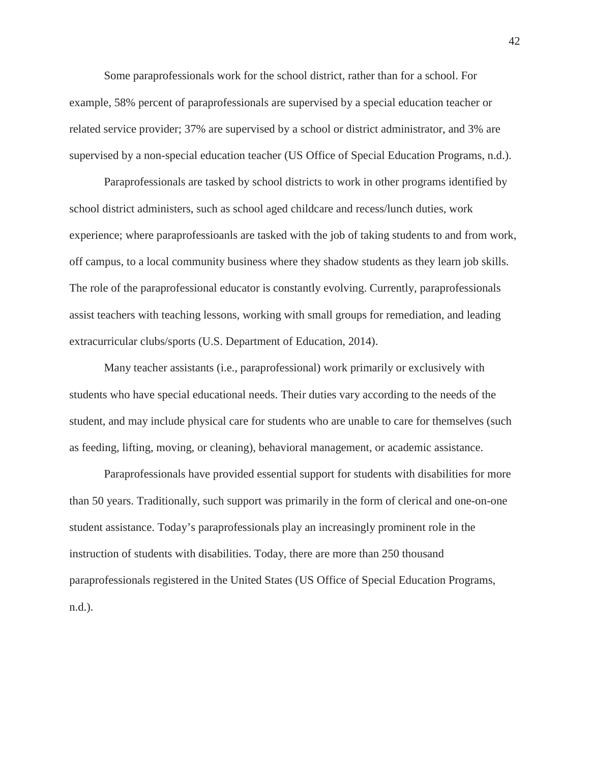Some paraprofessionals work for the school district, rather than for a school. For example, 58% percent of paraprofessionals are supervised by a special education teacher or related service provider; 37% are supervised by a school or district administrator, and 3% are supervised by a non-special education teacher (US Office of Special Education Programs, n.d.).

Paraprofessionals are tasked by school districts to work in other programs identified by school district administers, such as school aged childcare and recess/lunch duties, work experience; where paraprofessioanls are tasked with the job of taking students to and from work, off campus, to a local community business where they shadow students as they learn job skills. The role of the paraprofessional educator is constantly evolving. Currently, paraprofessionals assist teachers with teaching lessons, working with small groups for remediation, and leading extracurricular clubs/sports (U.S. Department of Education, 2014).

Many teacher assistants (i.e., paraprofessional) work primarily or exclusively with students who have special educational needs. Their duties vary according to the needs of the student, and may include physical care for students who are unable to care for themselves (such as feeding, lifting, moving, or cleaning), behavioral management, or academic assistance.

Paraprofessionals have provided essential support for students with disabilities for more than 50 years. Traditionally, such support was primarily in the form of clerical and one-on-one student assistance. Today's paraprofessionals play an increasingly prominent role in the instruction of students with disabilities. Today, there are more than 250 thousand paraprofessionals registered in the United States (US Office of Special Education Programs, n.d.).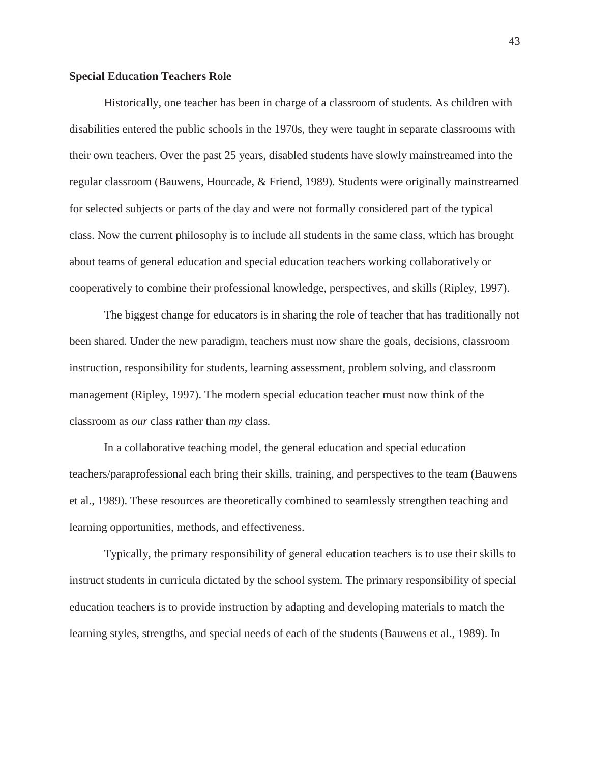# **Special Education Teachers Role**

Historically, one teacher has been in charge of a classroom of students. As children with disabilities entered the public schools in the 1970s, they were taught in separate classrooms with their own teachers. Over the past 25 years, disabled students have slowly mainstreamed into the regular classroom (Bauwens, Hourcade, & Friend, 1989). Students were originally mainstreamed for selected subjects or parts of the day and were not formally considered part of the typical class. Now the current philosophy is to include all students in the same class, which has brought about teams of general education and special education teachers working collaboratively or cooperatively to combine their professional knowledge, perspectives, and skills (Ripley, 1997).

The biggest change for educators is in sharing the role of teacher that has traditionally not been shared. Under the new paradigm, teachers must now share the goals, decisions, classroom instruction, responsibility for students, learning assessment, problem solving, and classroom management (Ripley, 1997). The modern special education teacher must now think of the classroom as *our* class rather than *my* class.

In a collaborative teaching model, the general education and special education teachers/paraprofessional each bring their skills, training, and perspectives to the team (Bauwens et al., 1989). These resources are theoretically combined to seamlessly strengthen teaching and learning opportunities, methods, and effectiveness.

Typically, the primary responsibility of general education teachers is to use their skills to instruct students in curricula dictated by the school system. The primary responsibility of special education teachers is to provide instruction by adapting and developing materials to match the learning styles, strengths, and special needs of each of the students (Bauwens et al., 1989). In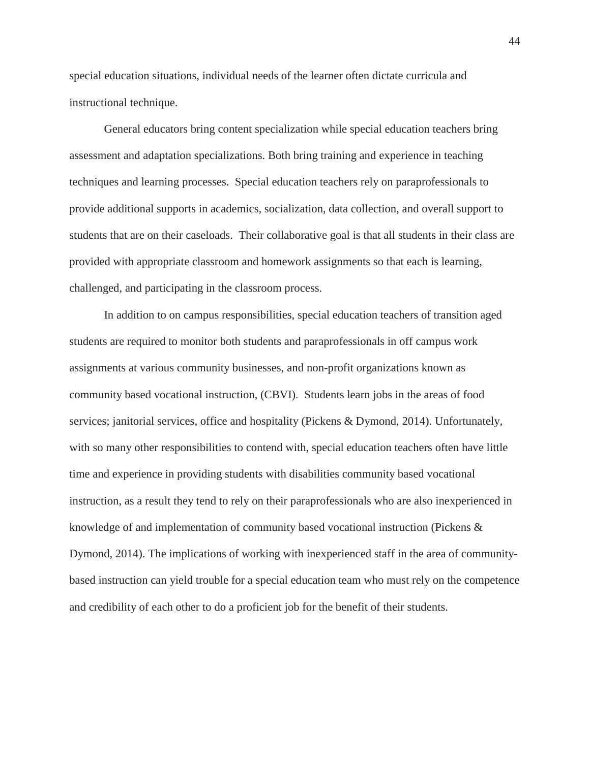special education situations, individual needs of the learner often dictate curricula and instructional technique.

General educators bring content specialization while special education teachers bring assessment and adaptation specializations. Both bring training and experience in teaching techniques and learning processes. Special education teachers rely on paraprofessionals to provide additional supports in academics, socialization, data collection, and overall support to students that are on their caseloads. Their collaborative goal is that all students in their class are provided with appropriate classroom and homework assignments so that each is learning, challenged, and participating in the classroom process.

In addition to on campus responsibilities, special education teachers of transition aged students are required to monitor both students and paraprofessionals in off campus work assignments at various community businesses, and non-profit organizations known as community based vocational instruction, (CBVI). Students learn jobs in the areas of food services; janitorial services, office and hospitality (Pickens & Dymond, 2014). Unfortunately, with so many other responsibilities to contend with, special education teachers often have little time and experience in providing students with disabilities community based vocational instruction, as a result they tend to rely on their paraprofessionals who are also inexperienced in knowledge of and implementation of community based vocational instruction (Pickens & Dymond, 2014). The implications of working with inexperienced staff in the area of communitybased instruction can yield trouble for a special education team who must rely on the competence and credibility of each other to do a proficient job for the benefit of their students.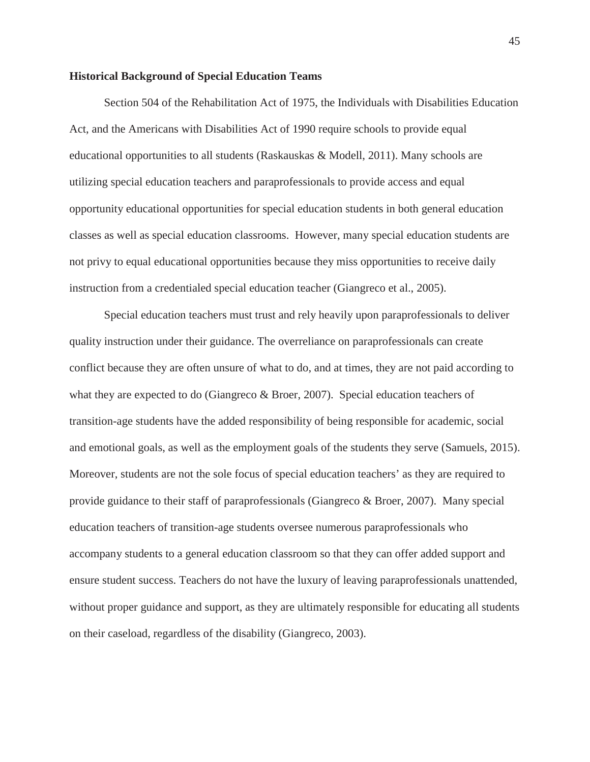### **Historical Background of Special Education Teams**

Section 504 of the Rehabilitation Act of 1975, the Individuals with Disabilities Education Act, and the Americans with Disabilities Act of 1990 require schools to provide equal educational opportunities to all students (Raskauskas & Modell, 2011). Many schools are utilizing special education teachers and paraprofessionals to provide access and equal opportunity educational opportunities for special education students in both general education classes as well as special education classrooms. However, many special education students are not privy to equal educational opportunities because they miss opportunities to receive daily instruction from a credentialed special education teacher (Giangreco et al., 2005).

Special education teachers must trust and rely heavily upon paraprofessionals to deliver quality instruction under their guidance. The overreliance on paraprofessionals can create conflict because they are often unsure of what to do, and at times, they are not paid according to what they are expected to do (Giangreco & Broer, 2007). Special education teachers of transition-age students have the added responsibility of being responsible for academic, social and emotional goals, as well as the employment goals of the students they serve (Samuels, 2015). Moreover, students are not the sole focus of special education teachers' as they are required to provide guidance to their staff of paraprofessionals (Giangreco & Broer, 2007). Many special education teachers of transition-age students oversee numerous paraprofessionals who accompany students to a general education classroom so that they can offer added support and ensure student success. Teachers do not have the luxury of leaving paraprofessionals unattended, without proper guidance and support, as they are ultimately responsible for educating all students on their caseload, regardless of the disability (Giangreco, 2003).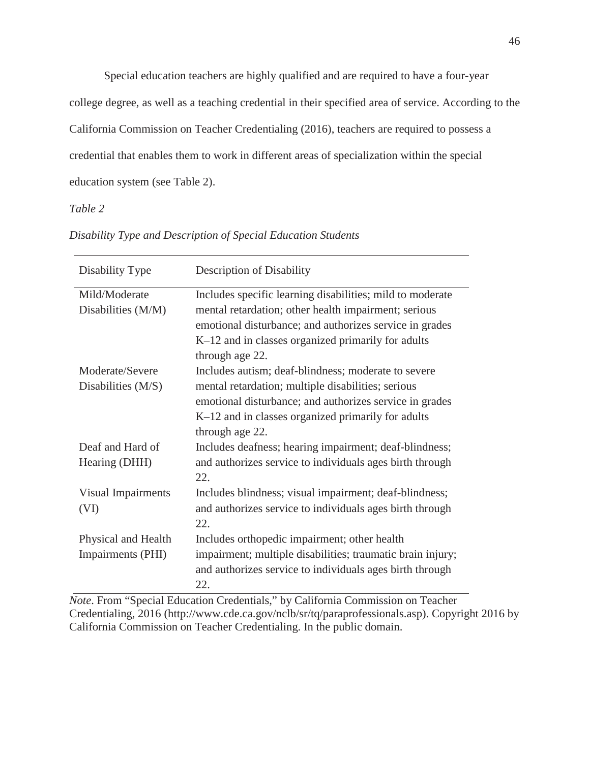Special education teachers are highly qualified and are required to have a four-year college degree, as well as a teaching credential in their specified area of service. According to the California Commission on Teacher Credentialing (2016), teachers are required to possess a credential that enables them to work in different areas of specialization within the special education system (see Table 2).

*Table 2*

| Disability Type      | Description of Disability                                  |
|----------------------|------------------------------------------------------------|
| Mild/Moderate        | Includes specific learning disabilities; mild to moderate  |
| Disabilities (M/M)   | mental retardation; other health impairment; serious       |
|                      | emotional disturbance; and authorizes service in grades    |
|                      | K-12 and in classes organized primarily for adults         |
|                      | through age 22.                                            |
| Moderate/Severe      | Includes autism; deaf-blindness; moderate to severe        |
| Disabilities $(M/S)$ | mental retardation; multiple disabilities; serious         |
|                      | emotional disturbance; and authorizes service in grades    |
|                      | K-12 and in classes organized primarily for adults         |
|                      | through age 22.                                            |
| Deaf and Hard of     | Includes deafness; hearing impairment; deaf-blindness;     |
| Hearing (DHH)        | and authorizes service to individuals ages birth through   |
|                      | 22.                                                        |
| Visual Impairments   | Includes blindness; visual impairment; deaf-blindness;     |
| (VI)                 | and authorizes service to individuals ages birth through   |
|                      | 22.                                                        |
| Physical and Health  | Includes orthopedic impairment; other health               |
| Impairments (PHI)    | impairment; multiple disabilities; traumatic brain injury; |
|                      | and authorizes service to individuals ages birth through   |
|                      | 22.                                                        |

*Disability Type and Description of Special Education Students*

*Note*. From "Special Education Credentials," by California Commission on Teacher Credentialing, 2016 (http://www.cde.ca.gov/nclb/sr/tq/paraprofessionals.asp). Copyright 2016 by California Commission on Teacher Credentialing. In the public domain.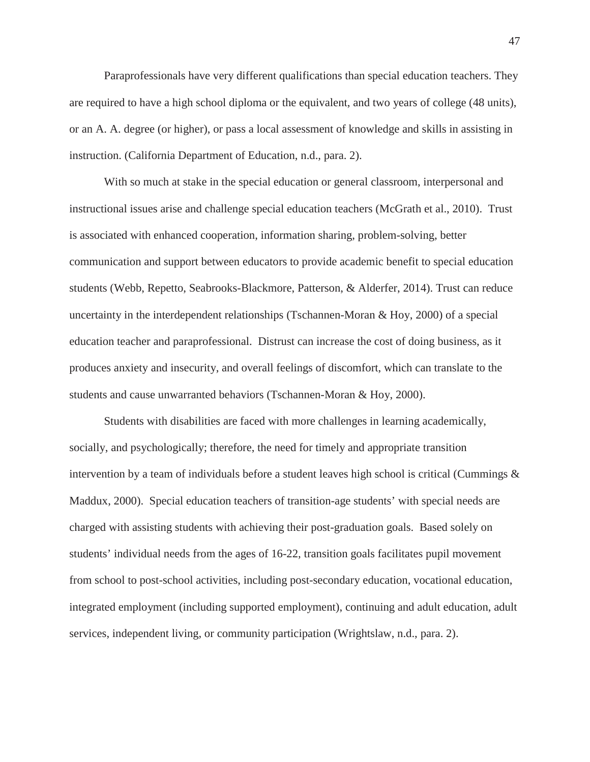Paraprofessionals have very different qualifications than special education teachers. They are required to have a high school diploma or the equivalent, and two years of college (48 units), or an A. A. degree (or higher), or pass a local assessment of knowledge and skills in assisting in instruction. (California Department of Education, n.d., para. 2).

With so much at stake in the special education or general classroom, interpersonal and instructional issues arise and challenge special education teachers (McGrath et al., 2010). Trust is associated with enhanced cooperation, information sharing, problem-solving, better communication and support between educators to provide academic benefit to special education students (Webb, Repetto, Seabrooks-Blackmore, Patterson, & Alderfer, 2014). Trust can reduce uncertainty in the interdependent relationships (Tschannen-Moran & Hoy, 2000) of a special education teacher and paraprofessional. Distrust can increase the cost of doing business, as it produces anxiety and insecurity, and overall feelings of discomfort, which can translate to the students and cause unwarranted behaviors (Tschannen-Moran & Hoy, 2000).

Students with disabilities are faced with more challenges in learning academically, socially, and psychologically; therefore, the need for timely and appropriate transition intervention by a team of individuals before a student leaves high school is critical (Cummings  $\&$ Maddux, 2000). Special education teachers of transition-age students' with special needs are charged with assisting students with achieving their post-graduation goals. Based solely on students' individual needs from the ages of 16-22, transition goals facilitates pupil movement from school to post-school activities, including post-secondary education, vocational education, integrated employment (including supported employment), continuing and adult education, adult services, independent living, or community participation (Wrightslaw, n.d., para. 2).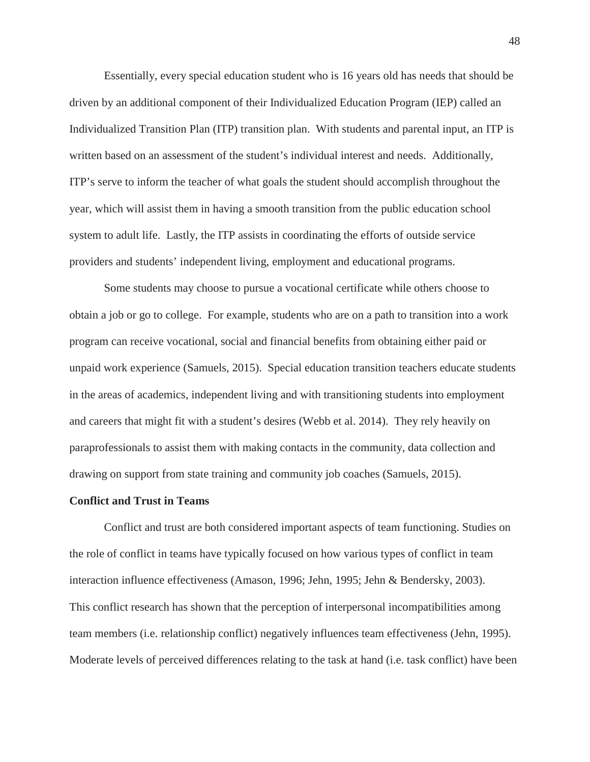Essentially, every special education student who is 16 years old has needs that should be driven by an additional component of their Individualized Education Program (IEP) called an Individualized Transition Plan (ITP) transition plan. With students and parental input, an ITP is written based on an assessment of the student's individual interest and needs. Additionally, ITP's serve to inform the teacher of what goals the student should accomplish throughout the year, which will assist them in having a smooth transition from the public education school system to adult life. Lastly, the ITP assists in coordinating the efforts of outside service providers and students' independent living, employment and educational programs.

Some students may choose to pursue a vocational certificate while others choose to obtain a job or go to college. For example, students who are on a path to transition into a work program can receive vocational, social and financial benefits from obtaining either paid or unpaid work experience (Samuels, 2015). Special education transition teachers educate students in the areas of academics, independent living and with transitioning students into employment and careers that might fit with a student's desires (Webb et al. 2014). They rely heavily on paraprofessionals to assist them with making contacts in the community, data collection and drawing on support from state training and community job coaches (Samuels, 2015).

#### **Conflict and Trust in Teams**

Conflict and trust are both considered important aspects of team functioning. Studies on the role of conflict in teams have typically focused on how various types of conflict in team interaction influence effectiveness (Amason, 1996; Jehn, 1995; Jehn & Bendersky, 2003). This conflict research has shown that the perception of interpersonal incompatibilities among team members (i.e. relationship conflict) negatively influences team effectiveness (Jehn, 1995). Moderate levels of perceived differences relating to the task at hand (i.e. task conflict) have been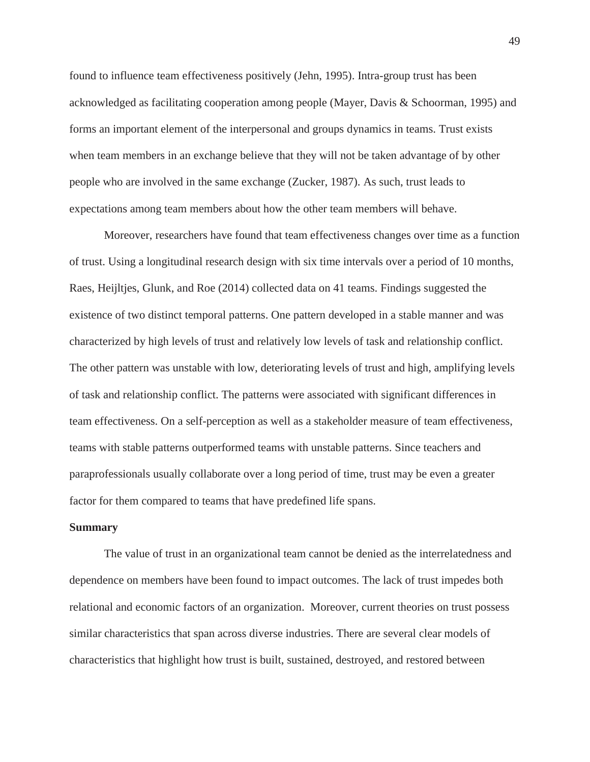found to influence team effectiveness positively (Jehn, 1995). Intra-group trust has been acknowledged as facilitating cooperation among people (Mayer, Davis & Schoorman, 1995) and forms an important element of the interpersonal and groups dynamics in teams. Trust exists when team members in an exchange believe that they will not be taken advantage of by other people who are involved in the same exchange (Zucker, 1987). As such, trust leads to expectations among team members about how the other team members will behave.

Moreover, researchers have found that team effectiveness changes over time as a function of trust. Using a longitudinal research design with six time intervals over a period of 10 months, Raes, Heijltjes, Glunk, and Roe (2014) collected data on 41 teams. Findings suggested the existence of two distinct temporal patterns. One pattern developed in a stable manner and was characterized by high levels of trust and relatively low levels of task and relationship conflict. The other pattern was unstable with low, deteriorating levels of trust and high, amplifying levels of task and relationship conflict. The patterns were associated with significant differences in team effectiveness. On a self-perception as well as a stakeholder measure of team effectiveness, teams with stable patterns outperformed teams with unstable patterns. Since teachers and paraprofessionals usually collaborate over a long period of time, trust may be even a greater factor for them compared to teams that have predefined life spans.

#### **Summary**

The value of trust in an organizational team cannot be denied as the interrelatedness and dependence on members have been found to impact outcomes. The lack of trust impedes both relational and economic factors of an organization. Moreover, current theories on trust possess similar characteristics that span across diverse industries. There are several clear models of characteristics that highlight how trust is built, sustained, destroyed, and restored between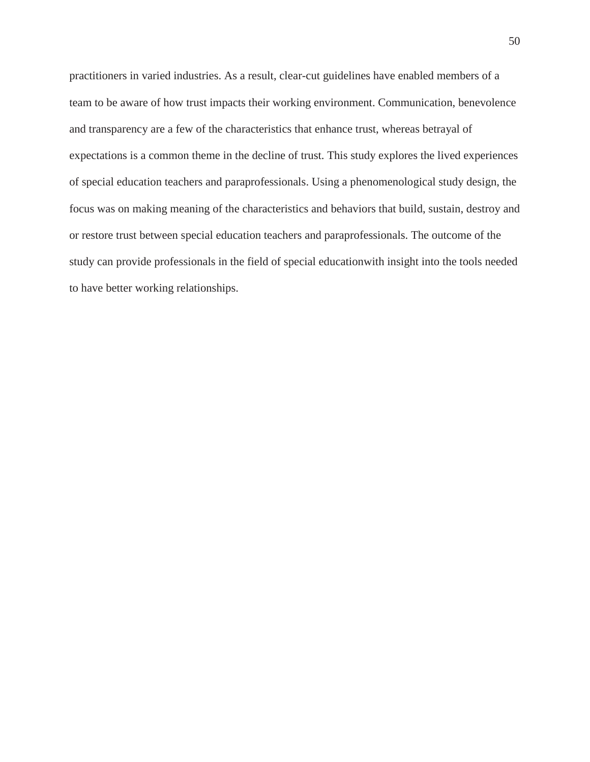practitioners in varied industries. As a result, clear-cut guidelines have enabled members of a team to be aware of how trust impacts their working environment. Communication, benevolence and transparency are a few of the characteristics that enhance trust, whereas betrayal of expectations is a common theme in the decline of trust. This study explores the lived experiences of special education teachers and paraprofessionals. Using a phenomenological study design, the focus was on making meaning of the characteristics and behaviors that build, sustain, destroy and or restore trust between special education teachers and paraprofessionals. The outcome of the study can provide professionals in the field of special educationwith insight into the tools needed to have better working relationships.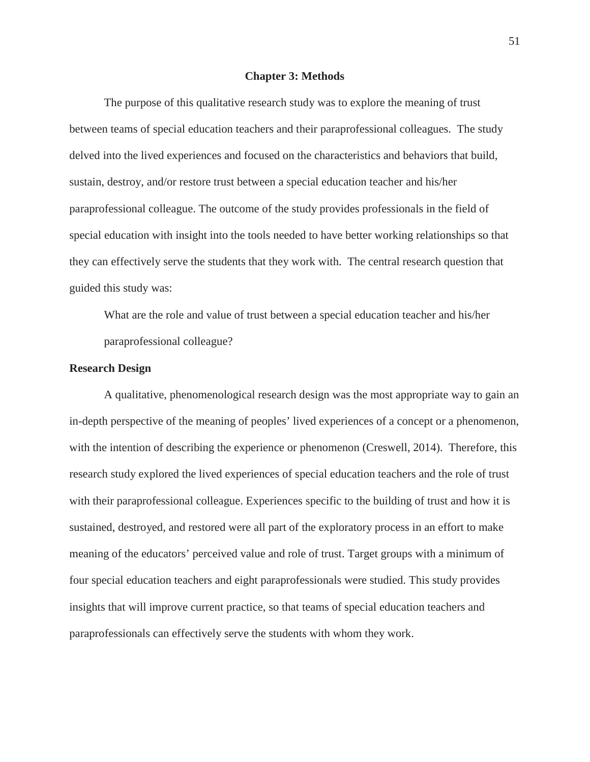#### **Chapter 3: Methods**

The purpose of this qualitative research study was to explore the meaning of trust between teams of special education teachers and their paraprofessional colleagues. The study delved into the lived experiences and focused on the characteristics and behaviors that build, sustain, destroy, and/or restore trust between a special education teacher and his/her paraprofessional colleague. The outcome of the study provides professionals in the field of special education with insight into the tools needed to have better working relationships so that they can effectively serve the students that they work with. The central research question that guided this study was:

What are the role and value of trust between a special education teacher and his/her paraprofessional colleague?

### **Research Design**

A qualitative, phenomenological research design was the most appropriate way to gain an in-depth perspective of the meaning of peoples' lived experiences of a concept or a phenomenon, with the intention of describing the experience or phenomenon (Creswell, 2014). Therefore, this research study explored the lived experiences of special education teachers and the role of trust with their paraprofessional colleague. Experiences specific to the building of trust and how it is sustained, destroyed, and restored were all part of the exploratory process in an effort to make meaning of the educators' perceived value and role of trust. Target groups with a minimum of four special education teachers and eight paraprofessionals were studied. This study provides insights that will improve current practice, so that teams of special education teachers and paraprofessionals can effectively serve the students with whom they work.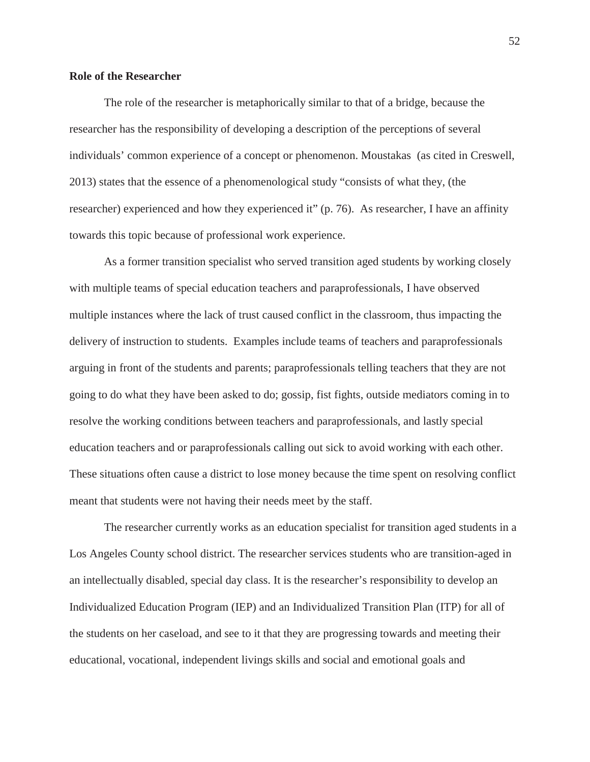# **Role of the Researcher**

The role of the researcher is metaphorically similar to that of a bridge, because the researcher has the responsibility of developing a description of the perceptions of several individuals' common experience of a concept or phenomenon. Moustakas (as cited in Creswell, 2013) states that the essence of a phenomenological study "consists of what they, (the researcher) experienced and how they experienced it" (p. 76). As researcher, I have an affinity towards this topic because of professional work experience.

As a former transition specialist who served transition aged students by working closely with multiple teams of special education teachers and paraprofessionals, I have observed multiple instances where the lack of trust caused conflict in the classroom, thus impacting the delivery of instruction to students. Examples include teams of teachers and paraprofessionals arguing in front of the students and parents; paraprofessionals telling teachers that they are not going to do what they have been asked to do; gossip, fist fights, outside mediators coming in to resolve the working conditions between teachers and paraprofessionals, and lastly special education teachers and or paraprofessionals calling out sick to avoid working with each other. These situations often cause a district to lose money because the time spent on resolving conflict meant that students were not having their needs meet by the staff.

The researcher currently works as an education specialist for transition aged students in a Los Angeles County school district. The researcher services students who are transition-aged in an intellectually disabled, special day class. It is the researcher's responsibility to develop an Individualized Education Program (IEP) and an Individualized Transition Plan (ITP) for all of the students on her caseload, and see to it that they are progressing towards and meeting their educational, vocational, independent livings skills and social and emotional goals and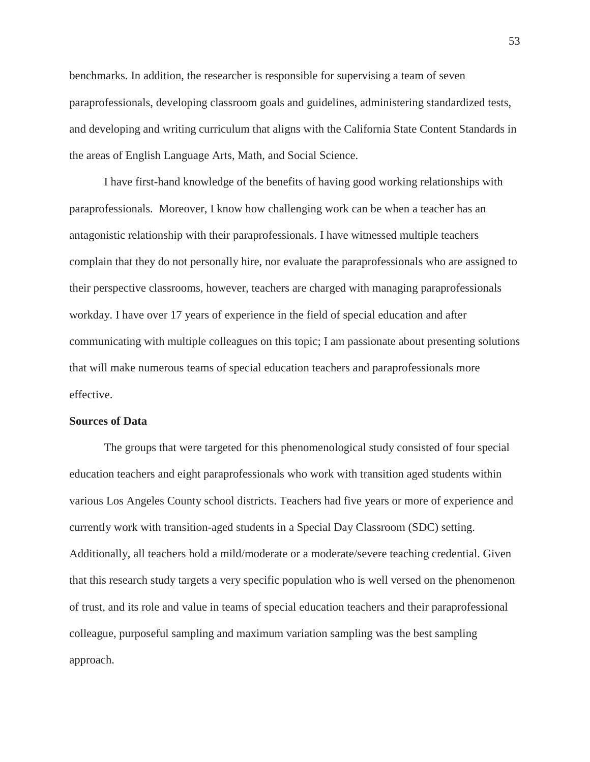benchmarks. In addition, the researcher is responsible for supervising a team of seven paraprofessionals, developing classroom goals and guidelines, administering standardized tests, and developing and writing curriculum that aligns with the California State Content Standards in the areas of English Language Arts, Math, and Social Science.

I have first-hand knowledge of the benefits of having good working relationships with paraprofessionals. Moreover, I know how challenging work can be when a teacher has an antagonistic relationship with their paraprofessionals. I have witnessed multiple teachers complain that they do not personally hire, nor evaluate the paraprofessionals who are assigned to their perspective classrooms, however, teachers are charged with managing paraprofessionals workday. I have over 17 years of experience in the field of special education and after communicating with multiple colleagues on this topic; I am passionate about presenting solutions that will make numerous teams of special education teachers and paraprofessionals more effective.

#### **Sources of Data**

The groups that were targeted for this phenomenological study consisted of four special education teachers and eight paraprofessionals who work with transition aged students within various Los Angeles County school districts. Teachers had five years or more of experience and currently work with transition-aged students in a Special Day Classroom (SDC) setting. Additionally, all teachers hold a mild/moderate or a moderate/severe teaching credential. Given that this research study targets a very specific population who is well versed on the phenomenon of trust, and its role and value in teams of special education teachers and their paraprofessional colleague, purposeful sampling and maximum variation sampling was the best sampling approach.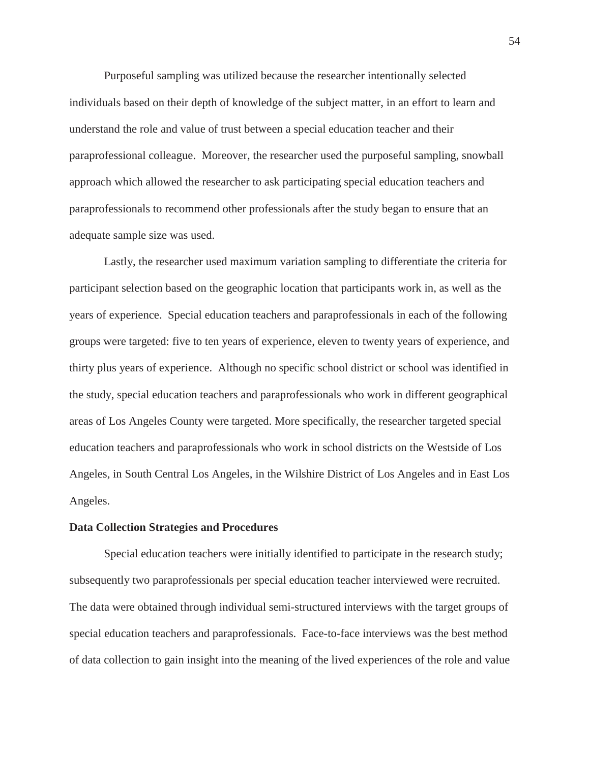Purposeful sampling was utilized because the researcher intentionally selected individuals based on their depth of knowledge of the subject matter, in an effort to learn and understand the role and value of trust between a special education teacher and their paraprofessional colleague. Moreover, the researcher used the purposeful sampling, snowball approach which allowed the researcher to ask participating special education teachers and paraprofessionals to recommend other professionals after the study began to ensure that an adequate sample size was used.

Lastly, the researcher used maximum variation sampling to differentiate the criteria for participant selection based on the geographic location that participants work in, as well as the years of experience. Special education teachers and paraprofessionals in each of the following groups were targeted: five to ten years of experience, eleven to twenty years of experience, and thirty plus years of experience. Although no specific school district or school was identified in the study, special education teachers and paraprofessionals who work in different geographical areas of Los Angeles County were targeted. More specifically, the researcher targeted special education teachers and paraprofessionals who work in school districts on the Westside of Los Angeles, in South Central Los Angeles, in the Wilshire District of Los Angeles and in East Los Angeles.

#### **Data Collection Strategies and Procedures**

Special education teachers were initially identified to participate in the research study; subsequently two paraprofessionals per special education teacher interviewed were recruited. The data were obtained through individual semi-structured interviews with the target groups of special education teachers and paraprofessionals. Face-to-face interviews was the best method of data collection to gain insight into the meaning of the lived experiences of the role and value

54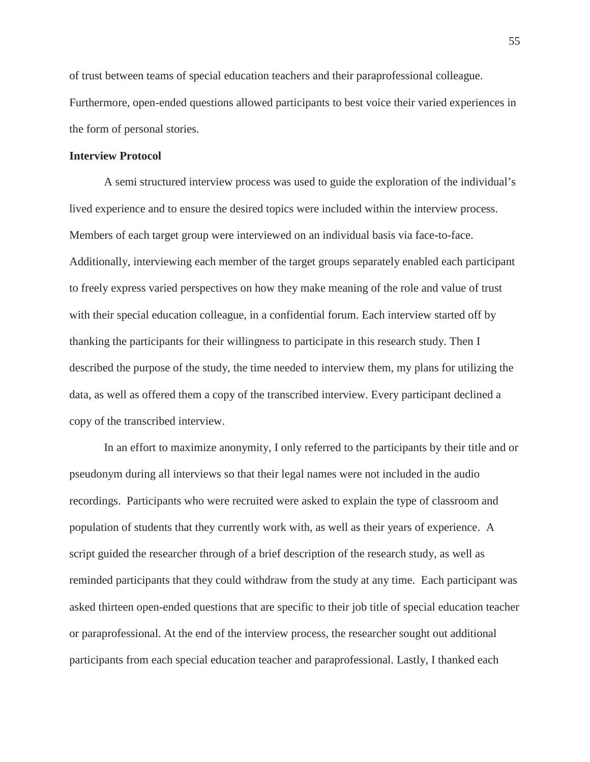of trust between teams of special education teachers and their paraprofessional colleague. Furthermore, open-ended questions allowed participants to best voice their varied experiences in the form of personal stories.

#### **Interview Protocol**

A semi structured interview process was used to guide the exploration of the individual's lived experience and to ensure the desired topics were included within the interview process. Members of each target group were interviewed on an individual basis via face-to-face. Additionally, interviewing each member of the target groups separately enabled each participant to freely express varied perspectives on how they make meaning of the role and value of trust with their special education colleague, in a confidential forum. Each interview started off by thanking the participants for their willingness to participate in this research study. Then I described the purpose of the study, the time needed to interview them, my plans for utilizing the data, as well as offered them a copy of the transcribed interview. Every participant declined a copy of the transcribed interview.

In an effort to maximize anonymity, I only referred to the participants by their title and or pseudonym during all interviews so that their legal names were not included in the audio recordings. Participants who were recruited were asked to explain the type of classroom and population of students that they currently work with, as well as their years of experience. A script guided the researcher through of a brief description of the research study, as well as reminded participants that they could withdraw from the study at any time. Each participant was asked thirteen open-ended questions that are specific to their job title of special education teacher or paraprofessional. At the end of the interview process, the researcher sought out additional participants from each special education teacher and paraprofessional. Lastly, I thanked each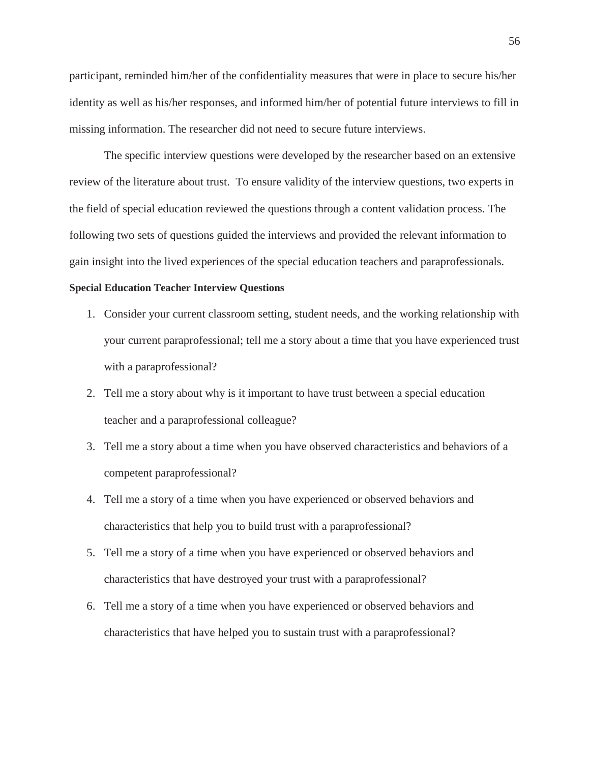participant, reminded him/her of the confidentiality measures that were in place to secure his/her identity as well as his/her responses, and informed him/her of potential future interviews to fill in missing information. The researcher did not need to secure future interviews.

The specific interview questions were developed by the researcher based on an extensive review of the literature about trust. To ensure validity of the interview questions, two experts in the field of special education reviewed the questions through a content validation process. The following two sets of questions guided the interviews and provided the relevant information to gain insight into the lived experiences of the special education teachers and paraprofessionals.

#### **Special Education Teacher Interview Questions**

- 1. Consider your current classroom setting, student needs, and the working relationship with your current paraprofessional; tell me a story about a time that you have experienced trust with a paraprofessional?
- 2. Tell me a story about why is it important to have trust between a special education teacher and a paraprofessional colleague?
- 3. Tell me a story about a time when you have observed characteristics and behaviors of a competent paraprofessional?
- 4. Tell me a story of a time when you have experienced or observed behaviors and characteristics that help you to build trust with a paraprofessional?
- 5. Tell me a story of a time when you have experienced or observed behaviors and characteristics that have destroyed your trust with a paraprofessional?
- 6. Tell me a story of a time when you have experienced or observed behaviors and characteristics that have helped you to sustain trust with a paraprofessional?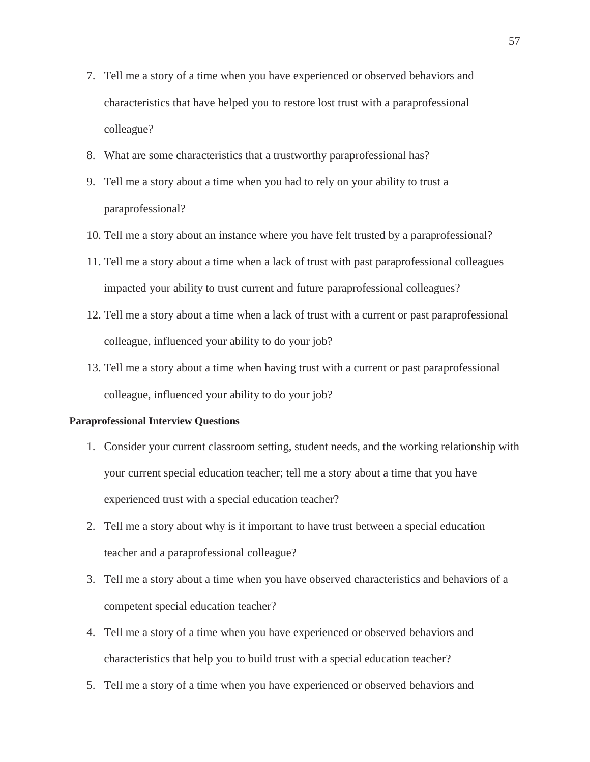- 7. Tell me a story of a time when you have experienced or observed behaviors and characteristics that have helped you to restore lost trust with a paraprofessional colleague?
- 8. What are some characteristics that a trustworthy paraprofessional has?
- 9. Tell me a story about a time when you had to rely on your ability to trust a paraprofessional?
- 10. Tell me a story about an instance where you have felt trusted by a paraprofessional?
- 11. Tell me a story about a time when a lack of trust with past paraprofessional colleagues impacted your ability to trust current and future paraprofessional colleagues?
- 12. Tell me a story about a time when a lack of trust with a current or past paraprofessional colleague, influenced your ability to do your job?
- 13. Tell me a story about a time when having trust with a current or past paraprofessional colleague, influenced your ability to do your job?

#### **Paraprofessional Interview Questions**

- 1. Consider your current classroom setting, student needs, and the working relationship with your current special education teacher; tell me a story about a time that you have experienced trust with a special education teacher?
- 2. Tell me a story about why is it important to have trust between a special education teacher and a paraprofessional colleague?
- 3. Tell me a story about a time when you have observed characteristics and behaviors of a competent special education teacher?
- 4. Tell me a story of a time when you have experienced or observed behaviors and characteristics that help you to build trust with a special education teacher?
- 5. Tell me a story of a time when you have experienced or observed behaviors and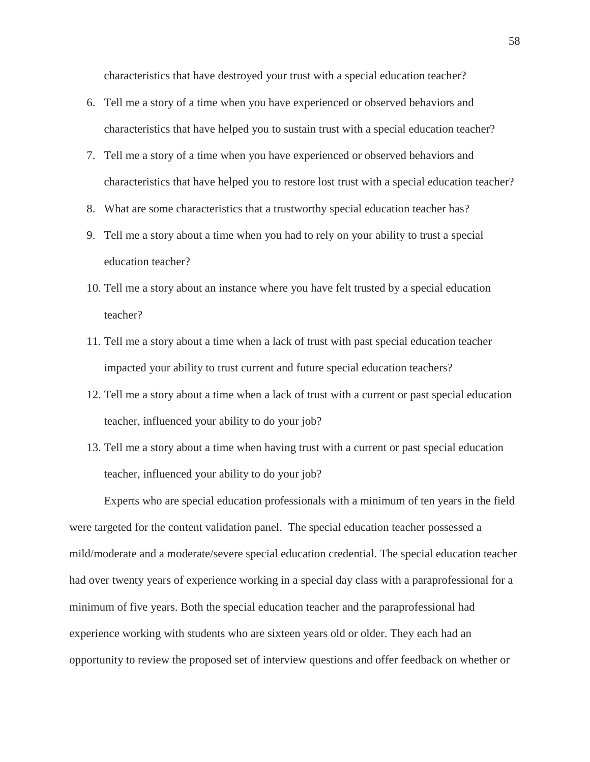characteristics that have destroyed your trust with a special education teacher?

- 6. Tell me a story of a time when you have experienced or observed behaviors and characteristics that have helped you to sustain trust with a special education teacher?
- 7. Tell me a story of a time when you have experienced or observed behaviors and characteristics that have helped you to restore lost trust with a special education teacher?
- 8. What are some characteristics that a trustworthy special education teacher has?
- 9. Tell me a story about a time when you had to rely on your ability to trust a special education teacher?
- 10. Tell me a story about an instance where you have felt trusted by a special education teacher?
- 11. Tell me a story about a time when a lack of trust with past special education teacher impacted your ability to trust current and future special education teachers?
- 12. Tell me a story about a time when a lack of trust with a current or past special education teacher, influenced your ability to do your job?
- 13. Tell me a story about a time when having trust with a current or past special education teacher, influenced your ability to do your job?

Experts who are special education professionals with a minimum of ten years in the field were targeted for the content validation panel. The special education teacher possessed a mild/moderate and a moderate/severe special education credential. The special education teacher had over twenty years of experience working in a special day class with a paraprofessional for a minimum of five years. Both the special education teacher and the paraprofessional had experience working with students who are sixteen years old or older. They each had an opportunity to review the proposed set of interview questions and offer feedback on whether or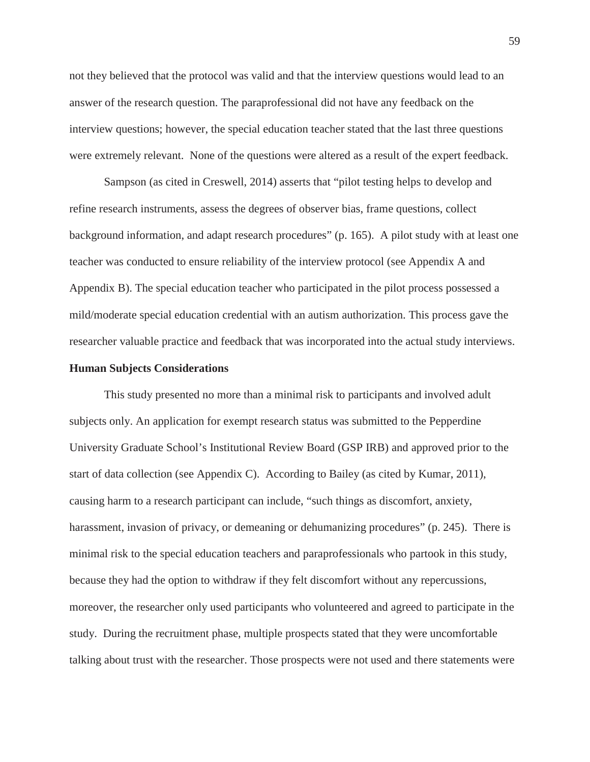not they believed that the protocol was valid and that the interview questions would lead to an answer of the research question. The paraprofessional did not have any feedback on the interview questions; however, the special education teacher stated that the last three questions were extremely relevant. None of the questions were altered as a result of the expert feedback.

Sampson (as cited in Creswell, 2014) asserts that "pilot testing helps to develop and refine research instruments, assess the degrees of observer bias, frame questions, collect background information, and adapt research procedures" (p. 165). A pilot study with at least one teacher was conducted to ensure reliability of the interview protocol (see Appendix A and Appendix B). The special education teacher who participated in the pilot process possessed a mild/moderate special education credential with an autism authorization. This process gave the researcher valuable practice and feedback that was incorporated into the actual study interviews.

### **Human Subjects Considerations**

This study presented no more than a minimal risk to participants and involved adult subjects only. An application for exempt research status was submitted to the Pepperdine University Graduate School's Institutional Review Board (GSP IRB) and approved prior to the start of data collection (see Appendix C). According to Bailey (as cited by Kumar, 2011), causing harm to a research participant can include, "such things as discomfort, anxiety, harassment, invasion of privacy, or demeaning or dehumanizing procedures" (p. 245). There is minimal risk to the special education teachers and paraprofessionals who partook in this study, because they had the option to withdraw if they felt discomfort without any repercussions, moreover, the researcher only used participants who volunteered and agreed to participate in the study. During the recruitment phase, multiple prospects stated that they were uncomfortable talking about trust with the researcher. Those prospects were not used and there statements were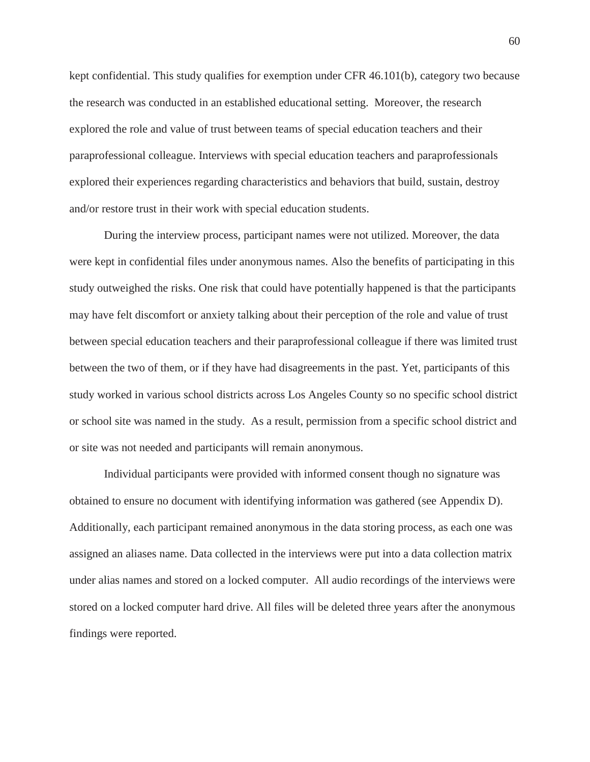kept confidential. This study qualifies for exemption under CFR 46.101(b), category two because the research was conducted in an established educational setting. Moreover, the research explored the role and value of trust between teams of special education teachers and their paraprofessional colleague. Interviews with special education teachers and paraprofessionals explored their experiences regarding characteristics and behaviors that build, sustain, destroy and/or restore trust in their work with special education students.

During the interview process, participant names were not utilized. Moreover, the data were kept in confidential files under anonymous names. Also the benefits of participating in this study outweighed the risks. One risk that could have potentially happened is that the participants may have felt discomfort or anxiety talking about their perception of the role and value of trust between special education teachers and their paraprofessional colleague if there was limited trust between the two of them, or if they have had disagreements in the past. Yet, participants of this study worked in various school districts across Los Angeles County so no specific school district or school site was named in the study. As a result, permission from a specific school district and or site was not needed and participants will remain anonymous.

Individual participants were provided with informed consent though no signature was obtained to ensure no document with identifying information was gathered (see Appendix D). Additionally, each participant remained anonymous in the data storing process, as each one was assigned an aliases name. Data collected in the interviews were put into a data collection matrix under alias names and stored on a locked computer. All audio recordings of the interviews were stored on a locked computer hard drive. All files will be deleted three years after the anonymous findings were reported.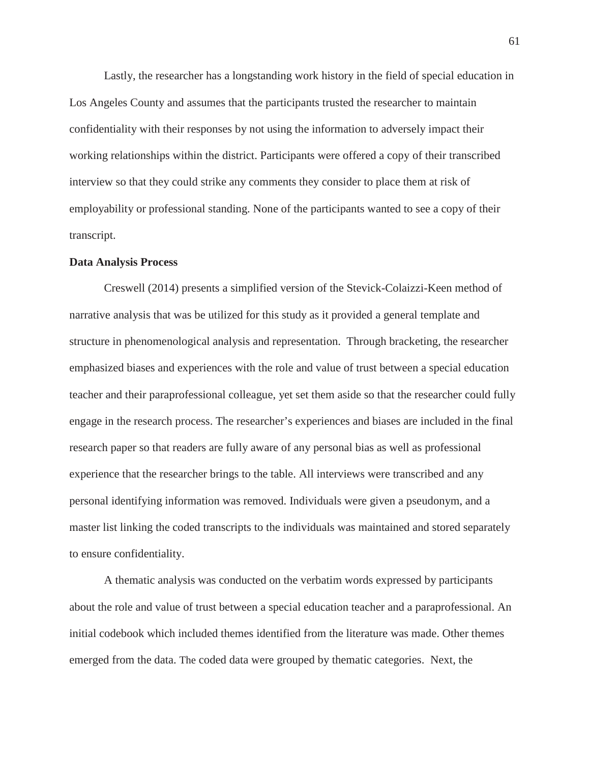Lastly, the researcher has a longstanding work history in the field of special education in Los Angeles County and assumes that the participants trusted the researcher to maintain confidentiality with their responses by not using the information to adversely impact their working relationships within the district. Participants were offered a copy of their transcribed interview so that they could strike any comments they consider to place them at risk of employability or professional standing. None of the participants wanted to see a copy of their transcript.

#### **Data Analysis Process**

Creswell (2014) presents a simplified version of the Stevick-Colaizzi-Keen method of narrative analysis that was be utilized for this study as it provided a general template and structure in phenomenological analysis and representation. Through bracketing, the researcher emphasized biases and experiences with the role and value of trust between a special education teacher and their paraprofessional colleague, yet set them aside so that the researcher could fully engage in the research process. The researcher's experiences and biases are included in the final research paper so that readers are fully aware of any personal bias as well as professional experience that the researcher brings to the table. All interviews were transcribed and any personal identifying information was removed. Individuals were given a pseudonym, and a master list linking the coded transcripts to the individuals was maintained and stored separately to ensure confidentiality.

A thematic analysis was conducted on the verbatim words expressed by participants about the role and value of trust between a special education teacher and a paraprofessional. An initial codebook which included themes identified from the literature was made. Other themes emerged from the data. The coded data were grouped by thematic categories. Next, the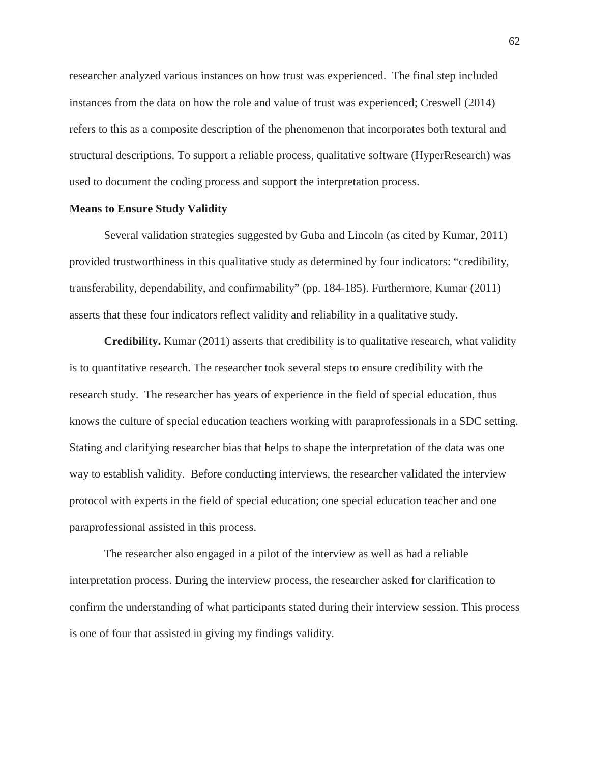researcher analyzed various instances on how trust was experienced. The final step included instances from the data on how the role and value of trust was experienced; Creswell (2014) refers to this as a composite description of the phenomenon that incorporates both textural and structural descriptions. To support a reliable process, qualitative software (HyperResearch) was used to document the coding process and support the interpretation process.

### **Means to Ensure Study Validity**

Several validation strategies suggested by Guba and Lincoln (as cited by Kumar, 2011) provided trustworthiness in this qualitative study as determined by four indicators: "credibility, transferability, dependability, and confirmability" (pp. 184-185). Furthermore, Kumar (2011) asserts that these four indicators reflect validity and reliability in a qualitative study.

**Credibility.** Kumar (2011) asserts that credibility is to qualitative research, what validity is to quantitative research. The researcher took several steps to ensure credibility with the research study. The researcher has years of experience in the field of special education, thus knows the culture of special education teachers working with paraprofessionals in a SDC setting. Stating and clarifying researcher bias that helps to shape the interpretation of the data was one way to establish validity. Before conducting interviews, the researcher validated the interview protocol with experts in the field of special education; one special education teacher and one paraprofessional assisted in this process.

The researcher also engaged in a pilot of the interview as well as had a reliable interpretation process. During the interview process, the researcher asked for clarification to confirm the understanding of what participants stated during their interview session. This process is one of four that assisted in giving my findings validity.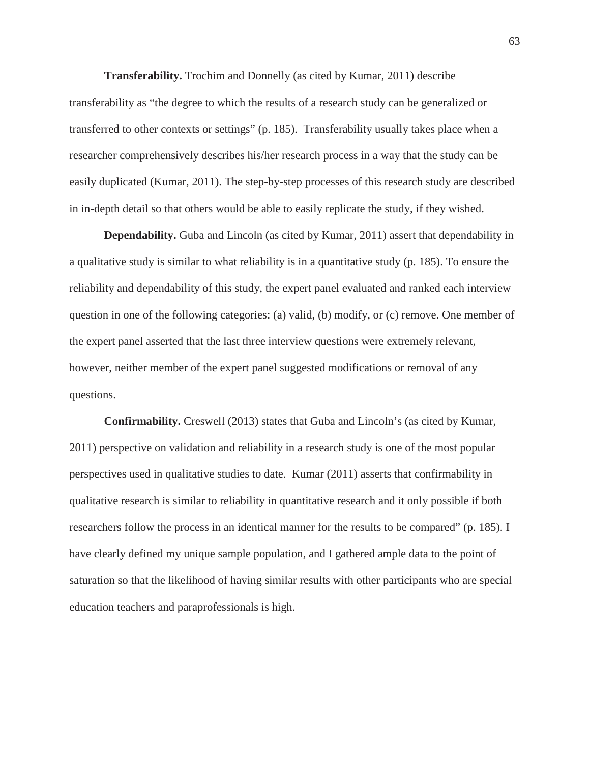**Transferability.** Trochim and Donnelly (as cited by Kumar, 2011) describe transferability as "the degree to which the results of a research study can be generalized or transferred to other contexts or settings" (p. 185). Transferability usually takes place when a researcher comprehensively describes his/her research process in a way that the study can be easily duplicated (Kumar, 2011). The step-by-step processes of this research study are described in in-depth detail so that others would be able to easily replicate the study, if they wished.

**Dependability.** Guba and Lincoln (as cited by Kumar, 2011) assert that dependability in a qualitative study is similar to what reliability is in a quantitative study (p. 185). To ensure the reliability and dependability of this study, the expert panel evaluated and ranked each interview question in one of the following categories: (a) valid, (b) modify, or (c) remove. One member of the expert panel asserted that the last three interview questions were extremely relevant, however, neither member of the expert panel suggested modifications or removal of any questions.

**Confirmability.** Creswell (2013) states that Guba and Lincoln's (as cited by Kumar, 2011) perspective on validation and reliability in a research study is one of the most popular perspectives used in qualitative studies to date. Kumar (2011) asserts that confirmability in qualitative research is similar to reliability in quantitative research and it only possible if both researchers follow the process in an identical manner for the results to be compared" (p. 185). I have clearly defined my unique sample population, and I gathered ample data to the point of saturation so that the likelihood of having similar results with other participants who are special education teachers and paraprofessionals is high.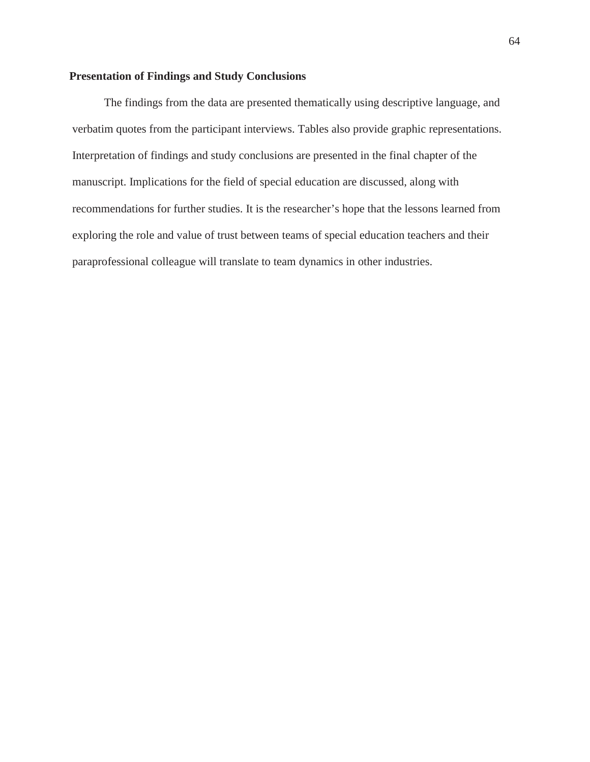# **Presentation of Findings and Study Conclusions**

The findings from the data are presented thematically using descriptive language, and verbatim quotes from the participant interviews. Tables also provide graphic representations. Interpretation of findings and study conclusions are presented in the final chapter of the manuscript. Implications for the field of special education are discussed, along with recommendations for further studies. It is the researcher's hope that the lessons learned from exploring the role and value of trust between teams of special education teachers and their paraprofessional colleague will translate to team dynamics in other industries.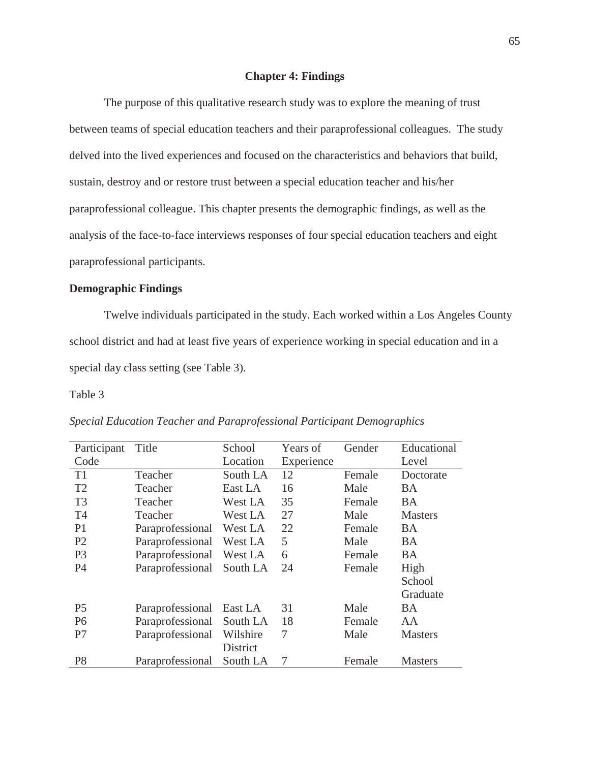### **Chapter 4: Findings**

The purpose of this qualitative research study was to explore the meaning of trust between teams of special education teachers and their paraprofessional colleagues. The study delved into the lived experiences and focused on the characteristics and behaviors that build, sustain, destroy and or restore trust between a special education teacher and his/her paraprofessional colleague. This chapter presents the demographic findings, as well as the analysis of the face-to-face interviews responses of four special education teachers and eight paraprofessional participants.

# **Demographic Findings**

Twelve individuals participated in the study. Each worked within a Los Angeles County school district and had at least five years of experience working in special education and in a special day class setting (see Table 3).

### Table 3

| Participant    | Title            | School   | Years of   | Gender | Educational    |
|----------------|------------------|----------|------------|--------|----------------|
| Code           |                  | Location | Experience |        | Level          |
| T <sub>1</sub> | Teacher          | South LA | 12         | Female | Doctorate      |
| T <sub>2</sub> | Teacher          | East LA  | 16         | Male   | BA             |
| T <sub>3</sub> | Teacher          | West LA  | 35         | Female | <b>BA</b>      |
| T <sub>4</sub> | Teacher          | West LA  | 27         | Male   | <b>Masters</b> |
| P1             | Paraprofessional | West LA  | 22         | Female | <b>BA</b>      |
| P <sub>2</sub> | Paraprofessional | West LA  | 5          | Male   | <b>BA</b>      |
| P <sub>3</sub> | Paraprofessional | West LA  | 6          | Female | <b>BA</b>      |
| P4             | Paraprofessional | South LA | 24         | Female | High           |
|                |                  |          |            |        | School         |
|                |                  |          |            |        | Graduate       |
| P <sub>5</sub> | Paraprofessional | East LA  | 31         | Male   | <b>BA</b>      |
| P <sub>6</sub> | Paraprofessional | South LA | 18         | Female | AA             |
| P7             | Paraprofessional | Wilshire | 7          | Male   | <b>Masters</b> |
|                |                  | District |            |        |                |
| P <sub>8</sub> | Paraprofessional | South LA |            | Female | <b>Masters</b> |

*Special Education Teacher and Paraprofessional Participant Demographics*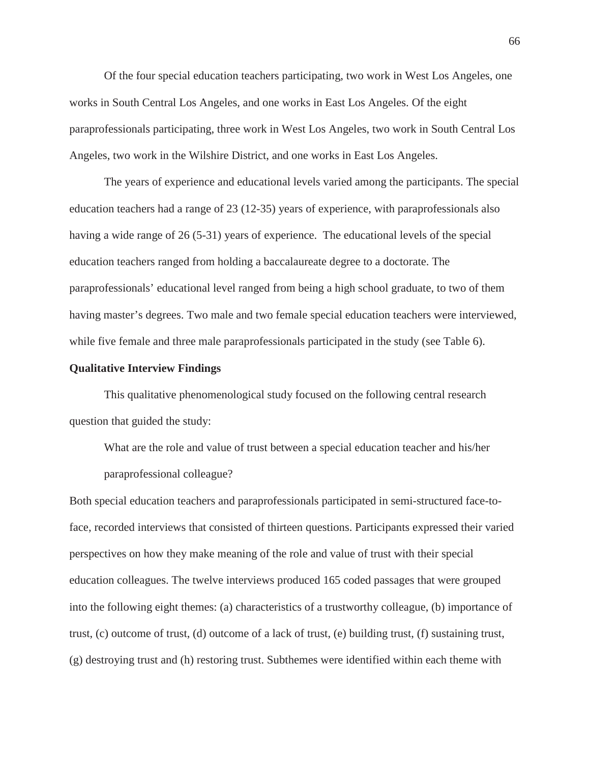Of the four special education teachers participating, two work in West Los Angeles, one works in South Central Los Angeles, and one works in East Los Angeles. Of the eight paraprofessionals participating, three work in West Los Angeles, two work in South Central Los Angeles, two work in the Wilshire District, and one works in East Los Angeles.

The years of experience and educational levels varied among the participants. The special education teachers had a range of 23 (12-35) years of experience, with paraprofessionals also having a wide range of 26 (5-31) years of experience. The educational levels of the special education teachers ranged from holding a baccalaureate degree to a doctorate. The paraprofessionals' educational level ranged from being a high school graduate, to two of them having master's degrees. Two male and two female special education teachers were interviewed, while five female and three male paraprofessionals participated in the study (see Table 6).

### **Qualitative Interview Findings**

This qualitative phenomenological study focused on the following central research question that guided the study:

What are the role and value of trust between a special education teacher and his/her paraprofessional colleague?

Both special education teachers and paraprofessionals participated in semi-structured face-toface, recorded interviews that consisted of thirteen questions. Participants expressed their varied perspectives on how they make meaning of the role and value of trust with their special education colleagues. The twelve interviews produced 165 coded passages that were grouped into the following eight themes: (a) characteristics of a trustworthy colleague, (b) importance of trust, (c) outcome of trust, (d) outcome of a lack of trust, (e) building trust, (f) sustaining trust, (g) destroying trust and (h) restoring trust. Subthemes were identified within each theme with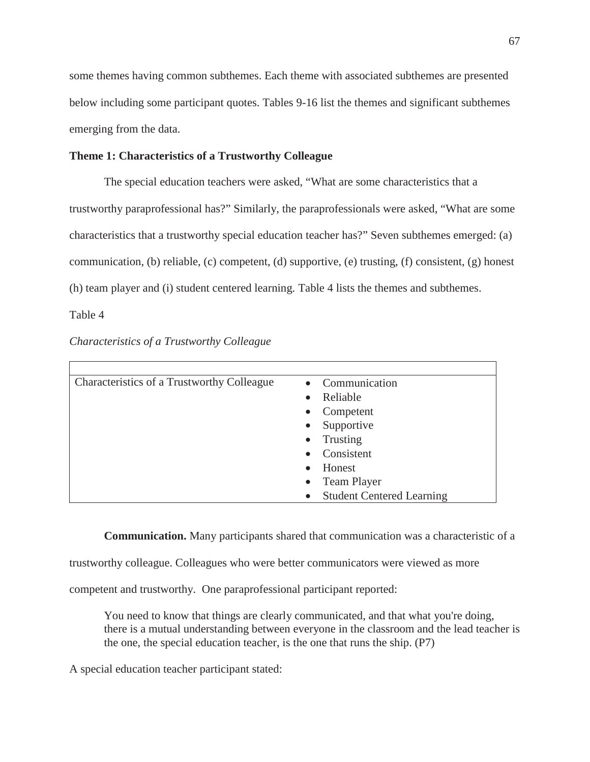some themes having common subthemes. Each theme with associated subthemes are presented below including some participant quotes. Tables 9-16 list the themes and significant subthemes emerging from the data.

### **Theme 1: Characteristics of a Trustworthy Colleague**

The special education teachers were asked, "What are some characteristics that a trustworthy paraprofessional has?" Similarly, the paraprofessionals were asked, "What are some characteristics that a trustworthy special education teacher has?" Seven subthemes emerged: (a) communication, (b) reliable, (c) competent, (d) supportive, (e) trusting, (f) consistent, (g) honest (h) team player and (i) student centered learning. Table 4 lists the themes and subthemes.

Table 4

| Characteristics of a Trustworthy Colleague | Communication<br>$\bullet$                    |
|--------------------------------------------|-----------------------------------------------|
|                                            | Reliable<br>$\bullet$                         |
|                                            | Competent<br>$\bullet$                        |
|                                            | Supportive<br>$\bullet$                       |
|                                            | Trusting<br>$\bullet$                         |
|                                            | Consistent                                    |
|                                            | Honest<br>$\bullet$                           |
|                                            | <b>Team Player</b><br>$\bullet$               |
|                                            | <b>Student Centered Learning</b><br>$\bullet$ |

*Characteristics of a Trustworthy Colleague*

**Communication.** Many participants shared that communication was a characteristic of a

trustworthy colleague. Colleagues who were better communicators were viewed as more

competent and trustworthy. One paraprofessional participant reported:

You need to know that things are clearly communicated, and that what you're doing, there is a mutual understanding between everyone in the classroom and the lead teacher is the one, the special education teacher, is the one that runs the ship. (P7)

A special education teacher participant stated: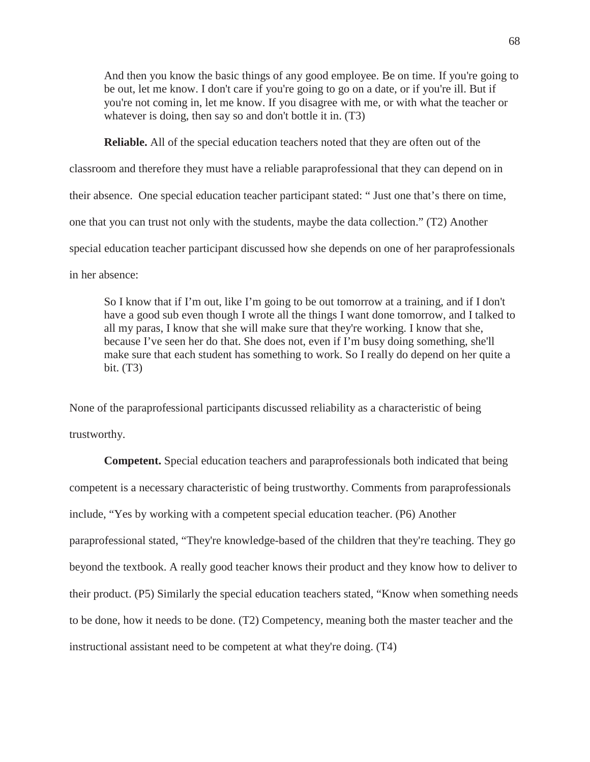And then you know the basic things of any good employee. Be on time. If you're going to be out, let me know. I don't care if you're going to go on a date, or if you're ill. But if you're not coming in, let me know. If you disagree with me, or with what the teacher or whatever is doing, then say so and don't bottle it in. (T3)

**Reliable.** All of the special education teachers noted that they are often out of the classroom and therefore they must have a reliable paraprofessional that they can depend on in their absence. One special education teacher participant stated: " Just one that's there on time, one that you can trust not only with the students, maybe the data collection." (T2) Another special education teacher participant discussed how she depends on one of her paraprofessionals in her absence:

So I know that if I'm out, like I'm going to be out tomorrow at a training, and if I don't have a good sub even though I wrote all the things I want done tomorrow, and I talked to all my paras, I know that she will make sure that they're working. I know that she, because I've seen her do that. She does not, even if I'm busy doing something, she'll make sure that each student has something to work. So I really do depend on her quite a bit. (T3)

None of the paraprofessional participants discussed reliability as a characteristic of being trustworthy.

**Competent.** Special education teachers and paraprofessionals both indicated that being competent is a necessary characteristic of being trustworthy. Comments from paraprofessionals include, "Yes by working with a competent special education teacher. (P6) Another paraprofessional stated, "They're knowledge-based of the children that they're teaching. They go beyond the textbook. A really good teacher knows their product and they know how to deliver to their product. (P5) Similarly the special education teachers stated, "Know when something needs to be done, how it needs to be done. (T2) Competency, meaning both the master teacher and the instructional assistant need to be competent at what they're doing. (T4)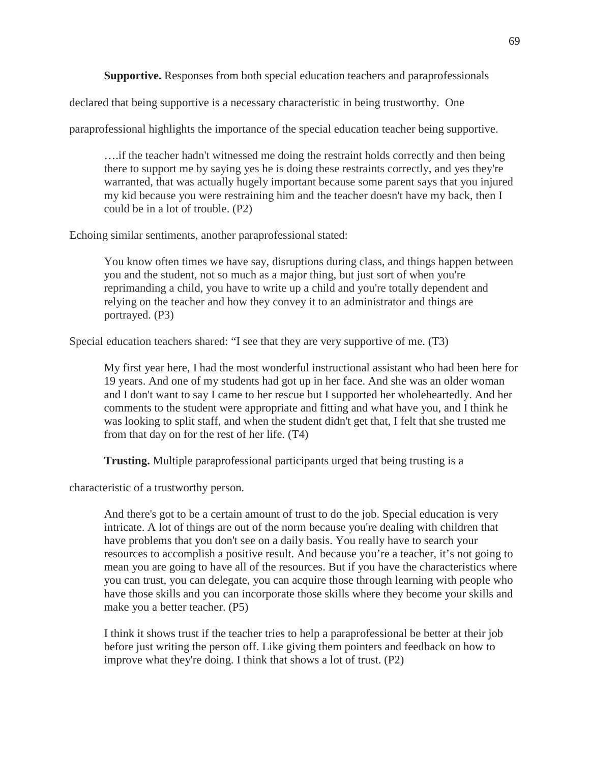**Supportive.** Responses from both special education teachers and paraprofessionals

declared that being supportive is a necessary characteristic in being trustworthy. One

paraprofessional highlights the importance of the special education teacher being supportive.

….if the teacher hadn't witnessed me doing the restraint holds correctly and then being there to support me by saying yes he is doing these restraints correctly, and yes they're warranted, that was actually hugely important because some parent says that you injured my kid because you were restraining him and the teacher doesn't have my back, then I could be in a lot of trouble. (P2)

Echoing similar sentiments, another paraprofessional stated:

You know often times we have say, disruptions during class, and things happen between you and the student, not so much as a major thing, but just sort of when you're reprimanding a child, you have to write up a child and you're totally dependent and relying on the teacher and how they convey it to an administrator and things are portrayed. (P3)

Special education teachers shared: "I see that they are very supportive of me. (T3)

My first year here, I had the most wonderful instructional assistant who had been here for 19 years. And one of my students had got up in her face. And she was an older woman and I don't want to say I came to her rescue but I supported her wholeheartedly. And her comments to the student were appropriate and fitting and what have you, and I think he was looking to split staff, and when the student didn't get that, I felt that she trusted me from that day on for the rest of her life. (T4)

**Trusting.** Multiple paraprofessional participants urged that being trusting is a

characteristic of a trustworthy person.

And there's got to be a certain amount of trust to do the job. Special education is very intricate. A lot of things are out of the norm because you're dealing with children that have problems that you don't see on a daily basis. You really have to search your resources to accomplish a positive result. And because you're a teacher, it's not going to mean you are going to have all of the resources. But if you have the characteristics where you can trust, you can delegate, you can acquire those through learning with people who have those skills and you can incorporate those skills where they become your skills and make you a better teacher. (P5)

I think it shows trust if the teacher tries to help a paraprofessional be better at their job before just writing the person off. Like giving them pointers and feedback on how to improve what they're doing. I think that shows a lot of trust. (P2)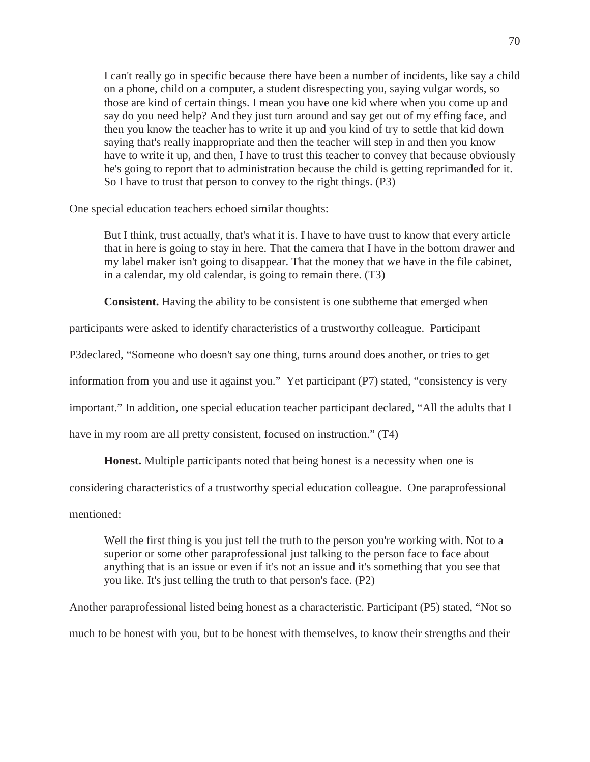I can't really go in specific because there have been a number of incidents, like say a child on a phone, child on a computer, a student disrespecting you, saying vulgar words, so those are kind of certain things. I mean you have one kid where when you come up and say do you need help? And they just turn around and say get out of my effing face, and then you know the teacher has to write it up and you kind of try to settle that kid down saying that's really inappropriate and then the teacher will step in and then you know have to write it up, and then, I have to trust this teacher to convey that because obviously he's going to report that to administration because the child is getting reprimanded for it. So I have to trust that person to convey to the right things. (P3)

One special education teachers echoed similar thoughts:

But I think, trust actually, that's what it is. I have to have trust to know that every article that in here is going to stay in here. That the camera that I have in the bottom drawer and my label maker isn't going to disappear. That the money that we have in the file cabinet, in a calendar, my old calendar, is going to remain there. (T3)

**Consistent.** Having the ability to be consistent is one subtheme that emerged when

participants were asked to identify characteristics of a trustworthy colleague. Participant

P3declared, "Someone who doesn't say one thing, turns around does another, or tries to get

information from you and use it against you." Yet participant (P7) stated, "consistency is very

important." In addition, one special education teacher participant declared, "All the adults that I

have in my room are all pretty consistent, focused on instruction." (T4)

**Honest.** Multiple participants noted that being honest is a necessity when one is

considering characteristics of a trustworthy special education colleague. One paraprofessional

mentioned:

Well the first thing is you just tell the truth to the person you're working with. Not to a superior or some other paraprofessional just talking to the person face to face about anything that is an issue or even if it's not an issue and it's something that you see that you like. It's just telling the truth to that person's face. (P2)

Another paraprofessional listed being honest as a characteristic. Participant (P5) stated, "Not so much to be honest with you, but to be honest with themselves, to know their strengths and their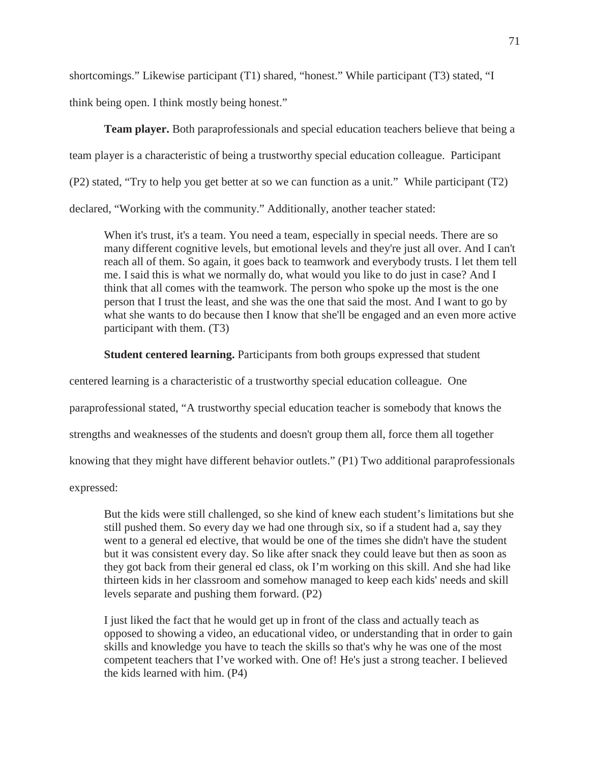shortcomings." Likewise participant (T1) shared, "honest." While participant (T3) stated, "I

think being open. I think mostly being honest."

**Team player.** Both paraprofessionals and special education teachers believe that being a team player is a characteristic of being a trustworthy special education colleague. Participant (P2) stated, "Try to help you get better at so we can function as a unit." While participant (T2) declared, "Working with the community." Additionally, another teacher stated:

When it's trust, it's a team. You need a team, especially in special needs. There are so many different cognitive levels, but emotional levels and they're just all over. And I can't reach all of them. So again, it goes back to teamwork and everybody trusts. I let them tell me. I said this is what we normally do, what would you like to do just in case? And I think that all comes with the teamwork. The person who spoke up the most is the one person that I trust the least, and she was the one that said the most. And I want to go by what she wants to do because then I know that she'll be engaged and an even more active participant with them. (T3)

**Student centered learning.** Participants from both groups expressed that student

centered learning is a characteristic of a trustworthy special education colleague. One

paraprofessional stated, "A trustworthy special education teacher is somebody that knows the

strengths and weaknesses of the students and doesn't group them all, force them all together

knowing that they might have different behavior outlets." (P1) Two additional paraprofessionals

expressed:

But the kids were still challenged, so she kind of knew each student's limitations but she still pushed them. So every day we had one through six, so if a student had a, say they went to a general ed elective, that would be one of the times she didn't have the student but it was consistent every day. So like after snack they could leave but then as soon as they got back from their general ed class, ok I'm working on this skill. And she had like thirteen kids in her classroom and somehow managed to keep each kids' needs and skill levels separate and pushing them forward. (P2)

I just liked the fact that he would get up in front of the class and actually teach as opposed to showing a video, an educational video, or understanding that in order to gain skills and knowledge you have to teach the skills so that's why he was one of the most competent teachers that I've worked with. One of! He's just a strong teacher. I believed the kids learned with him. (P4)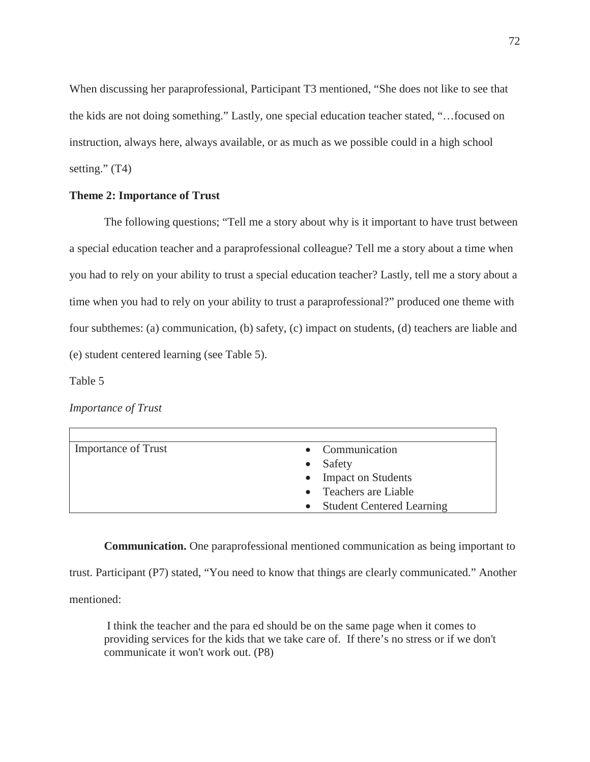When discussing her paraprofessional, Participant T3 mentioned, "She does not like to see that the kids are not doing something." Lastly, one special education teacher stated, "…focused on instruction, always here, always available, or as much as we possible could in a high school setting."  $(T4)$ 

## **Theme 2: Importance of Trust**

The following questions; "Tell me a story about why is it important to have trust between a special education teacher and a paraprofessional colleague? Tell me a story about a time when you had to rely on your ability to trust a special education teacher? Lastly, tell me a story about a time when you had to rely on your ability to trust a paraprofessional?" produced one theme with four subthemes: (a) communication, (b) safety, (c) impact on students, (d) teachers are liable and (e) student centered learning (see Table 5).

Table 5

*Importance of Trust*

| <b>Importance of Trust</b> | • Communication                        |
|----------------------------|----------------------------------------|
|                            | Safety                                 |
|                            | <b>Impact on Students</b><br>$\bullet$ |
|                            | • Teachers are Liable                  |
|                            | <b>Student Centered Learning</b>       |

**Communication.** One paraprofessional mentioned communication as being important to trust. Participant (P7) stated, "You need to know that things are clearly communicated." Another mentioned:

I think the teacher and the para ed should be on the same page when it comes to providing services for the kids that we take care of. If there's no stress or if we don't communicate it won't work out. (P8)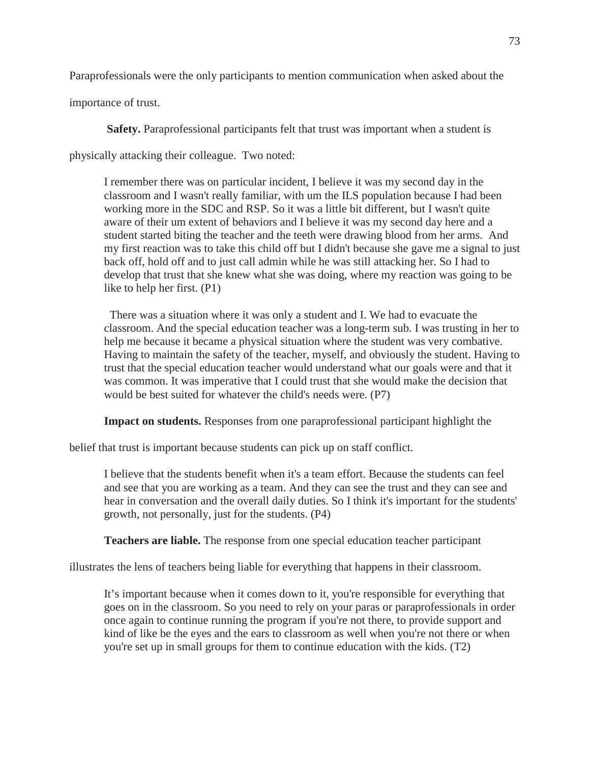Paraprofessionals were the only participants to mention communication when asked about the

importance of trust.

**Safety.** Paraprofessional participants felt that trust was important when a student is

physically attacking their colleague. Two noted:

I remember there was on particular incident, I believe it was my second day in the classroom and I wasn't really familiar, with um the ILS population because I had been working more in the SDC and RSP. So it was a little bit different, but I wasn't quite aware of their um extent of behaviors and I believe it was my second day here and a student started biting the teacher and the teeth were drawing blood from her arms. And my first reaction was to take this child off but I didn't because she gave me a signal to just back off, hold off and to just call admin while he was still attacking her. So I had to develop that trust that she knew what she was doing, where my reaction was going to be like to help her first. (P1)

There was a situation where it was only a student and I. We had to evacuate the classroom. And the special education teacher was a long-term sub. I was trusting in her to help me because it became a physical situation where the student was very combative. Having to maintain the safety of the teacher, myself, and obviously the student. Having to trust that the special education teacher would understand what our goals were and that it was common. It was imperative that I could trust that she would make the decision that would be best suited for whatever the child's needs were. (P7)

**Impact on students.** Responses from one paraprofessional participant highlight the

belief that trust is important because students can pick up on staff conflict.

I believe that the students benefit when it's a team effort. Because the students can feel and see that you are working as a team. And they can see the trust and they can see and hear in conversation and the overall daily duties. So I think it's important for the students' growth, not personally, just for the students. (P4)

**Teachers are liable.** The response from one special education teacher participant

illustrates the lens of teachers being liable for everything that happens in their classroom.

It's important because when it comes down to it, you're responsible for everything that goes on in the classroom. So you need to rely on your paras or paraprofessionals in order once again to continue running the program if you're not there, to provide support and kind of like be the eyes and the ears to classroom as well when you're not there or when you're set up in small groups for them to continue education with the kids. (T2)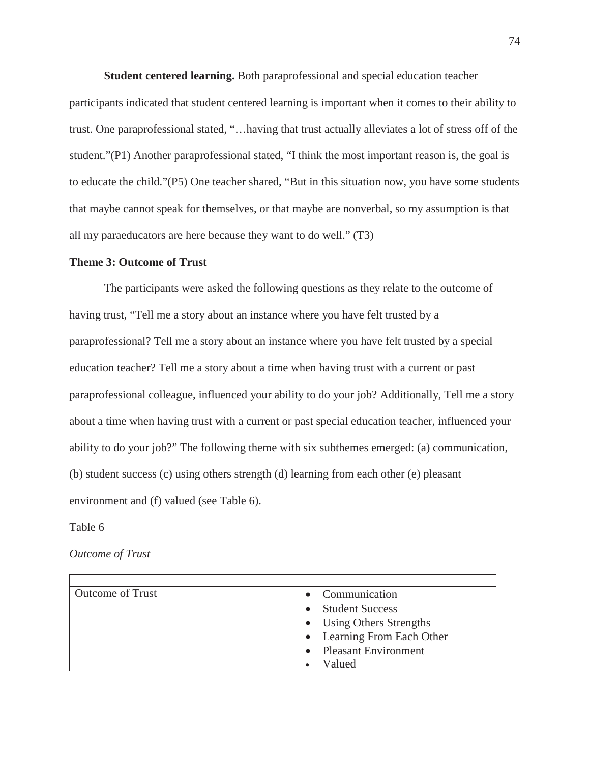**Student centered learning.** Both paraprofessional and special education teacher

participants indicated that student centered learning is important when it comes to their ability to trust. One paraprofessional stated, "…having that trust actually alleviates a lot of stress off of the student."(P1) Another paraprofessional stated, "I think the most important reason is, the goal is to educate the child."(P5) One teacher shared, "But in this situation now, you have some students that maybe cannot speak for themselves, or that maybe are nonverbal, so my assumption is that all my paraeducators are here because they want to do well." (T3)

#### **Theme 3: Outcome of Trust**

The participants were asked the following questions as they relate to the outcome of having trust, "Tell me a story about an instance where you have felt trusted by a paraprofessional? Tell me a story about an instance where you have felt trusted by a special education teacher? Tell me a story about a time when having trust with a current or past paraprofessional colleague, influenced your ability to do your job? Additionally, Tell me a story about a time when having trust with a current or past special education teacher, influenced your ability to do your job?" The following theme with six subthemes emerged: (a) communication, (b) student success (c) using others strength (d) learning from each other (e) pleasant environment and (f) valued (see Table 6).

Table 6

*Outcome of Trust*

| <b>Outcome of Trust</b> | • Communication            |
|-------------------------|----------------------------|
|                         | <b>Student Success</b>     |
|                         | • Using Others Strengths   |
|                         | • Learning From Each Other |
|                         | • Pleasant Environment     |
|                         | Valued                     |
|                         |                            |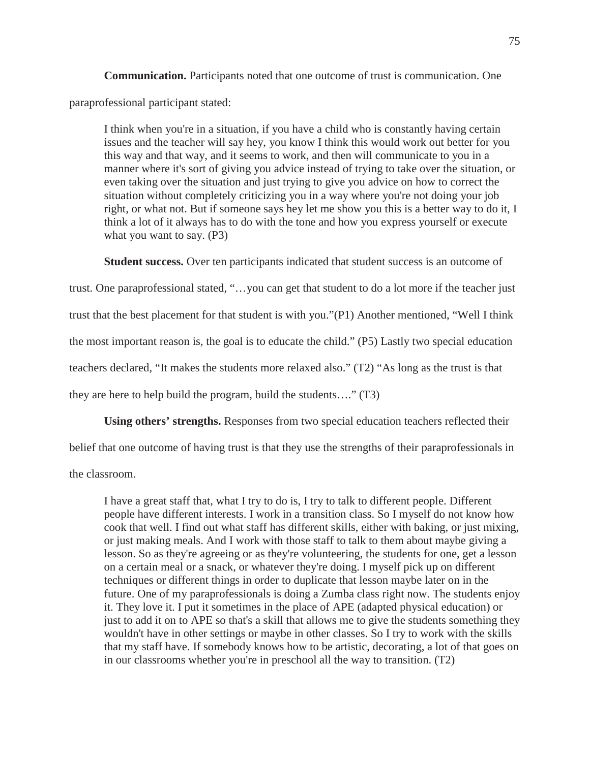**Communication.** Participants noted that one outcome of trust is communication. One

paraprofessional participant stated:

I think when you're in a situation, if you have a child who is constantly having certain issues and the teacher will say hey, you know I think this would work out better for you this way and that way, and it seems to work, and then will communicate to you in a manner where it's sort of giving you advice instead of trying to take over the situation, or even taking over the situation and just trying to give you advice on how to correct the situation without completely criticizing you in a way where you're not doing your job right, or what not. But if someone says hey let me show you this is a better way to do it, I think a lot of it always has to do with the tone and how you express yourself or execute what you want to say. (P3)

**Student success.** Over ten participants indicated that student success is an outcome of

trust. One paraprofessional stated, "…you can get that student to do a lot more if the teacher just trust that the best placement for that student is with you."(P1) Another mentioned, "Well I think the most important reason is, the goal is to educate the child." (P5) Lastly two special education teachers declared, "It makes the students more relaxed also." (T2) "As long as the trust is that they are here to help build the program, build the students…." (T3)

**Using others' strengths.** Responses from two special education teachers reflected their

belief that one outcome of having trust is that they use the strengths of their paraprofessionals in

the classroom.

I have a great staff that, what I try to do is, I try to talk to different people. Different people have different interests. I work in a transition class. So I myself do not know how cook that well. I find out what staff has different skills, either with baking, or just mixing, or just making meals. And I work with those staff to talk to them about maybe giving a lesson. So as they're agreeing or as they're volunteering, the students for one, get a lesson on a certain meal or a snack, or whatever they're doing. I myself pick up on different techniques or different things in order to duplicate that lesson maybe later on in the future. One of my paraprofessionals is doing a Zumba class right now. The students enjoy it. They love it. I put it sometimes in the place of APE (adapted physical education) or just to add it on to APE so that's a skill that allows me to give the students something they wouldn't have in other settings or maybe in other classes. So I try to work with the skills that my staff have. If somebody knows how to be artistic, decorating, a lot of that goes on in our classrooms whether you're in preschool all the way to transition. (T2)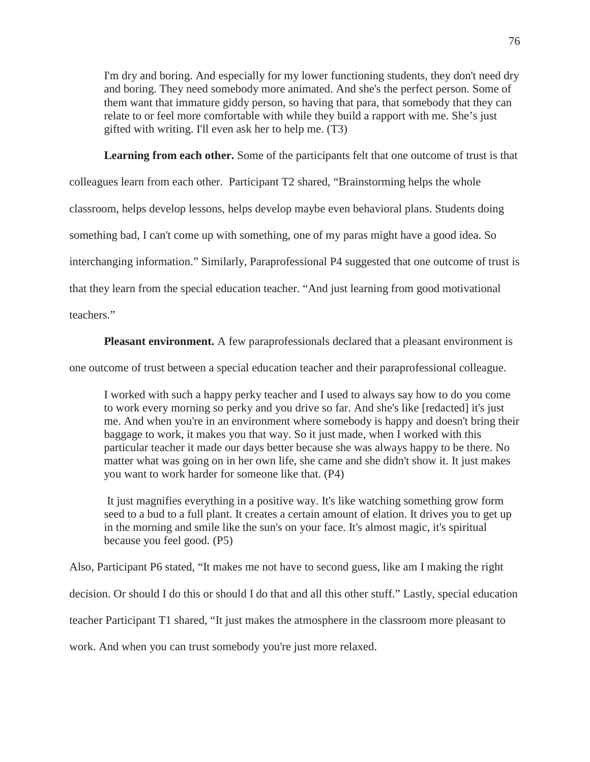I'm dry and boring. And especially for my lower functioning students, they don't need dry and boring. They need somebody more animated. And she's the perfect person. Some of them want that immature giddy person, so having that para, that somebody that they can relate to or feel more comfortable with while they build a rapport with me. She's just gifted with writing. I'll even ask her to help me. (T3)

**Learning from each other.** Some of the participants felt that one outcome of trust is that

colleagues learn from each other. Participant T2 shared, "Brainstorming helps the whole

classroom, helps develop lessons, helps develop maybe even behavioral plans. Students doing

something bad, I can't come up with something, one of my paras might have a good idea. So

interchanging information." Similarly, Paraprofessional P4 suggested that one outcome of trust is

that they learn from the special education teacher. "And just learning from good motivational

teachers."

**Pleasant environment.** A few paraprofessionals declared that a pleasant environment is

one outcome of trust between a special education teacher and their paraprofessional colleague.

I worked with such a happy perky teacher and I used to always say how to do you come to work every morning so perky and you drive so far. And she's like [redacted] it's just me. And when you're in an environment where somebody is happy and doesn't bring their baggage to work, it makes you that way. So it just made, when I worked with this particular teacher it made our days better because she was always happy to be there. No matter what was going on in her own life, she came and she didn't show it. It just makes you want to work harder for someone like that. (P4)

It just magnifies everything in a positive way. It's like watching something grow form seed to a bud to a full plant. It creates a certain amount of elation. It drives you to get up in the morning and smile like the sun's on your face. It's almost magic, it's spiritual because you feel good. (P5)

Also, Participant P6 stated, "It makes me not have to second guess, like am I making the right

decision. Or should I do this or should I do that and all this other stuff." Lastly, special education

teacher Participant T1 shared, "It just makes the atmosphere in the classroom more pleasant to

work. And when you can trust somebody you're just more relaxed.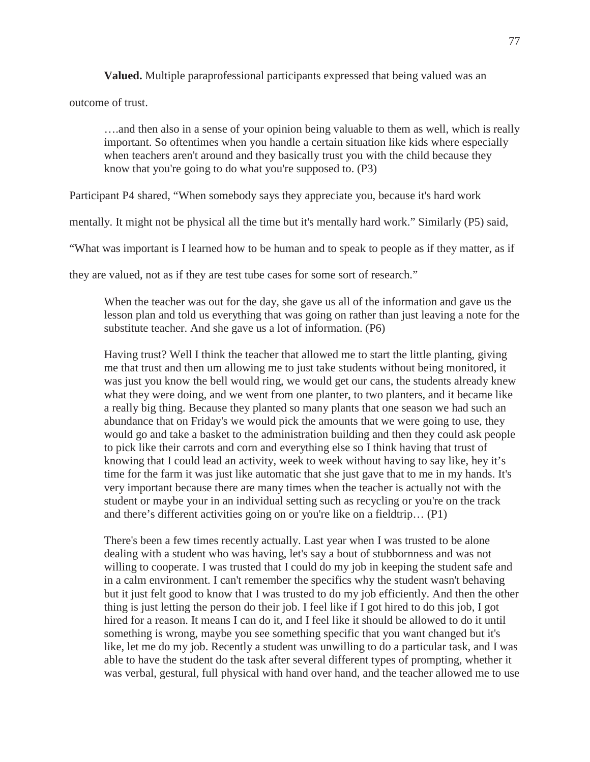**Valued.** Multiple paraprofessional participants expressed that being valued was an

outcome of trust.

….and then also in a sense of your opinion being valuable to them as well, which is really important. So oftentimes when you handle a certain situation like kids where especially when teachers aren't around and they basically trust you with the child because they know that you're going to do what you're supposed to. (P3)

Participant P4 shared, "When somebody says they appreciate you, because it's hard work

mentally. It might not be physical all the time but it's mentally hard work." Similarly (P5) said,

"What was important is I learned how to be human and to speak to people as if they matter, as if

they are valued, not as if they are test tube cases for some sort of research."

When the teacher was out for the day, she gave us all of the information and gave us the lesson plan and told us everything that was going on rather than just leaving a note for the substitute teacher. And she gave us a lot of information. (P6)

Having trust? Well I think the teacher that allowed me to start the little planting, giving me that trust and then um allowing me to just take students without being monitored, it was just you know the bell would ring, we would get our cans, the students already knew what they were doing, and we went from one planter, to two planters, and it became like a really big thing. Because they planted so many plants that one season we had such an abundance that on Friday's we would pick the amounts that we were going to use, they would go and take a basket to the administration building and then they could ask people to pick like their carrots and corn and everything else so I think having that trust of knowing that I could lead an activity, week to week without having to say like, hey it's time for the farm it was just like automatic that she just gave that to me in my hands. It's very important because there are many times when the teacher is actually not with the student or maybe your in an individual setting such as recycling or you're on the track and there's different activities going on or you're like on a fieldtrip… (P1)

There's been a few times recently actually. Last year when I was trusted to be alone dealing with a student who was having, let's say a bout of stubbornness and was not willing to cooperate. I was trusted that I could do my job in keeping the student safe and in a calm environment. I can't remember the specifics why the student wasn't behaving but it just felt good to know that I was trusted to do my job efficiently. And then the other thing is just letting the person do their job. I feel like if I got hired to do this job, I got hired for a reason. It means I can do it, and I feel like it should be allowed to do it until something is wrong, maybe you see something specific that you want changed but it's like, let me do my job. Recently a student was unwilling to do a particular task, and I was able to have the student do the task after several different types of prompting, whether it was verbal, gestural, full physical with hand over hand, and the teacher allowed me to use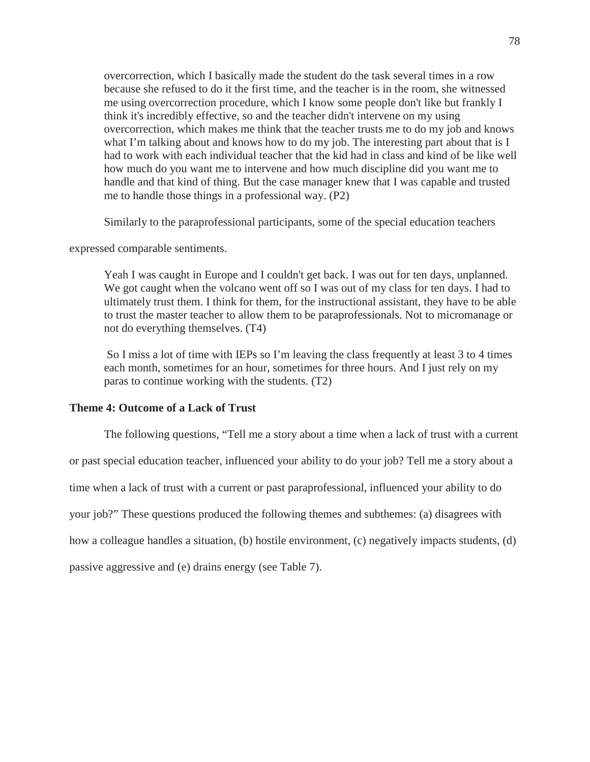overcorrection, which I basically made the student do the task several times in a row because she refused to do it the first time, and the teacher is in the room, she witnessed me using overcorrection procedure, which I know some people don't like but frankly I think it's incredibly effective, so and the teacher didn't intervene on my using overcorrection, which makes me think that the teacher trusts me to do my job and knows what I'm talking about and knows how to do my job. The interesting part about that is I had to work with each individual teacher that the kid had in class and kind of be like well how much do you want me to intervene and how much discipline did you want me to handle and that kind of thing. But the case manager knew that I was capable and trusted me to handle those things in a professional way. (P2)

Similarly to the paraprofessional participants, some of the special education teachers

expressed comparable sentiments.

Yeah I was caught in Europe and I couldn't get back. I was out for ten days, unplanned. We got caught when the volcano went off so I was out of my class for ten days. I had to ultimately trust them. I think for them, for the instructional assistant, they have to be able to trust the master teacher to allow them to be paraprofessionals. Not to micromanage or not do everything themselves. (T4)

So I miss a lot of time with IEPs so I'm leaving the class frequently at least 3 to 4 times each month, sometimes for an hour, sometimes for three hours. And I just rely on my paras to continue working with the students. (T2)

## **Theme 4: Outcome of a Lack of Trust**

The following questions, "Tell me a story about a time when a lack of trust with a current

or past special education teacher, influenced your ability to do your job? Tell me a story about a

time when a lack of trust with a current or past paraprofessional, influenced your ability to do

your job?" These questions produced the following themes and subthemes: (a) disagrees with

how a colleague handles a situation, (b) hostile environment, (c) negatively impacts students, (d)

passive aggressive and (e) drains energy (see Table 7).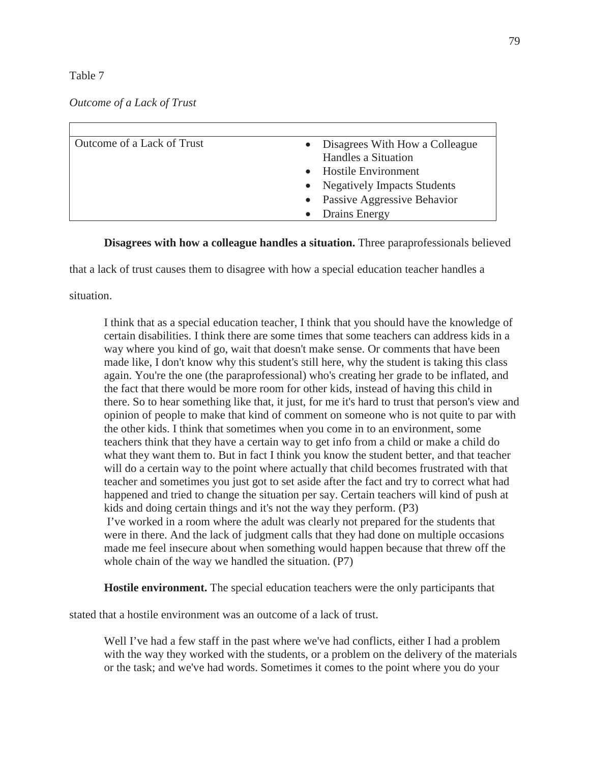## Table 7

# *Outcome of a Lack of Trust*

| Outcome of a Lack of Trust | • Disagrees With How a Colleague |
|----------------------------|----------------------------------|
|                            | Handles a Situation              |
|                            | • Hostile Environment            |
|                            | • Negatively Impacts Students    |
|                            | • Passive Aggressive Behavior    |
|                            | • Drains Energy                  |

# **Disagrees with how a colleague handles a situation.** Three paraprofessionals believed

that a lack of trust causes them to disagree with how a special education teacher handles a

## situation.

I think that as a special education teacher, I think that you should have the knowledge of certain disabilities. I think there are some times that some teachers can address kids in a way where you kind of go, wait that doesn't make sense. Or comments that have been made like, I don't know why this student's still here, why the student is taking this class again. You're the one (the paraprofessional) who's creating her grade to be inflated, and the fact that there would be more room for other kids, instead of having this child in there. So to hear something like that, it just, for me it's hard to trust that person's view and opinion of people to make that kind of comment on someone who is not quite to par with the other kids. I think that sometimes when you come in to an environment, some teachers think that they have a certain way to get info from a child or make a child do what they want them to. But in fact I think you know the student better, and that teacher will do a certain way to the point where actually that child becomes frustrated with that teacher and sometimes you just got to set aside after the fact and try to correct what had happened and tried to change the situation per say. Certain teachers will kind of push at kids and doing certain things and it's not the way they perform. (P3) I've worked in a room where the adult was clearly not prepared for the students that were in there. And the lack of judgment calls that they had done on multiple occasions made me feel insecure about when something would happen because that threw off the whole chain of the way we handled the situation. (P7)

**Hostile environment.** The special education teachers were the only participants that

stated that a hostile environment was an outcome of a lack of trust.

Well I've had a few staff in the past where we've had conflicts, either I had a problem with the way they worked with the students, or a problem on the delivery of the materials or the task; and we've had words. Sometimes it comes to the point where you do your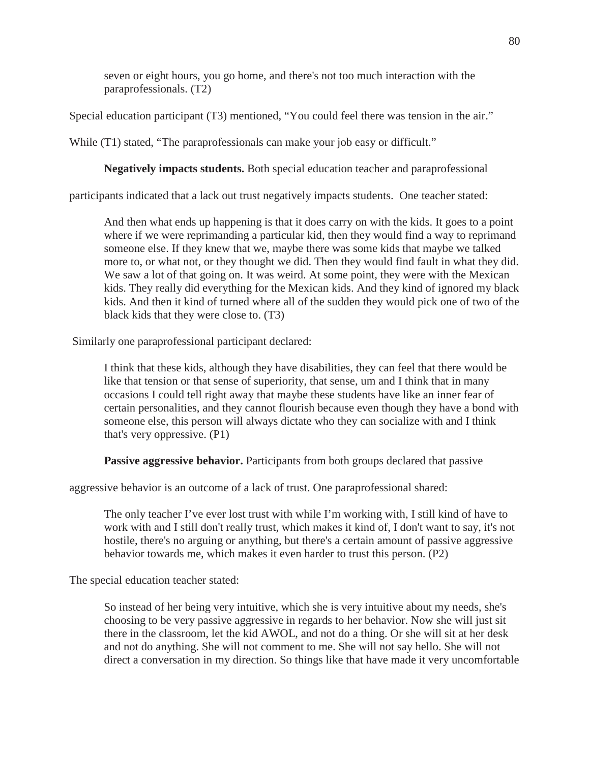seven or eight hours, you go home, and there's not too much interaction with the paraprofessionals. (T2)

Special education participant (T3) mentioned, "You could feel there was tension in the air."

While (T1) stated, "The paraprofessionals can make your job easy or difficult."

**Negatively impacts students.** Both special education teacher and paraprofessional

participants indicated that a lack out trust negatively impacts students. One teacher stated:

And then what ends up happening is that it does carry on with the kids. It goes to a point where if we were reprimanding a particular kid, then they would find a way to reprimand someone else. If they knew that we, maybe there was some kids that maybe we talked more to, or what not, or they thought we did. Then they would find fault in what they did. We saw a lot of that going on. It was weird. At some point, they were with the Mexican kids. They really did everything for the Mexican kids. And they kind of ignored my black kids. And then it kind of turned where all of the sudden they would pick one of two of the black kids that they were close to. (T3)

Similarly one paraprofessional participant declared:

I think that these kids, although they have disabilities, they can feel that there would be like that tension or that sense of superiority, that sense, um and I think that in many occasions I could tell right away that maybe these students have like an inner fear of certain personalities, and they cannot flourish because even though they have a bond with someone else, this person will always dictate who they can socialize with and I think that's very oppressive. (P1)

**Passive aggressive behavior.** Participants from both groups declared that passive

aggressive behavior is an outcome of a lack of trust. One paraprofessional shared:

The only teacher I've ever lost trust with while I'm working with, I still kind of have to work with and I still don't really trust, which makes it kind of, I don't want to say, it's not hostile, there's no arguing or anything, but there's a certain amount of passive aggressive behavior towards me, which makes it even harder to trust this person. (P2)

The special education teacher stated:

So instead of her being very intuitive, which she is very intuitive about my needs, she's choosing to be very passive aggressive in regards to her behavior. Now she will just sit there in the classroom, let the kid AWOL, and not do a thing. Or she will sit at her desk and not do anything. She will not comment to me. She will not say hello. She will not direct a conversation in my direction. So things like that have made it very uncomfortable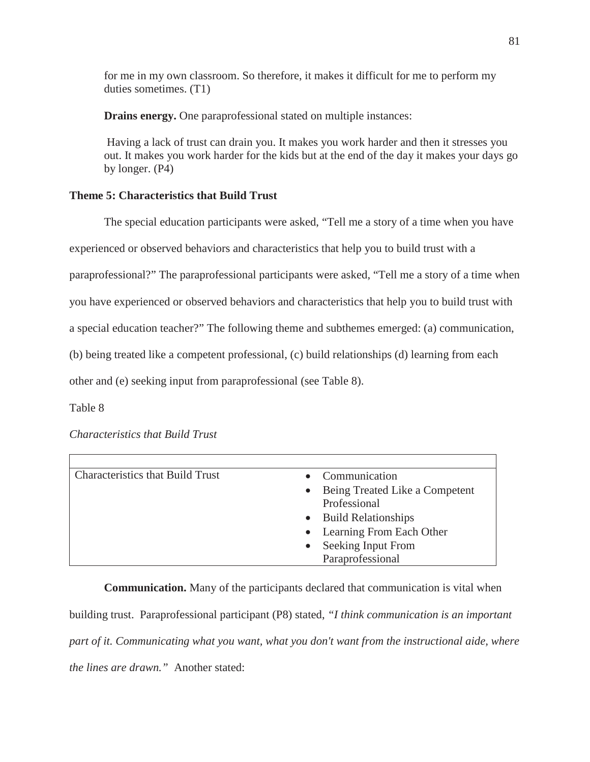for me in my own classroom. So therefore, it makes it difficult for me to perform my duties sometimes. (T1)

**Drains energy.** One paraprofessional stated on multiple instances:

Having a lack of trust can drain you. It makes you work harder and then it stresses you out. It makes you work harder for the kids but at the end of the day it makes your days go by longer. (P4)

# **Theme 5: Characteristics that Build Trust**

The special education participants were asked, "Tell me a story of a time when you have

experienced or observed behaviors and characteristics that help you to build trust with a

paraprofessional?" The paraprofessional participants were asked, "Tell me a story of a time when

you have experienced or observed behaviors and characteristics that help you to build trust with

a special education teacher?" The following theme and subthemes emerged: (a) communication,

(b) being treated like a competent professional, (c) build relationships (d) learning from each

other and (e) seeking input from paraprofessional (see Table 8).

Table 8

*Characteristics that Build Trust*

| <b>Characteristics that Build Trust</b> | • Communication                  |
|-----------------------------------------|----------------------------------|
|                                         | • Being Treated Like a Competent |
|                                         | Professional                     |
|                                         | • Build Relationships            |
|                                         | • Learning From Each Other       |
|                                         | Seeking Input From               |
|                                         | Paraprofessional                 |

**Communication.** Many of the participants declared that communication is vital when building trust. Paraprofessional participant (P8) stated, *"I think communication is an important part of it. Communicating what you want, what you don't want from the instructional aide, where the lines are drawn."* Another stated: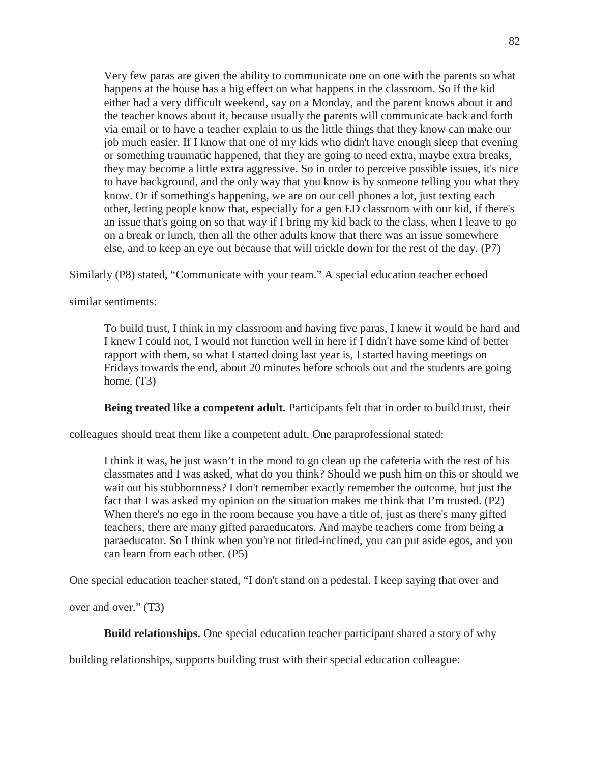Very few paras are given the ability to communicate one on one with the parents so what happens at the house has a big effect on what happens in the classroom. So if the kid either had a very difficult weekend, say on a Monday, and the parent knows about it and the teacher knows about it, because usually the parents will communicate back and forth via email or to have a teacher explain to us the little things that they know can make our job much easier. If I know that one of my kids who didn't have enough sleep that evening or something traumatic happened, that they are going to need extra, maybe extra breaks, they may become a little extra aggressive. So in order to perceive possible issues, it's nice to have background, and the only way that you know is by someone telling you what they know. Or if something's happening, we are on our cell phones a lot, just texting each other, letting people know that, especially for a gen ED classroom with our kid, if there's an issue that's going on so that way if I bring my kid back to the class, when I leave to go on a break or lunch, then all the other adults know that there was an issue somewhere else, and to keep an eye out because that will trickle down for the rest of the day. (P7)

Similarly (P8) stated, "Communicate with your team." A special education teacher echoed

similar sentiments:

To build trust, I think in my classroom and having five paras, I knew it would be hard and I knew I could not, I would not function well in here if I didn't have some kind of better rapport with them, so what I started doing last year is, I started having meetings on Fridays towards the end, about 20 minutes before schools out and the students are going home.  $(T3)$ 

**Being treated like a competent adult.** Participants felt that in order to build trust, their

colleagues should treat them like a competent adult. One paraprofessional stated:

I think it was, he just wasn't in the mood to go clean up the cafeteria with the rest of his classmates and I was asked, what do you think? Should we push him on this or should we wait out his stubbornness? I don't remember exactly remember the outcome, but just the fact that I was asked my opinion on the situation makes me think that I'm trusted. (P2) When there's no ego in the room because you have a title of, just as there's many gifted teachers, there are many gifted paraeducators. And maybe teachers come from being a paraeducator. So I think when you're not titled-inclined, you can put aside egos, and you can learn from each other. (P5)

One special education teacher stated, "I don't stand on a pedestal. I keep saying that over and

over and over." (T3)

**Build relationships.** One special education teacher participant shared a story of why

building relationships, supports building trust with their special education colleague: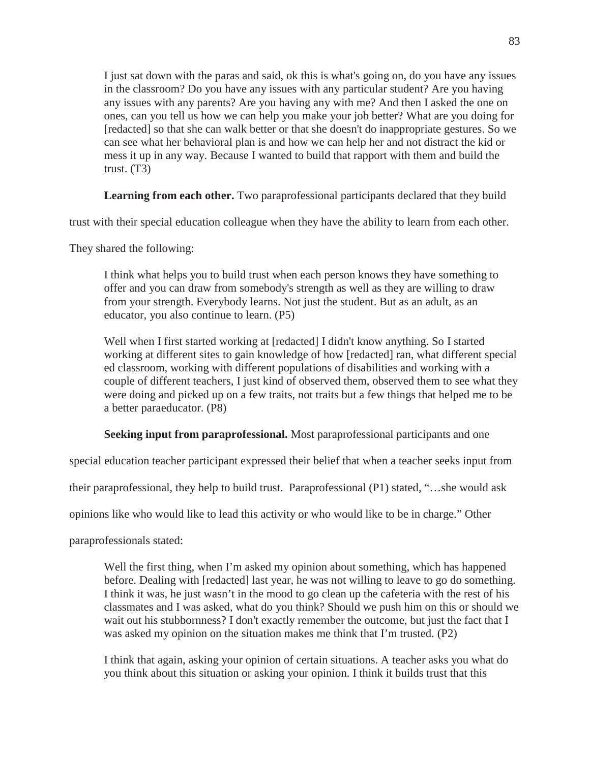I just sat down with the paras and said, ok this is what's going on, do you have any issues in the classroom? Do you have any issues with any particular student? Are you having any issues with any parents? Are you having any with me? And then I asked the one on ones, can you tell us how we can help you make your job better? What are you doing for [redacted] so that she can walk better or that she doesn't do inappropriate gestures. So we can see what her behavioral plan is and how we can help her and not distract the kid or mess it up in any way. Because I wanted to build that rapport with them and build the trust.  $(T3)$ 

Learning from each other. Two paraprofessional participants declared that they build

trust with their special education colleague when they have the ability to learn from each other.

They shared the following:

I think what helps you to build trust when each person knows they have something to offer and you can draw from somebody's strength as well as they are willing to draw from your strength. Everybody learns. Not just the student. But as an adult, as an educator, you also continue to learn. (P5)

Well when I first started working at [redacted] I didn't know anything. So I started working at different sites to gain knowledge of how [redacted] ran, what different special ed classroom, working with different populations of disabilities and working with a couple of different teachers, I just kind of observed them, observed them to see what they were doing and picked up on a few traits, not traits but a few things that helped me to be a better paraeducator. (P8)

**Seeking input from paraprofessional.** Most paraprofessional participants and one

special education teacher participant expressed their belief that when a teacher seeks input from

their paraprofessional, they help to build trust. Paraprofessional (P1) stated, "…she would ask

opinions like who would like to lead this activity or who would like to be in charge." Other

paraprofessionals stated:

Well the first thing, when I'm asked my opinion about something, which has happened before. Dealing with [redacted] last year, he was not willing to leave to go do something. I think it was, he just wasn't in the mood to go clean up the cafeteria with the rest of his classmates and I was asked, what do you think? Should we push him on this or should we wait out his stubbornness? I don't exactly remember the outcome, but just the fact that I was asked my opinion on the situation makes me think that I'm trusted. (P2)

I think that again, asking your opinion of certain situations. A teacher asks you what do you think about this situation or asking your opinion. I think it builds trust that this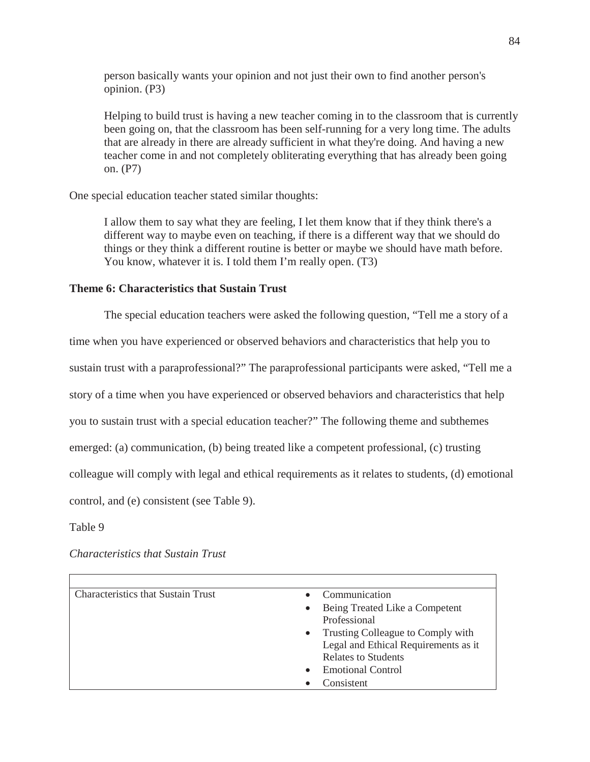person basically wants your opinion and not just their own to find another person's opinion. (P3)

Helping to build trust is having a new teacher coming in to the classroom that is currently been going on, that the classroom has been self-running for a very long time. The adults that are already in there are already sufficient in what they're doing. And having a new teacher come in and not completely obliterating everything that has already been going on. (P7)

One special education teacher stated similar thoughts:

I allow them to say what they are feeling, I let them know that if they think there's a different way to maybe even on teaching, if there is a different way that we should do things or they think a different routine is better or maybe we should have math before. You know, whatever it is. I told them I'm really open. (T3)

### **Theme 6: Characteristics that Sustain Trust**

The special education teachers were asked the following question, "Tell me a story of a time when you have experienced or observed behaviors and characteristics that help you to sustain trust with a paraprofessional?" The paraprofessional participants were asked, "Tell me a story of a time when you have experienced or observed behaviors and characteristics that help you to sustain trust with a special education teacher?" The following theme and subthemes emerged: (a) communication, (b) being treated like a competent professional, (c) trusting colleague will comply with legal and ethical requirements as it relates to students, (d) emotional control, and (e) consistent (see Table 9).

Table 9

*Characteristics that Sustain Trust*

| <b>Characteristics that Sustain Trust</b> |           | Communication                        |
|-------------------------------------------|-----------|--------------------------------------|
|                                           | $\bullet$ | Being Treated Like a Competent       |
|                                           |           | Professional                         |
|                                           | $\bullet$ | Trusting Colleague to Comply with    |
|                                           |           | Legal and Ethical Requirements as it |
|                                           |           | <b>Relates to Students</b>           |
|                                           | $\bullet$ | <b>Emotional Control</b>             |
|                                           |           | Consistent                           |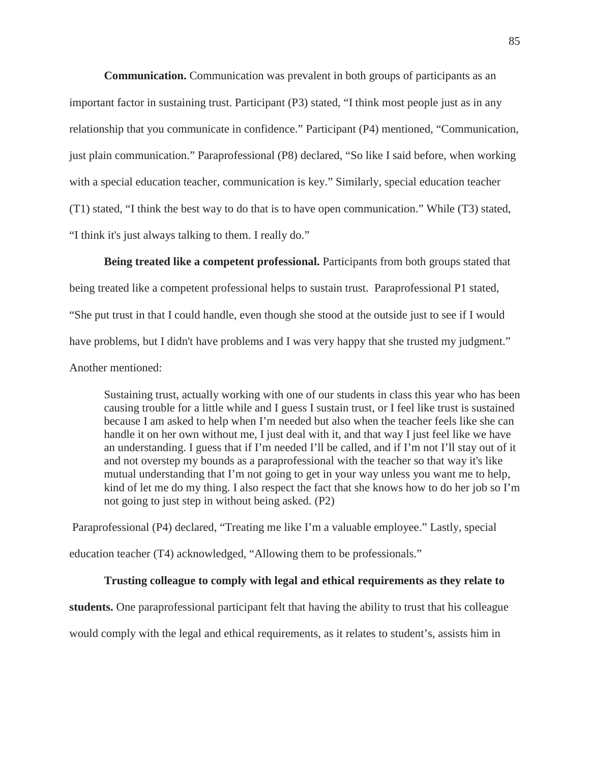**Communication.** Communication was prevalent in both groups of participants as an important factor in sustaining trust. Participant (P3) stated, "I think most people just as in any relationship that you communicate in confidence." Participant (P4) mentioned, "Communication, just plain communication." Paraprofessional (P8) declared, "So like I said before, when working with a special education teacher, communication is key." Similarly, special education teacher (T1) stated, "I think the best way to do that is to have open communication." While (T3) stated, "I think it's just always talking to them. I really do."

**Being treated like a competent professional.** Participants from both groups stated that being treated like a competent professional helps to sustain trust. Paraprofessional P1 stated, "She put trust in that I could handle, even though she stood at the outside just to see if I would have problems, but I didn't have problems and I was very happy that she trusted my judgment." Another mentioned:

Sustaining trust, actually working with one of our students in class this year who has been causing trouble for a little while and I guess I sustain trust, or I feel like trust is sustained because I am asked to help when I'm needed but also when the teacher feels like she can handle it on her own without me, I just deal with it, and that way I just feel like we have an understanding. I guess that if I'm needed I'll be called, and if I'm not I'll stay out of it and not overstep my bounds as a paraprofessional with the teacher so that way it's like mutual understanding that I'm not going to get in your way unless you want me to help, kind of let me do my thing. I also respect the fact that she knows how to do her job so I'm not going to just step in without being asked. (P2)

Paraprofessional (P4) declared, "Treating me like I'm a valuable employee." Lastly, special education teacher (T4) acknowledged, "Allowing them to be professionals."

### **Trusting colleague to comply with legal and ethical requirements as they relate to**

**students.** One paraprofessional participant felt that having the ability to trust that his colleague

would comply with the legal and ethical requirements, as it relates to student's, assists him in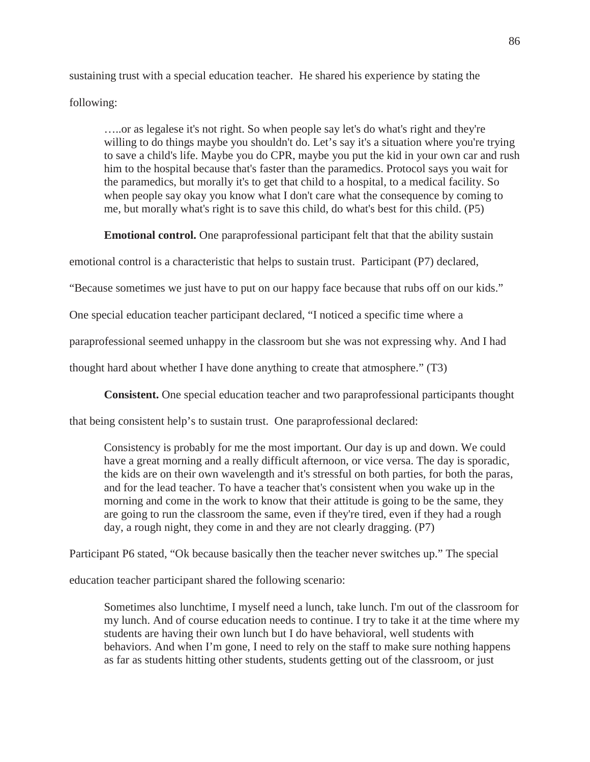sustaining trust with a special education teacher. He shared his experience by stating the following:

…..or as legalese it's not right. So when people say let's do what's right and they're willing to do things maybe you shouldn't do. Let's say it's a situation where you're trying to save a child's life. Maybe you do CPR, maybe you put the kid in your own car and rush him to the hospital because that's faster than the paramedics. Protocol says you wait for the paramedics, but morally it's to get that child to a hospital, to a medical facility. So when people say okay you know what I don't care what the consequence by coming to me, but morally what's right is to save this child, do what's best for this child. (P5)

**Emotional control.** One paraprofessional participant felt that that the ability sustain

emotional control is a characteristic that helps to sustain trust. Participant (P7) declared,

"Because sometimes we just have to put on our happy face because that rubs off on our kids."

One special education teacher participant declared, "I noticed a specific time where a

paraprofessional seemed unhappy in the classroom but she was not expressing why. And I had

thought hard about whether I have done anything to create that atmosphere." (T3)

**Consistent.** One special education teacher and two paraprofessional participants thought

that being consistent help's to sustain trust. One paraprofessional declared:

Consistency is probably for me the most important. Our day is up and down. We could have a great morning and a really difficult afternoon, or vice versa. The day is sporadic, the kids are on their own wavelength and it's stressful on both parties, for both the paras, and for the lead teacher. To have a teacher that's consistent when you wake up in the morning and come in the work to know that their attitude is going to be the same, they are going to run the classroom the same, even if they're tired, even if they had a rough day, a rough night, they come in and they are not clearly dragging. (P7)

Participant P6 stated, "Ok because basically then the teacher never switches up." The special

education teacher participant shared the following scenario:

Sometimes also lunchtime, I myself need a lunch, take lunch. I'm out of the classroom for my lunch. And of course education needs to continue. I try to take it at the time where my students are having their own lunch but I do have behavioral, well students with behaviors. And when I'm gone, I need to rely on the staff to make sure nothing happens as far as students hitting other students, students getting out of the classroom, or just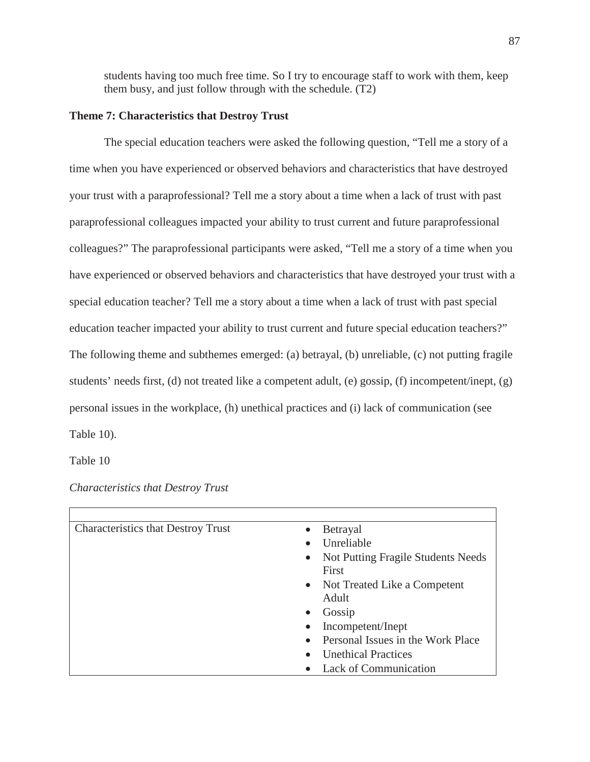students having too much free time. So I try to encourage staff to work with them, keep them busy, and just follow through with the schedule. (T2)

## **Theme 7: Characteristics that Destroy Trust**

The special education teachers were asked the following question, "Tell me a story of a time when you have experienced or observed behaviors and characteristics that have destroyed your trust with a paraprofessional? Tell me a story about a time when a lack of trust with past paraprofessional colleagues impacted your ability to trust current and future paraprofessional colleagues?" The paraprofessional participants were asked, "Tell me a story of a time when you have experienced or observed behaviors and characteristics that have destroyed your trust with a special education teacher? Tell me a story about a time when a lack of trust with past special education teacher impacted your ability to trust current and future special education teachers?" The following theme and subthemes emerged: (a) betrayal, (b) unreliable, (c) not putting fragile students' needs first, (d) not treated like a competent adult, (e) gossip, (f) incompetent/inept, (g) personal issues in the workplace, (h) unethical practices and (i) lack of communication (see Table 10).

Table 10

## *Characteristics that Destroy Trust*

| <b>Characteristics that Destroy Trust</b><br>$\bullet$ | Betrayal                           |
|--------------------------------------------------------|------------------------------------|
| $\bullet$                                              | Unreliable                         |
| $\bullet$                                              | Not Putting Fragile Students Needs |
|                                                        | First                              |
|                                                        | • Not Treated Like a Competent     |
|                                                        | Adult                              |
| $\bullet$                                              | Gossip                             |
| $\bullet$                                              | Incompetent/Inept                  |
| $\bullet$                                              | Personal Issues in the Work Place  |
| $\bullet$                                              | <b>Unethical Practices</b>         |
|                                                        | Lack of Communication              |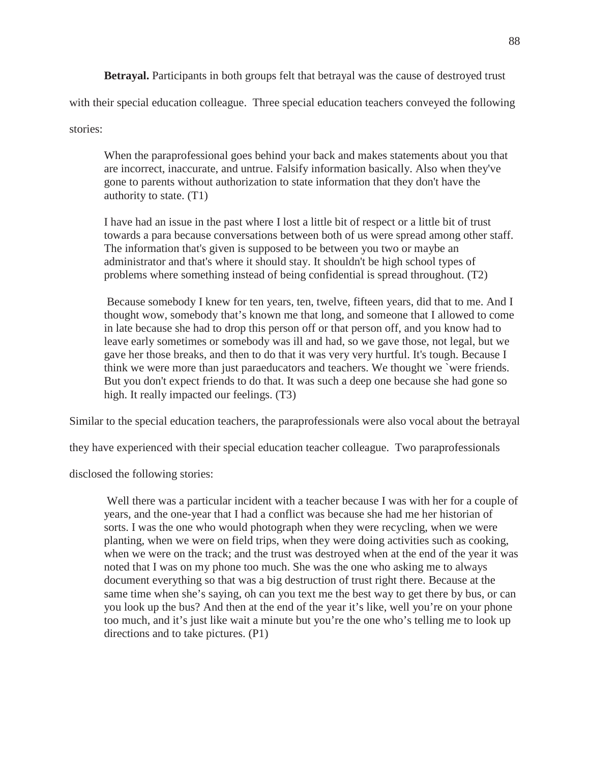**Betrayal.** Participants in both groups felt that betrayal was the cause of destroyed trust

with their special education colleague. Three special education teachers conveyed the following

stories:

When the paraprofessional goes behind your back and makes statements about you that are incorrect, inaccurate, and untrue. Falsify information basically. Also when they've gone to parents without authorization to state information that they don't have the authority to state. (T1)

I have had an issue in the past where I lost a little bit of respect or a little bit of trust towards a para because conversations between both of us were spread among other staff. The information that's given is supposed to be between you two or maybe an administrator and that's where it should stay. It shouldn't be high school types of problems where something instead of being confidential is spread throughout. (T2)

Because somebody I knew for ten years, ten, twelve, fifteen years, did that to me. And I thought wow, somebody that's known me that long, and someone that I allowed to come in late because she had to drop this person off or that person off, and you know had to leave early sometimes or somebody was ill and had, so we gave those, not legal, but we gave her those breaks, and then to do that it was very very hurtful. It's tough. Because I think we were more than just paraeducators and teachers. We thought we `were friends. But you don't expect friends to do that. It was such a deep one because she had gone so high. It really impacted our feelings.  $(T3)$ 

Similar to the special education teachers, the paraprofessionals were also vocal about the betrayal

they have experienced with their special education teacher colleague. Two paraprofessionals

disclosed the following stories:

Well there was a particular incident with a teacher because I was with her for a couple of years, and the one-year that I had a conflict was because she had me her historian of sorts. I was the one who would photograph when they were recycling, when we were planting, when we were on field trips, when they were doing activities such as cooking, when we were on the track; and the trust was destroyed when at the end of the year it was noted that I was on my phone too much. She was the one who asking me to always document everything so that was a big destruction of trust right there. Because at the same time when she's saying, oh can you text me the best way to get there by bus, or can you look up the bus? And then at the end of the year it's like, well you're on your phone too much, and it's just like wait a minute but you're the one who's telling me to look up directions and to take pictures. (P1)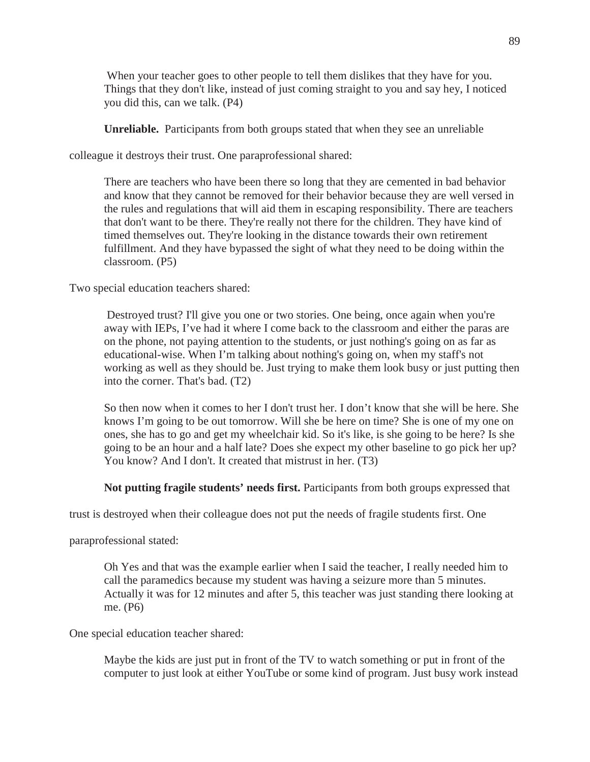When your teacher goes to other people to tell them dislikes that they have for you. Things that they don't like, instead of just coming straight to you and say hey, I noticed you did this, can we talk. (P4)

**Unreliable.** Participants from both groups stated that when they see an unreliable

colleague it destroys their trust. One paraprofessional shared:

There are teachers who have been there so long that they are cemented in bad behavior and know that they cannot be removed for their behavior because they are well versed in the rules and regulations that will aid them in escaping responsibility. There are teachers that don't want to be there. They're really not there for the children. They have kind of timed themselves out. They're looking in the distance towards their own retirement fulfillment. And they have bypassed the sight of what they need to be doing within the classroom. (P5)

Two special education teachers shared:

Destroyed trust? I'll give you one or two stories. One being, once again when you're away with IEPs, I've had it where I come back to the classroom and either the paras are on the phone, not paying attention to the students, or just nothing's going on as far as educational-wise. When I'm talking about nothing's going on, when my staff's not working as well as they should be. Just trying to make them look busy or just putting then into the corner. That's bad. (T2)

So then now when it comes to her I don't trust her. I don't know that she will be here. She knows I'm going to be out tomorrow. Will she be here on time? She is one of my one on ones, she has to go and get my wheelchair kid. So it's like, is she going to be here? Is she going to be an hour and a half late? Does she expect my other baseline to go pick her up? You know? And I don't. It created that mistrust in her. (T3)

**Not putting fragile students' needs first.** Participants from both groups expressed that

trust is destroyed when their colleague does not put the needs of fragile students first. One

paraprofessional stated:

Oh Yes and that was the example earlier when I said the teacher, I really needed him to call the paramedics because my student was having a seizure more than 5 minutes. Actually it was for 12 minutes and after 5, this teacher was just standing there looking at me. (P6)

One special education teacher shared:

Maybe the kids are just put in front of the TV to watch something or put in front of the computer to just look at either YouTube or some kind of program. Just busy work instead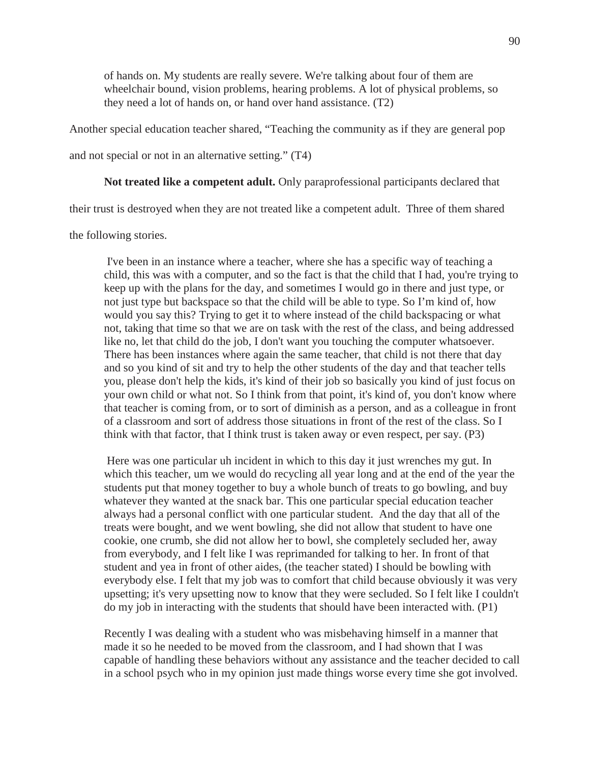of hands on. My students are really severe. We're talking about four of them are wheelchair bound, vision problems, hearing problems. A lot of physical problems, so they need a lot of hands on, or hand over hand assistance. (T2)

Another special education teacher shared, "Teaching the community as if they are general pop

and not special or not in an alternative setting." (T4)

## **Not treated like a competent adult.** Only paraprofessional participants declared that

their trust is destroyed when they are not treated like a competent adult. Three of them shared

the following stories.

I've been in an instance where a teacher, where she has a specific way of teaching a child, this was with a computer, and so the fact is that the child that I had, you're trying to keep up with the plans for the day, and sometimes I would go in there and just type, or not just type but backspace so that the child will be able to type. So I'm kind of, how would you say this? Trying to get it to where instead of the child backspacing or what not, taking that time so that we are on task with the rest of the class, and being addressed like no, let that child do the job, I don't want you touching the computer whatsoever. There has been instances where again the same teacher, that child is not there that day and so you kind of sit and try to help the other students of the day and that teacher tells you, please don't help the kids, it's kind of their job so basically you kind of just focus on your own child or what not. So I think from that point, it's kind of, you don't know where that teacher is coming from, or to sort of diminish as a person, and as a colleague in front of a classroom and sort of address those situations in front of the rest of the class. So I think with that factor, that I think trust is taken away or even respect, per say. (P3)

Here was one particular uh incident in which to this day it just wrenches my gut. In which this teacher, um we would do recycling all year long and at the end of the year the students put that money together to buy a whole bunch of treats to go bowling, and buy whatever they wanted at the snack bar. This one particular special education teacher always had a personal conflict with one particular student. And the day that all of the treats were bought, and we went bowling, she did not allow that student to have one cookie, one crumb, she did not allow her to bowl, she completely secluded her, away from everybody, and I felt like I was reprimanded for talking to her. In front of that student and yea in front of other aides, (the teacher stated) I should be bowling with everybody else. I felt that my job was to comfort that child because obviously it was very upsetting; it's very upsetting now to know that they were secluded. So I felt like I couldn't do my job in interacting with the students that should have been interacted with. (P1)

Recently I was dealing with a student who was misbehaving himself in a manner that made it so he needed to be moved from the classroom, and I had shown that I was capable of handling these behaviors without any assistance and the teacher decided to call in a school psych who in my opinion just made things worse every time she got involved.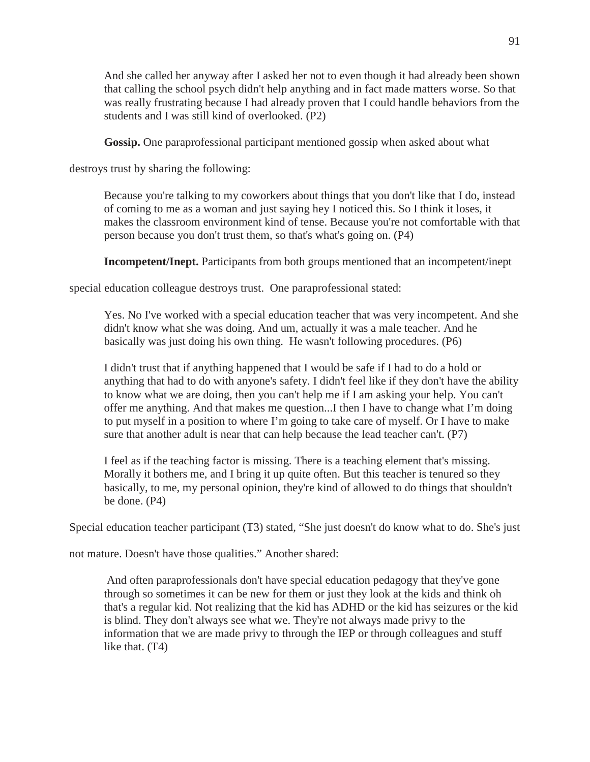And she called her anyway after I asked her not to even though it had already been shown that calling the school psych didn't help anything and in fact made matters worse. So that was really frustrating because I had already proven that I could handle behaviors from the students and I was still kind of overlooked. (P2)

**Gossip.** One paraprofessional participant mentioned gossip when asked about what

destroys trust by sharing the following:

Because you're talking to my coworkers about things that you don't like that I do, instead of coming to me as a woman and just saying hey I noticed this. So I think it loses, it makes the classroom environment kind of tense. Because you're not comfortable with that person because you don't trust them, so that's what's going on. (P4)

**Incompetent/Inept.** Participants from both groups mentioned that an incompetent/inept

special education colleague destroys trust. One paraprofessional stated:

Yes. No I've worked with a special education teacher that was very incompetent. And she didn't know what she was doing. And um, actually it was a male teacher. And he basically was just doing his own thing. He wasn't following procedures. (P6)

I didn't trust that if anything happened that I would be safe if I had to do a hold or anything that had to do with anyone's safety. I didn't feel like if they don't have the ability to know what we are doing, then you can't help me if I am asking your help. You can't offer me anything. And that makes me question...I then I have to change what I'm doing to put myself in a position to where I'm going to take care of myself. Or I have to make sure that another adult is near that can help because the lead teacher can't. (P7)

I feel as if the teaching factor is missing. There is a teaching element that's missing. Morally it bothers me, and I bring it up quite often. But this teacher is tenured so they basically, to me, my personal opinion, they're kind of allowed to do things that shouldn't be done. (P4)

Special education teacher participant (T3) stated, "She just doesn't do know what to do. She's just

not mature. Doesn't have those qualities." Another shared:

And often paraprofessionals don't have special education pedagogy that they've gone through so sometimes it can be new for them or just they look at the kids and think oh that's a regular kid. Not realizing that the kid has ADHD or the kid has seizures or the kid is blind. They don't always see what we. They're not always made privy to the information that we are made privy to through the IEP or through colleagues and stuff like that. (T4)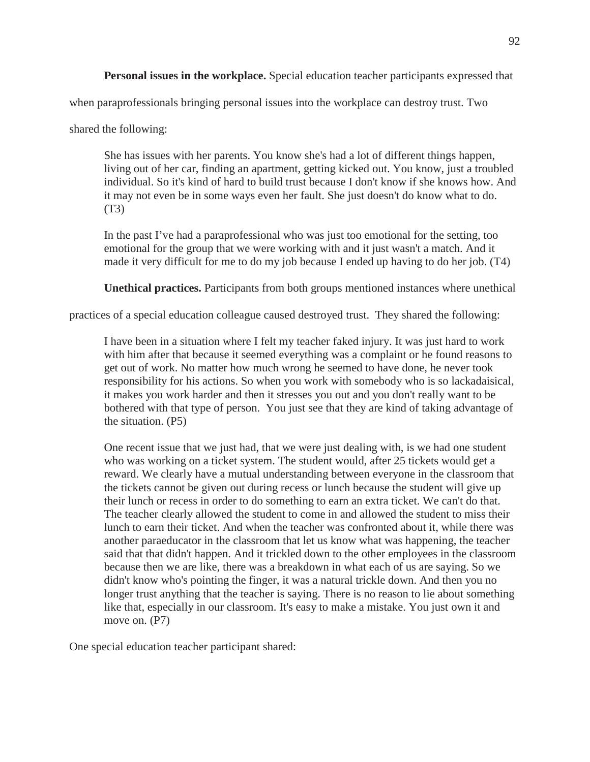**Personal issues in the workplace.** Special education teacher participants expressed that

when paraprofessionals bringing personal issues into the workplace can destroy trust. Two

shared the following:

She has issues with her parents. You know she's had a lot of different things happen, living out of her car, finding an apartment, getting kicked out. You know, just a troubled individual. So it's kind of hard to build trust because I don't know if she knows how. And it may not even be in some ways even her fault. She just doesn't do know what to do. (T3)

In the past I've had a paraprofessional who was just too emotional for the setting, too emotional for the group that we were working with and it just wasn't a match. And it made it very difficult for me to do my job because I ended up having to do her job. (T4)

**Unethical practices.** Participants from both groups mentioned instances where unethical

practices of a special education colleague caused destroyed trust. They shared the following:

I have been in a situation where I felt my teacher faked injury. It was just hard to work with him after that because it seemed everything was a complaint or he found reasons to get out of work. No matter how much wrong he seemed to have done, he never took responsibility for his actions. So when you work with somebody who is so lackadaisical, it makes you work harder and then it stresses you out and you don't really want to be bothered with that type of person. You just see that they are kind of taking advantage of the situation. (P5)

One recent issue that we just had, that we were just dealing with, is we had one student who was working on a ticket system. The student would, after 25 tickets would get a reward. We clearly have a mutual understanding between everyone in the classroom that the tickets cannot be given out during recess or lunch because the student will give up their lunch or recess in order to do something to earn an extra ticket. We can't do that. The teacher clearly allowed the student to come in and allowed the student to miss their lunch to earn their ticket. And when the teacher was confronted about it, while there was another paraeducator in the classroom that let us know what was happening, the teacher said that that didn't happen. And it trickled down to the other employees in the classroom because then we are like, there was a breakdown in what each of us are saying. So we didn't know who's pointing the finger, it was a natural trickle down. And then you no longer trust anything that the teacher is saying. There is no reason to lie about something like that, especially in our classroom. It's easy to make a mistake. You just own it and move on. (P7)

One special education teacher participant shared: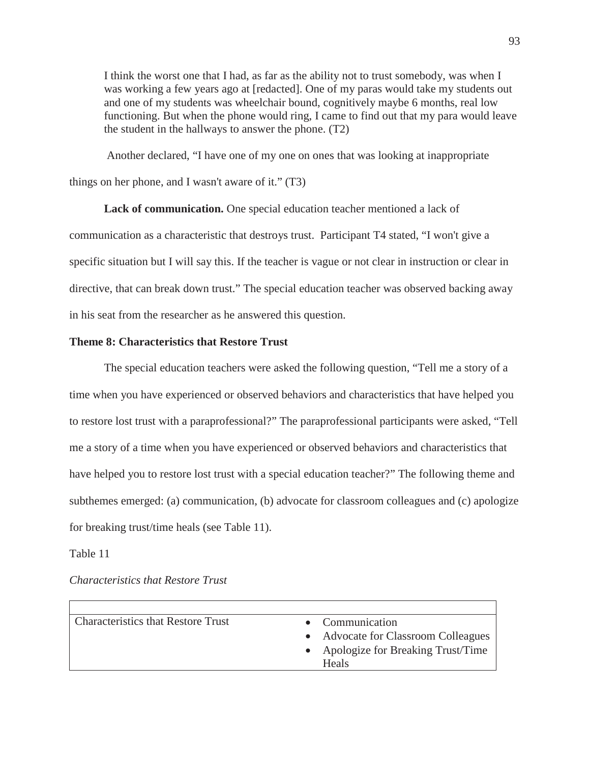I think the worst one that I had, as far as the ability not to trust somebody, was when I was working a few years ago at [redacted]. One of my paras would take my students out and one of my students was wheelchair bound, cognitively maybe 6 months, real low functioning. But when the phone would ring, I came to find out that my para would leave the student in the hallways to answer the phone. (T2)

Another declared, "I have one of my one on ones that was looking at inappropriate things on her phone, and I wasn't aware of it." (T3)

**Lack of communication.** One special education teacher mentioned a lack of communication as a characteristic that destroys trust. Participant T4 stated, "I won't give a specific situation but I will say this. If the teacher is vague or not clear in instruction or clear in directive, that can break down trust." The special education teacher was observed backing away in his seat from the researcher as he answered this question.

## **Theme 8: Characteristics that Restore Trust**

The special education teachers were asked the following question, "Tell me a story of a time when you have experienced or observed behaviors and characteristics that have helped you to restore lost trust with a paraprofessional?" The paraprofessional participants were asked, "Tell me a story of a time when you have experienced or observed behaviors and characteristics that have helped you to restore lost trust with a special education teacher?" The following theme and subthemes emerged: (a) communication, (b) advocate for classroom colleagues and (c) apologize for breaking trust/time heals (see Table 11).

### Table 11

| <b>Characteristics that Restore Trust</b> | • Communication                     |
|-------------------------------------------|-------------------------------------|
|                                           | • Advocate for Classroom Colleagues |
|                                           | • Apologize for Breaking Trust/Time |
|                                           | Heals                               |
|                                           |                                     |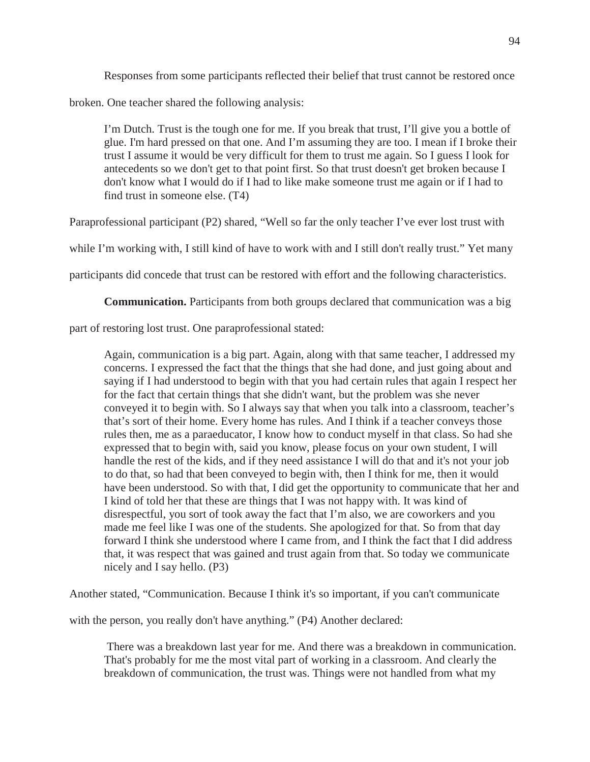Responses from some participants reflected their belief that trust cannot be restored once

broken. One teacher shared the following analysis:

I'm Dutch. Trust is the tough one for me. If you break that trust, I'll give you a bottle of glue. I'm hard pressed on that one. And I'm assuming they are too. I mean if I broke their trust I assume it would be very difficult for them to trust me again. So I guess I look for antecedents so we don't get to that point first. So that trust doesn't get broken because I don't know what I would do if I had to like make someone trust me again or if I had to find trust in someone else. (T4)

Paraprofessional participant (P2) shared, "Well so far the only teacher I've ever lost trust with

while I'm working with, I still kind of have to work with and I still don't really trust." Yet many

participants did concede that trust can be restored with effort and the following characteristics.

**Communication.** Participants from both groups declared that communication was a big

part of restoring lost trust. One paraprofessional stated:

Again, communication is a big part. Again, along with that same teacher, I addressed my concerns. I expressed the fact that the things that she had done, and just going about and saying if I had understood to begin with that you had certain rules that again I respect her for the fact that certain things that she didn't want, but the problem was she never conveyed it to begin with. So I always say that when you talk into a classroom, teacher's that's sort of their home. Every home has rules. And I think if a teacher conveys those rules then, me as a paraeducator, I know how to conduct myself in that class. So had she expressed that to begin with, said you know, please focus on your own student, I will handle the rest of the kids, and if they need assistance I will do that and it's not your job to do that, so had that been conveyed to begin with, then I think for me, then it would have been understood. So with that, I did get the opportunity to communicate that her and I kind of told her that these are things that I was not happy with. It was kind of disrespectful, you sort of took away the fact that I'm also, we are coworkers and you made me feel like I was one of the students. She apologized for that. So from that day forward I think she understood where I came from, and I think the fact that I did address that, it was respect that was gained and trust again from that. So today we communicate nicely and I say hello. (P3)

Another stated, "Communication. Because I think it's so important, if you can't communicate

with the person, you really don't have anything." (P4) Another declared:

There was a breakdown last year for me. And there was a breakdown in communication. That's probably for me the most vital part of working in a classroom. And clearly the breakdown of communication, the trust was. Things were not handled from what my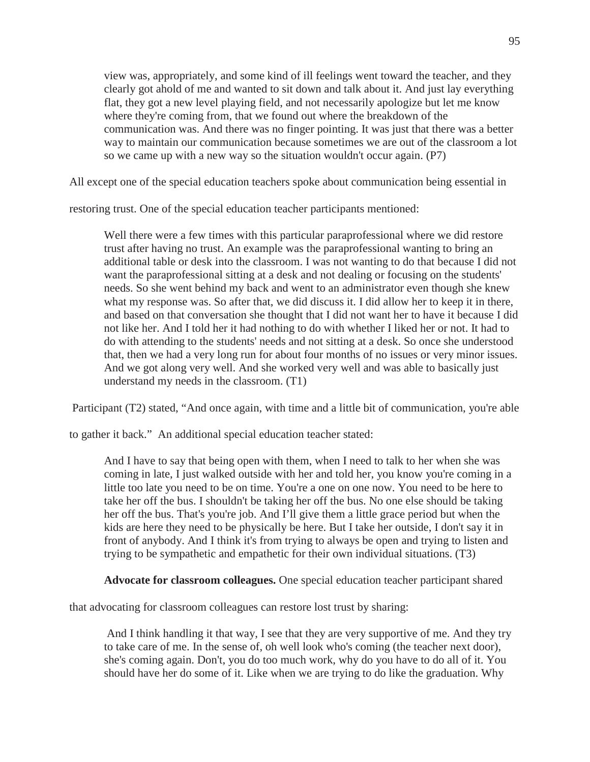view was, appropriately, and some kind of ill feelings went toward the teacher, and they clearly got ahold of me and wanted to sit down and talk about it. And just lay everything flat, they got a new level playing field, and not necessarily apologize but let me know where they're coming from, that we found out where the breakdown of the communication was. And there was no finger pointing. It was just that there was a better way to maintain our communication because sometimes we are out of the classroom a lot so we came up with a new way so the situation wouldn't occur again. (P7)

All except one of the special education teachers spoke about communication being essential in

restoring trust. One of the special education teacher participants mentioned:

Well there were a few times with this particular paraprofessional where we did restore trust after having no trust. An example was the paraprofessional wanting to bring an additional table or desk into the classroom. I was not wanting to do that because I did not want the paraprofessional sitting at a desk and not dealing or focusing on the students' needs. So she went behind my back and went to an administrator even though she knew what my response was. So after that, we did discuss it. I did allow her to keep it in there, and based on that conversation she thought that I did not want her to have it because I did not like her. And I told her it had nothing to do with whether I liked her or not. It had to do with attending to the students' needs and not sitting at a desk. So once she understood that, then we had a very long run for about four months of no issues or very minor issues. And we got along very well. And she worked very well and was able to basically just understand my needs in the classroom. (T1)

Participant (T2) stated, "And once again, with time and a little bit of communication, you're able

to gather it back." An additional special education teacher stated:

And I have to say that being open with them, when I need to talk to her when she was coming in late, I just walked outside with her and told her, you know you're coming in a little too late you need to be on time. You're a one on one now. You need to be here to take her off the bus. I shouldn't be taking her off the bus. No one else should be taking her off the bus. That's you're job. And I'll give them a little grace period but when the kids are here they need to be physically be here. But I take her outside, I don't say it in front of anybody. And I think it's from trying to always be open and trying to listen and trying to be sympathetic and empathetic for their own individual situations. (T3)

**Advocate for classroom colleagues.** One special education teacher participant shared

that advocating for classroom colleagues can restore lost trust by sharing:

And I think handling it that way, I see that they are very supportive of me. And they try to take care of me. In the sense of, oh well look who's coming (the teacher next door), she's coming again. Don't, you do too much work, why do you have to do all of it. You should have her do some of it. Like when we are trying to do like the graduation. Why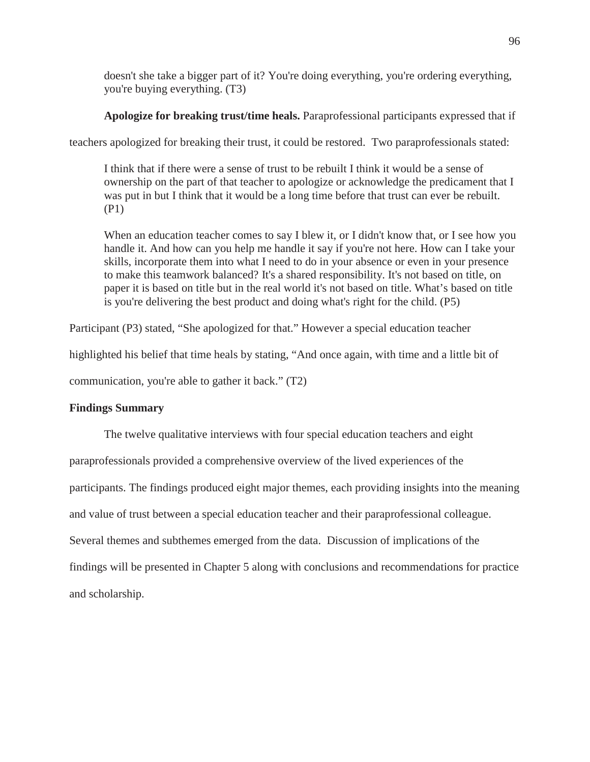doesn't she take a bigger part of it? You're doing everything, you're ordering everything, you're buying everything. (T3)

**Apologize for breaking trust/time heals.** Paraprofessional participants expressed that if

teachers apologized for breaking their trust, it could be restored. Two paraprofessionals stated:

I think that if there were a sense of trust to be rebuilt I think it would be a sense of ownership on the part of that teacher to apologize or acknowledge the predicament that I was put in but I think that it would be a long time before that trust can ever be rebuilt. (P1)

When an education teacher comes to say I blew it, or I didn't know that, or I see how you handle it. And how can you help me handle it say if you're not here. How can I take your skills, incorporate them into what I need to do in your absence or even in your presence to make this teamwork balanced? It's a shared responsibility. It's not based on title, on paper it is based on title but in the real world it's not based on title. What's based on title is you're delivering the best product and doing what's right for the child. (P5)

Participant (P3) stated, "She apologized for that." However a special education teacher

highlighted his belief that time heals by stating, "And once again, with time and a little bit of

communication, you're able to gather it back." (T2)

# **Findings Summary**

The twelve qualitative interviews with four special education teachers and eight paraprofessionals provided a comprehensive overview of the lived experiences of the participants. The findings produced eight major themes, each providing insights into the meaning and value of trust between a special education teacher and their paraprofessional colleague. Several themes and subthemes emerged from the data. Discussion of implications of the findings will be presented in Chapter 5 along with conclusions and recommendations for practice and scholarship.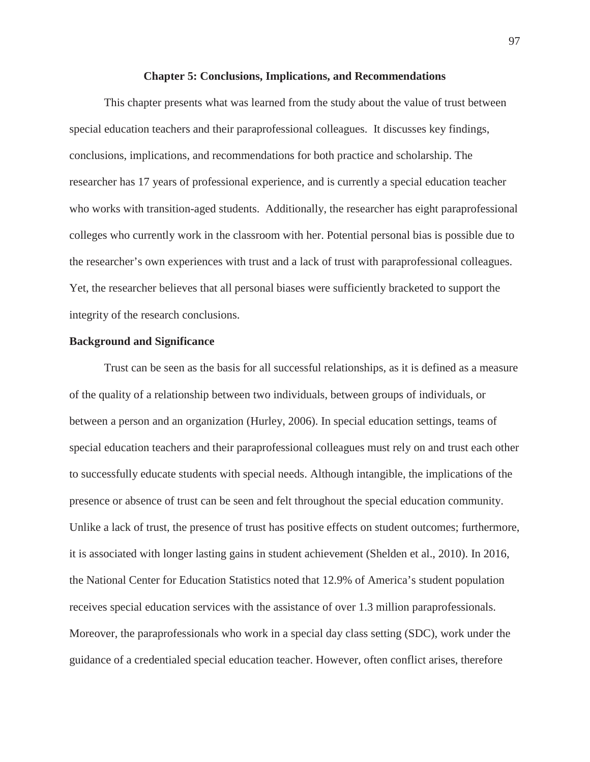### **Chapter 5: Conclusions, Implications, and Recommendations**

This chapter presents what was learned from the study about the value of trust between special education teachers and their paraprofessional colleagues. It discusses key findings, conclusions, implications, and recommendations for both practice and scholarship. The researcher has 17 years of professional experience, and is currently a special education teacher who works with transition-aged students. Additionally, the researcher has eight paraprofessional colleges who currently work in the classroom with her. Potential personal bias is possible due to the researcher's own experiences with trust and a lack of trust with paraprofessional colleagues. Yet, the researcher believes that all personal biases were sufficiently bracketed to support the integrity of the research conclusions.

# **Background and Significance**

Trust can be seen as the basis for all successful relationships, as it is defined as a measure of the quality of a relationship between two individuals, between groups of individuals, or between a person and an organization (Hurley, 2006). In special education settings, teams of special education teachers and their paraprofessional colleagues must rely on and trust each other to successfully educate students with special needs. Although intangible, the implications of the presence or absence of trust can be seen and felt throughout the special education community. Unlike a lack of trust, the presence of trust has positive effects on student outcomes; furthermore, it is associated with longer lasting gains in student achievement (Shelden et al., 2010). In 2016, the National Center for Education Statistics noted that 12.9% of America's student population receives special education services with the assistance of over 1.3 million paraprofessionals. Moreover, the paraprofessionals who work in a special day class setting (SDC), work under the guidance of a credentialed special education teacher. However, often conflict arises, therefore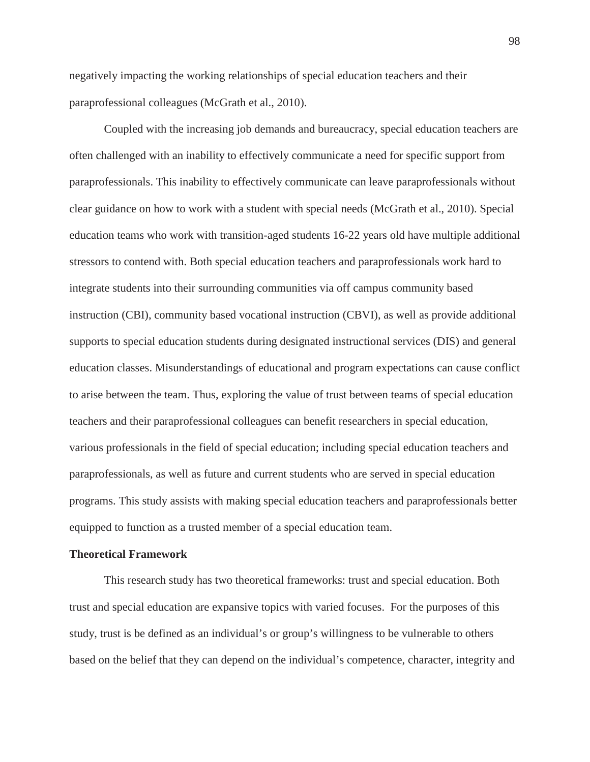negatively impacting the working relationships of special education teachers and their paraprofessional colleagues (McGrath et al., 2010).

Coupled with the increasing job demands and bureaucracy, special education teachers are often challenged with an inability to effectively communicate a need for specific support from paraprofessionals. This inability to effectively communicate can leave paraprofessionals without clear guidance on how to work with a student with special needs (McGrath et al., 2010). Special education teams who work with transition-aged students 16-22 years old have multiple additional stressors to contend with. Both special education teachers and paraprofessionals work hard to integrate students into their surrounding communities via off campus community based instruction (CBI), community based vocational instruction (CBVI), as well as provide additional supports to special education students during designated instructional services (DIS) and general education classes. Misunderstandings of educational and program expectations can cause conflict to arise between the team. Thus, exploring the value of trust between teams of special education teachers and their paraprofessional colleagues can benefit researchers in special education, various professionals in the field of special education; including special education teachers and paraprofessionals, as well as future and current students who are served in special education programs. This study assists with making special education teachers and paraprofessionals better equipped to function as a trusted member of a special education team.

### **Theoretical Framework**

This research study has two theoretical frameworks: trust and special education. Both trust and special education are expansive topics with varied focuses. For the purposes of this study, trust is be defined as an individual's or group's willingness to be vulnerable to others based on the belief that they can depend on the individual's competence, character, integrity and

98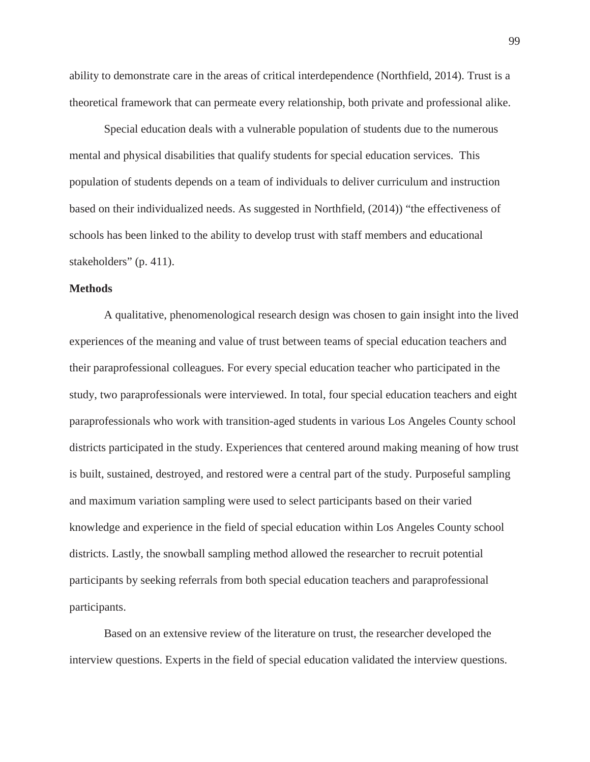ability to demonstrate care in the areas of critical interdependence (Northfield, 2014). Trust is a theoretical framework that can permeate every relationship, both private and professional alike.

Special education deals with a vulnerable population of students due to the numerous mental and physical disabilities that qualify students for special education services. This population of students depends on a team of individuals to deliver curriculum and instruction based on their individualized needs. As suggested in Northfield, (2014)) "the effectiveness of schools has been linked to the ability to develop trust with staff members and educational stakeholders" (p. 411).

### **Methods**

A qualitative, phenomenological research design was chosen to gain insight into the lived experiences of the meaning and value of trust between teams of special education teachers and their paraprofessional colleagues. For every special education teacher who participated in the study, two paraprofessionals were interviewed. In total, four special education teachers and eight paraprofessionals who work with transition-aged students in various Los Angeles County school districts participated in the study. Experiences that centered around making meaning of how trust is built, sustained, destroyed, and restored were a central part of the study. Purposeful sampling and maximum variation sampling were used to select participants based on their varied knowledge and experience in the field of special education within Los Angeles County school districts. Lastly, the snowball sampling method allowed the researcher to recruit potential participants by seeking referrals from both special education teachers and paraprofessional participants.

Based on an extensive review of the literature on trust, the researcher developed the interview questions. Experts in the field of special education validated the interview questions.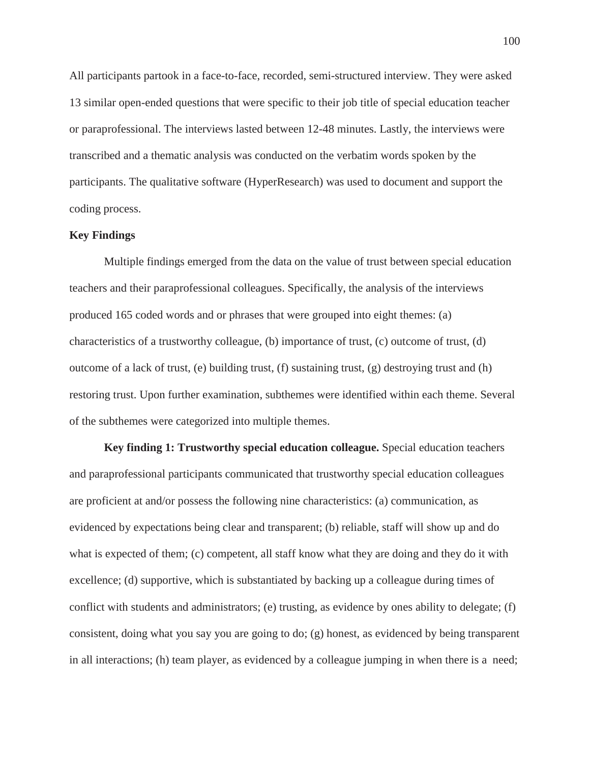All participants partook in a face-to-face, recorded, semi-structured interview. They were asked 13 similar open-ended questions that were specific to their job title of special education teacher or paraprofessional. The interviews lasted between 12-48 minutes. Lastly, the interviews were transcribed and a thematic analysis was conducted on the verbatim words spoken by the participants. The qualitative software (HyperResearch) was used to document and support the coding process.

# **Key Findings**

Multiple findings emerged from the data on the value of trust between special education teachers and their paraprofessional colleagues. Specifically, the analysis of the interviews produced 165 coded words and or phrases that were grouped into eight themes: (a) characteristics of a trustworthy colleague, (b) importance of trust, (c) outcome of trust, (d) outcome of a lack of trust, (e) building trust, (f) sustaining trust, (g) destroying trust and  $(h)$ restoring trust. Upon further examination, subthemes were identified within each theme. Several of the subthemes were categorized into multiple themes.

**Key finding 1: Trustworthy special education colleague.** Special education teachers and paraprofessional participants communicated that trustworthy special education colleagues are proficient at and/or possess the following nine characteristics: (a) communication, as evidenced by expectations being clear and transparent; (b) reliable, staff will show up and do what is expected of them; (c) competent, all staff know what they are doing and they do it with excellence; (d) supportive, which is substantiated by backing up a colleague during times of conflict with students and administrators; (e) trusting, as evidence by ones ability to delegate; (f) consistent, doing what you say you are going to do; (g) honest, as evidenced by being transparent in all interactions; (h) team player, as evidenced by a colleague jumping in when there is a need;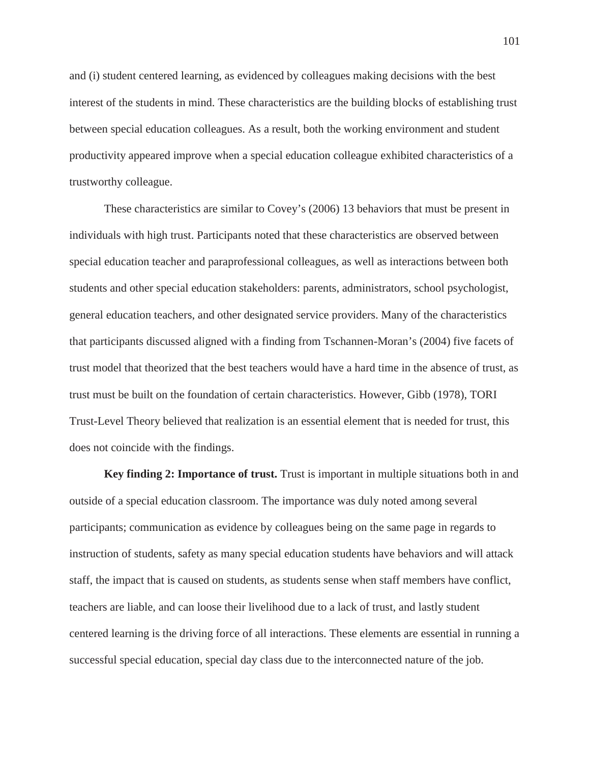and (i) student centered learning, as evidenced by colleagues making decisions with the best interest of the students in mind. These characteristics are the building blocks of establishing trust between special education colleagues. As a result, both the working environment and student productivity appeared improve when a special education colleague exhibited characteristics of a trustworthy colleague.

These characteristics are similar to Covey's (2006) 13 behaviors that must be present in individuals with high trust. Participants noted that these characteristics are observed between special education teacher and paraprofessional colleagues, as well as interactions between both students and other special education stakeholders: parents, administrators, school psychologist, general education teachers, and other designated service providers. Many of the characteristics that participants discussed aligned with a finding from Tschannen-Moran's (2004) five facets of trust model that theorized that the best teachers would have a hard time in the absence of trust, as trust must be built on the foundation of certain characteristics. However, Gibb (1978), TORI Trust-Level Theory believed that realization is an essential element that is needed for trust, this does not coincide with the findings.

**Key finding 2: Importance of trust.** Trust is important in multiple situations both in and outside of a special education classroom. The importance was duly noted among several participants; communication as evidence by colleagues being on the same page in regards to instruction of students, safety as many special education students have behaviors and will attack staff, the impact that is caused on students, as students sense when staff members have conflict, teachers are liable, and can loose their livelihood due to a lack of trust, and lastly student centered learning is the driving force of all interactions. These elements are essential in running a successful special education, special day class due to the interconnected nature of the job.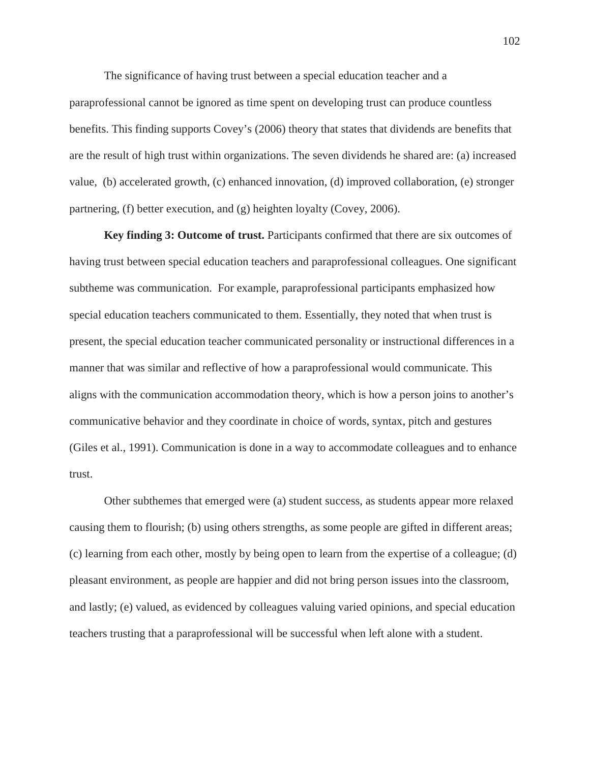The significance of having trust between a special education teacher and a paraprofessional cannot be ignored as time spent on developing trust can produce countless benefits. This finding supports Covey's (2006) theory that states that dividends are benefits that are the result of high trust within organizations. The seven dividends he shared are: (a) increased value, (b) accelerated growth, (c) enhanced innovation, (d) improved collaboration, (e) stronger partnering, (f) better execution, and (g) heighten loyalty (Covey, 2006).

**Key finding 3: Outcome of trust.** Participants confirmed that there are six outcomes of having trust between special education teachers and paraprofessional colleagues. One significant subtheme was communication. For example, paraprofessional participants emphasized how special education teachers communicated to them. Essentially, they noted that when trust is present, the special education teacher communicated personality or instructional differences in a manner that was similar and reflective of how a paraprofessional would communicate. This aligns with the communication accommodation theory, which is how a person joins to another's communicative behavior and they coordinate in choice of words, syntax, pitch and gestures (Giles et al., 1991). Communication is done in a way to accommodate colleagues and to enhance trust.

Other subthemes that emerged were (a) student success, as students appear more relaxed causing them to flourish; (b) using others strengths, as some people are gifted in different areas; (c) learning from each other, mostly by being open to learn from the expertise of a colleague; (d) pleasant environment, as people are happier and did not bring person issues into the classroom, and lastly; (e) valued, as evidenced by colleagues valuing varied opinions, and special education teachers trusting that a paraprofessional will be successful when left alone with a student.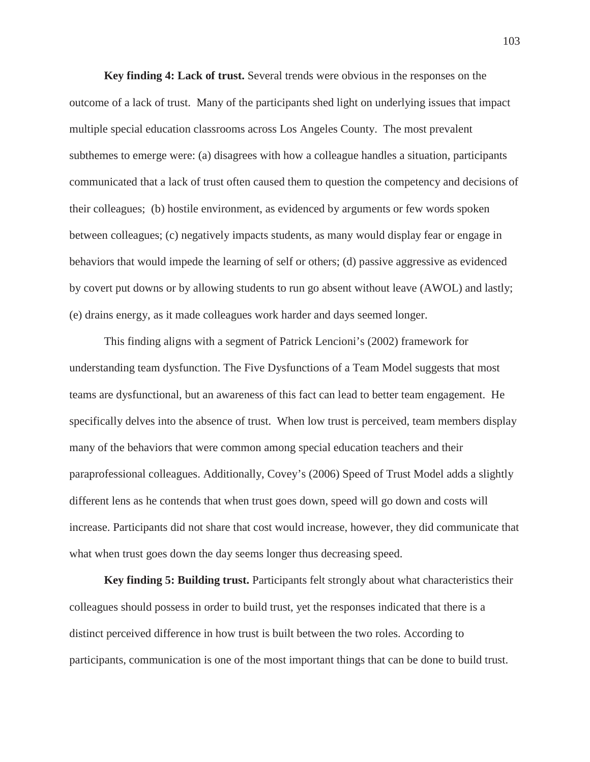**Key finding 4: Lack of trust.** Several trends were obvious in the responses on the outcome of a lack of trust. Many of the participants shed light on underlying issues that impact multiple special education classrooms across Los Angeles County. The most prevalent subthemes to emerge were: (a) disagrees with how a colleague handles a situation, participants communicated that a lack of trust often caused them to question the competency and decisions of their colleagues; (b) hostile environment, as evidenced by arguments or few words spoken between colleagues; (c) negatively impacts students, as many would display fear or engage in behaviors that would impede the learning of self or others; (d) passive aggressive as evidenced by covert put downs or by allowing students to run go absent without leave (AWOL) and lastly; (e) drains energy, as it made colleagues work harder and days seemed longer.

This finding aligns with a segment of Patrick Lencioni's (2002) framework for understanding team dysfunction. The Five Dysfunctions of a Team Model suggests that most teams are dysfunctional, but an awareness of this fact can lead to better team engagement. He specifically delves into the absence of trust. When low trust is perceived, team members display many of the behaviors that were common among special education teachers and their paraprofessional colleagues. Additionally, Covey's (2006) Speed of Trust Model adds a slightly different lens as he contends that when trust goes down, speed will go down and costs will increase. Participants did not share that cost would increase, however, they did communicate that what when trust goes down the day seems longer thus decreasing speed.

**Key finding 5: Building trust.** Participants felt strongly about what characteristics their colleagues should possess in order to build trust, yet the responses indicated that there is a distinct perceived difference in how trust is built between the two roles. According to participants, communication is one of the most important things that can be done to build trust.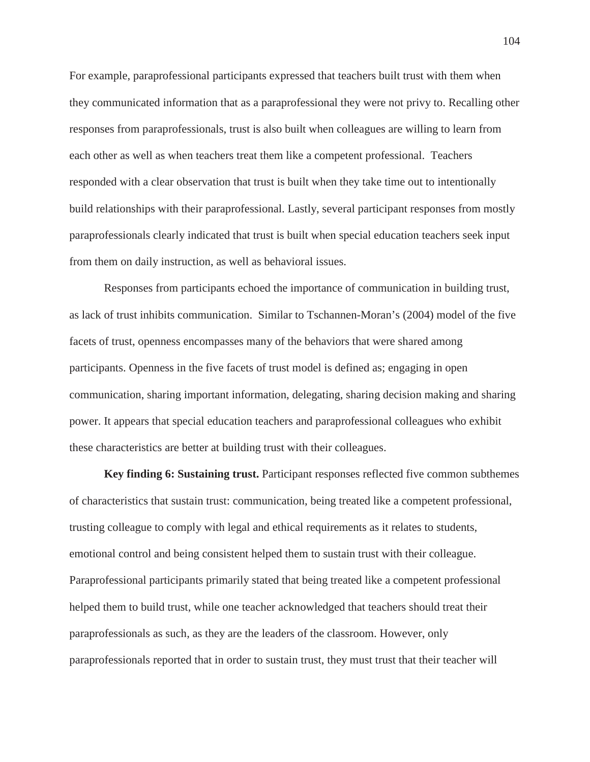For example, paraprofessional participants expressed that teachers built trust with them when they communicated information that as a paraprofessional they were not privy to. Recalling other responses from paraprofessionals, trust is also built when colleagues are willing to learn from each other as well as when teachers treat them like a competent professional. Teachers responded with a clear observation that trust is built when they take time out to intentionally build relationships with their paraprofessional. Lastly, several participant responses from mostly paraprofessionals clearly indicated that trust is built when special education teachers seek input from them on daily instruction, as well as behavioral issues.

Responses from participants echoed the importance of communication in building trust, as lack of trust inhibits communication. Similar to Tschannen-Moran's (2004) model of the five facets of trust, openness encompasses many of the behaviors that were shared among participants. Openness in the five facets of trust model is defined as; engaging in open communication, sharing important information, delegating, sharing decision making and sharing power. It appears that special education teachers and paraprofessional colleagues who exhibit these characteristics are better at building trust with their colleagues.

**Key finding 6: Sustaining trust.** Participant responses reflected five common subthemes of characteristics that sustain trust: communication, being treated like a competent professional, trusting colleague to comply with legal and ethical requirements as it relates to students, emotional control and being consistent helped them to sustain trust with their colleague. Paraprofessional participants primarily stated that being treated like a competent professional helped them to build trust, while one teacher acknowledged that teachers should treat their paraprofessionals as such, as they are the leaders of the classroom. However, only paraprofessionals reported that in order to sustain trust, they must trust that their teacher will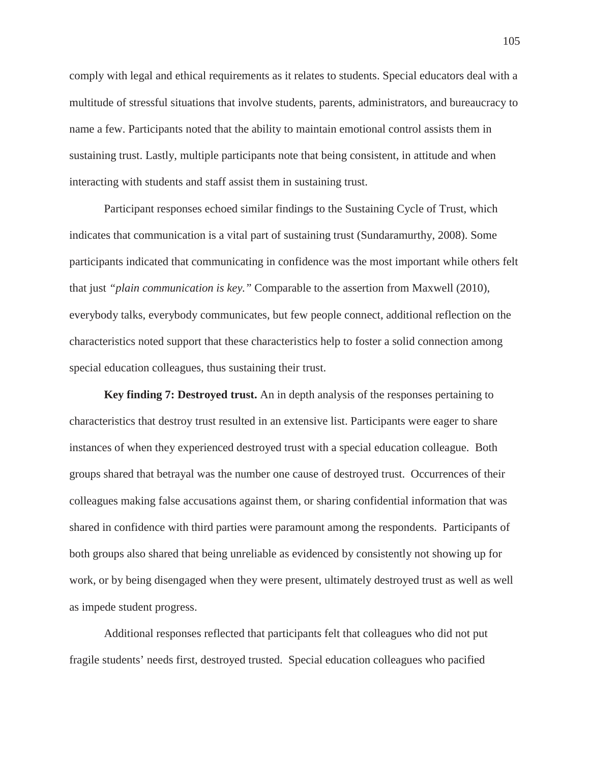comply with legal and ethical requirements as it relates to students. Special educators deal with a multitude of stressful situations that involve students, parents, administrators, and bureaucracy to name a few. Participants noted that the ability to maintain emotional control assists them in sustaining trust. Lastly, multiple participants note that being consistent, in attitude and when interacting with students and staff assist them in sustaining trust.

Participant responses echoed similar findings to the Sustaining Cycle of Trust, which indicates that communication is a vital part of sustaining trust (Sundaramurthy, 2008). Some participants indicated that communicating in confidence was the most important while others felt that just *"plain communication is key."* Comparable to the assertion from Maxwell (2010), everybody talks, everybody communicates, but few people connect, additional reflection on the characteristics noted support that these characteristics help to foster a solid connection among special education colleagues, thus sustaining their trust.

**Key finding 7: Destroyed trust.** An in depth analysis of the responses pertaining to characteristics that destroy trust resulted in an extensive list. Participants were eager to share instances of when they experienced destroyed trust with a special education colleague. Both groups shared that betrayal was the number one cause of destroyed trust. Occurrences of their colleagues making false accusations against them, or sharing confidential information that was shared in confidence with third parties were paramount among the respondents. Participants of both groups also shared that being unreliable as evidenced by consistently not showing up for work, or by being disengaged when they were present, ultimately destroyed trust as well as well as impede student progress.

Additional responses reflected that participants felt that colleagues who did not put fragile students' needs first, destroyed trusted. Special education colleagues who pacified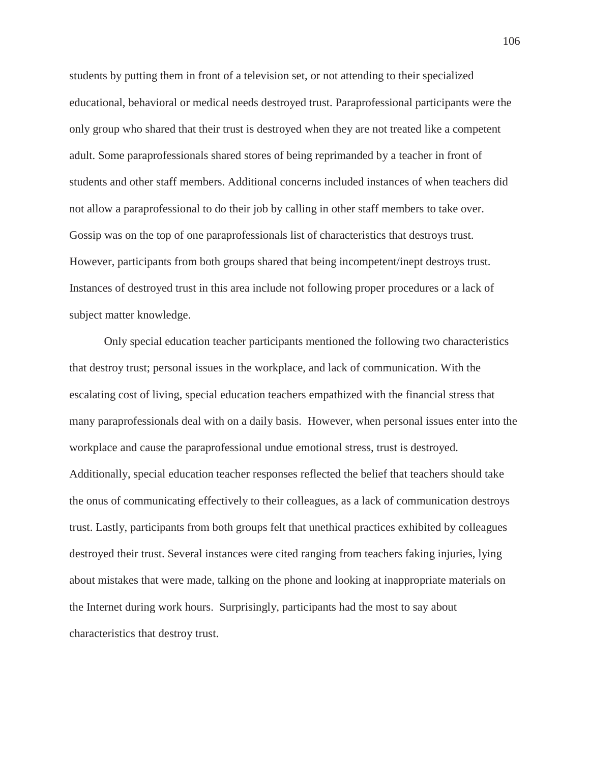students by putting them in front of a television set, or not attending to their specialized educational, behavioral or medical needs destroyed trust. Paraprofessional participants were the only group who shared that their trust is destroyed when they are not treated like a competent adult. Some paraprofessionals shared stores of being reprimanded by a teacher in front of students and other staff members. Additional concerns included instances of when teachers did not allow a paraprofessional to do their job by calling in other staff members to take over. Gossip was on the top of one paraprofessionals list of characteristics that destroys trust. However, participants from both groups shared that being incompetent/inept destroys trust. Instances of destroyed trust in this area include not following proper procedures or a lack of subject matter knowledge.

Only special education teacher participants mentioned the following two characteristics that destroy trust; personal issues in the workplace, and lack of communication. With the escalating cost of living, special education teachers empathized with the financial stress that many paraprofessionals deal with on a daily basis. However, when personal issues enter into the workplace and cause the paraprofessional undue emotional stress, trust is destroyed. Additionally, special education teacher responses reflected the belief that teachers should take the onus of communicating effectively to their colleagues, as a lack of communication destroys trust. Lastly, participants from both groups felt that unethical practices exhibited by colleagues destroyed their trust. Several instances were cited ranging from teachers faking injuries, lying about mistakes that were made, talking on the phone and looking at inappropriate materials on the Internet during work hours. Surprisingly, participants had the most to say about characteristics that destroy trust.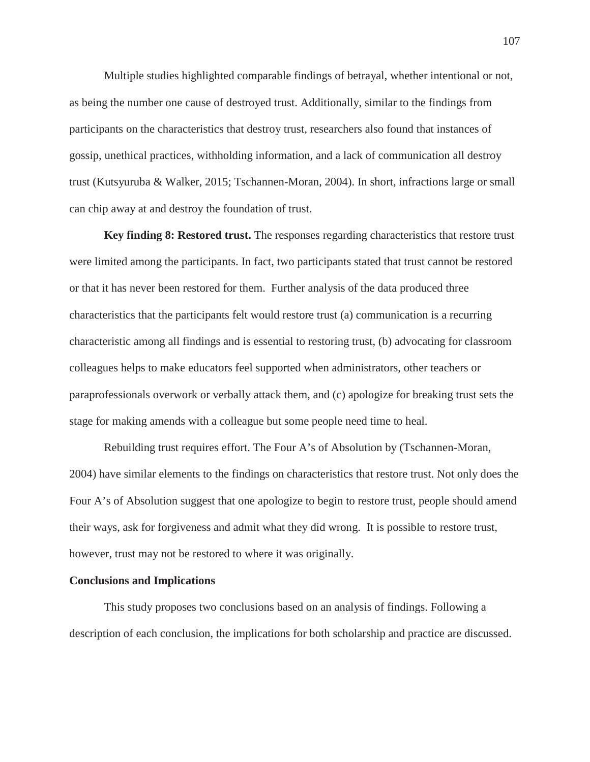Multiple studies highlighted comparable findings of betrayal, whether intentional or not, as being the number one cause of destroyed trust. Additionally, similar to the findings from participants on the characteristics that destroy trust, researchers also found that instances of gossip, unethical practices, withholding information, and a lack of communication all destroy trust (Kutsyuruba & Walker, 2015; Tschannen-Moran, 2004). In short, infractions large or small can chip away at and destroy the foundation of trust.

**Key finding 8: Restored trust.** The responses regarding characteristics that restore trust were limited among the participants. In fact, two participants stated that trust cannot be restored or that it has never been restored for them. Further analysis of the data produced three characteristics that the participants felt would restore trust (a) communication is a recurring characteristic among all findings and is essential to restoring trust, (b) advocating for classroom colleagues helps to make educators feel supported when administrators, other teachers or paraprofessionals overwork or verbally attack them, and (c) apologize for breaking trust sets the stage for making amends with a colleague but some people need time to heal.

Rebuilding trust requires effort. The Four A's of Absolution by (Tschannen-Moran, 2004) have similar elements to the findings on characteristics that restore trust. Not only does the Four A's of Absolution suggest that one apologize to begin to restore trust, people should amend their ways, ask for forgiveness and admit what they did wrong. It is possible to restore trust, however, trust may not be restored to where it was originally.

### **Conclusions and Implications**

This study proposes two conclusions based on an analysis of findings. Following a description of each conclusion, the implications for both scholarship and practice are discussed.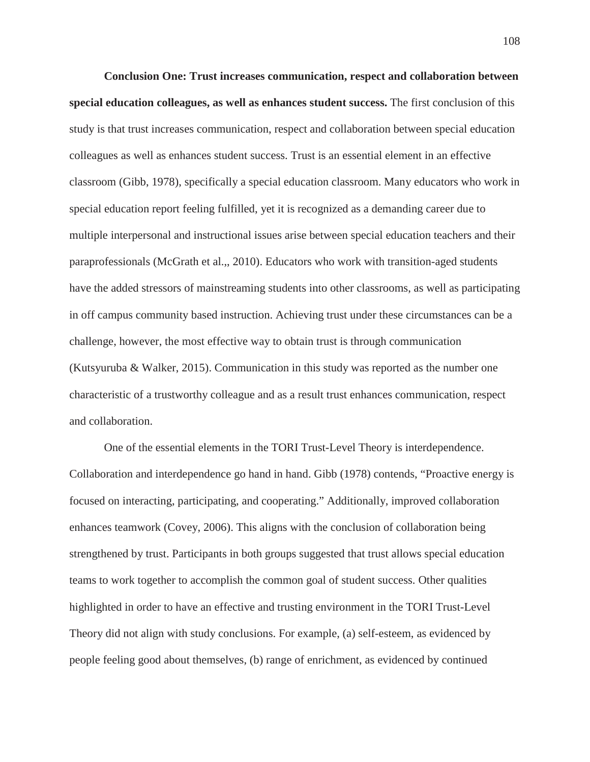**Conclusion One: Trust increases communication, respect and collaboration between special education colleagues, as well as enhances student success.** The first conclusion of this study is that trust increases communication, respect and collaboration between special education colleagues as well as enhances student success. Trust is an essential element in an effective classroom (Gibb, 1978), specifically a special education classroom. Many educators who work in special education report feeling fulfilled, yet it is recognized as a demanding career due to multiple interpersonal and instructional issues arise between special education teachers and their paraprofessionals (McGrath et al.,, 2010). Educators who work with transition-aged students have the added stressors of mainstreaming students into other classrooms, as well as participating in off campus community based instruction. Achieving trust under these circumstances can be a challenge, however, the most effective way to obtain trust is through communication (Kutsyuruba & Walker, 2015). Communication in this study was reported as the number one characteristic of a trustworthy colleague and as a result trust enhances communication, respect and collaboration.

One of the essential elements in the TORI Trust-Level Theory is interdependence. Collaboration and interdependence go hand in hand. Gibb (1978) contends, "Proactive energy is focused on interacting, participating, and cooperating." Additionally, improved collaboration enhances teamwork (Covey, 2006). This aligns with the conclusion of collaboration being strengthened by trust. Participants in both groups suggested that trust allows special education teams to work together to accomplish the common goal of student success. Other qualities highlighted in order to have an effective and trusting environment in the TORI Trust-Level Theory did not align with study conclusions. For example, (a) self-esteem, as evidenced by people feeling good about themselves, (b) range of enrichment, as evidenced by continued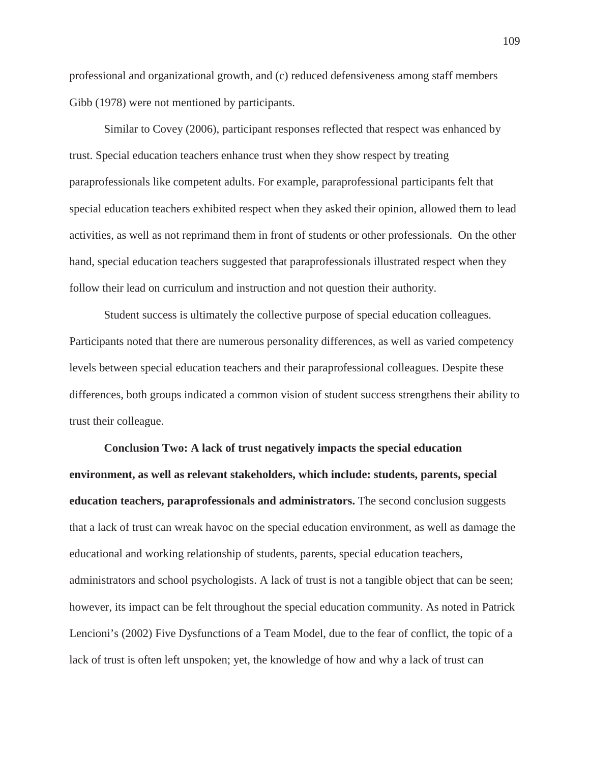professional and organizational growth, and (c) reduced defensiveness among staff members Gibb (1978) were not mentioned by participants.

Similar to Covey (2006), participant responses reflected that respect was enhanced by trust. Special education teachers enhance trust when they show respect by treating paraprofessionals like competent adults. For example, paraprofessional participants felt that special education teachers exhibited respect when they asked their opinion, allowed them to lead activities, as well as not reprimand them in front of students or other professionals. On the other hand, special education teachers suggested that paraprofessionals illustrated respect when they follow their lead on curriculum and instruction and not question their authority.

Student success is ultimately the collective purpose of special education colleagues. Participants noted that there are numerous personality differences, as well as varied competency levels between special education teachers and their paraprofessional colleagues. Despite these differences, both groups indicated a common vision of student success strengthens their ability to trust their colleague.

**Conclusion Two: A lack of trust negatively impacts the special education environment, as well as relevant stakeholders, which include: students, parents, special education teachers, paraprofessionals and administrators.** The second conclusion suggests that a lack of trust can wreak havoc on the special education environment, as well as damage the educational and working relationship of students, parents, special education teachers, administrators and school psychologists. A lack of trust is not a tangible object that can be seen; however, its impact can be felt throughout the special education community. As noted in Patrick Lencioni's (2002) Five Dysfunctions of a Team Model, due to the fear of conflict, the topic of a lack of trust is often left unspoken; yet, the knowledge of how and why a lack of trust can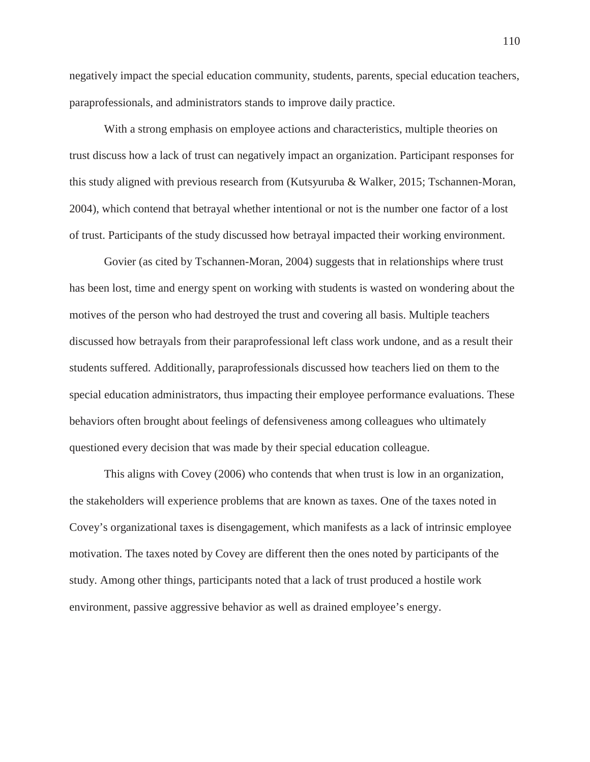negatively impact the special education community, students, parents, special education teachers, paraprofessionals, and administrators stands to improve daily practice.

With a strong emphasis on employee actions and characteristics, multiple theories on trust discuss how a lack of trust can negatively impact an organization. Participant responses for this study aligned with previous research from (Kutsyuruba & Walker, 2015; Tschannen-Moran, 2004), which contend that betrayal whether intentional or not is the number one factor of a lost of trust. Participants of the study discussed how betrayal impacted their working environment.

Govier (as cited by Tschannen-Moran, 2004) suggests that in relationships where trust has been lost, time and energy spent on working with students is wasted on wondering about the motives of the person who had destroyed the trust and covering all basis. Multiple teachers discussed how betrayals from their paraprofessional left class work undone, and as a result their students suffered. Additionally, paraprofessionals discussed how teachers lied on them to the special education administrators, thus impacting their employee performance evaluations. These behaviors often brought about feelings of defensiveness among colleagues who ultimately questioned every decision that was made by their special education colleague.

This aligns with Covey (2006) who contends that when trust is low in an organization, the stakeholders will experience problems that are known as taxes. One of the taxes noted in Covey's organizational taxes is disengagement, which manifests as a lack of intrinsic employee motivation. The taxes noted by Covey are different then the ones noted by participants of the study. Among other things, participants noted that a lack of trust produced a hostile work environment, passive aggressive behavior as well as drained employee's energy.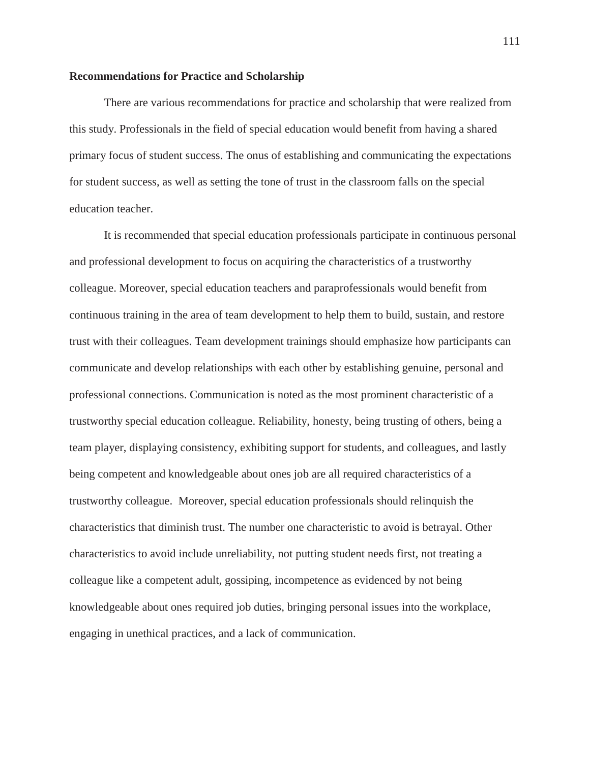# **Recommendations for Practice and Scholarship**

There are various recommendations for practice and scholarship that were realized from this study. Professionals in the field of special education would benefit from having a shared primary focus of student success. The onus of establishing and communicating the expectations for student success, as well as setting the tone of trust in the classroom falls on the special education teacher.

It is recommended that special education professionals participate in continuous personal and professional development to focus on acquiring the characteristics of a trustworthy colleague. Moreover, special education teachers and paraprofessionals would benefit from continuous training in the area of team development to help them to build, sustain, and restore trust with their colleagues. Team development trainings should emphasize how participants can communicate and develop relationships with each other by establishing genuine, personal and professional connections. Communication is noted as the most prominent characteristic of a trustworthy special education colleague. Reliability, honesty, being trusting of others, being a team player, displaying consistency, exhibiting support for students, and colleagues, and lastly being competent and knowledgeable about ones job are all required characteristics of a trustworthy colleague. Moreover, special education professionals should relinquish the characteristics that diminish trust. The number one characteristic to avoid is betrayal. Other characteristics to avoid include unreliability, not putting student needs first, not treating a colleague like a competent adult, gossiping, incompetence as evidenced by not being knowledgeable about ones required job duties, bringing personal issues into the workplace, engaging in unethical practices, and a lack of communication.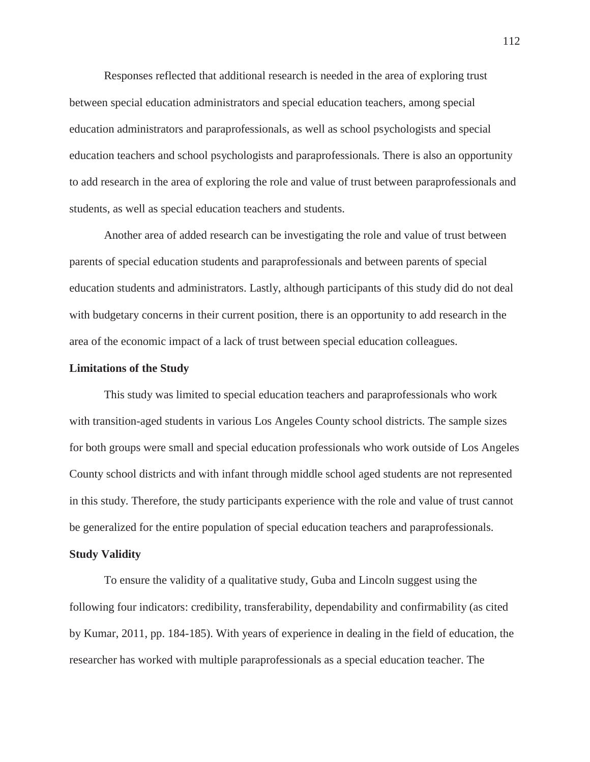Responses reflected that additional research is needed in the area of exploring trust between special education administrators and special education teachers, among special education administrators and paraprofessionals, as well as school psychologists and special education teachers and school psychologists and paraprofessionals. There is also an opportunity to add research in the area of exploring the role and value of trust between paraprofessionals and students, as well as special education teachers and students.

Another area of added research can be investigating the role and value of trust between parents of special education students and paraprofessionals and between parents of special education students and administrators. Lastly, although participants of this study did do not deal with budgetary concerns in their current position, there is an opportunity to add research in the area of the economic impact of a lack of trust between special education colleagues.

# **Limitations of the Study**

This study was limited to special education teachers and paraprofessionals who work with transition-aged students in various Los Angeles County school districts. The sample sizes for both groups were small and special education professionals who work outside of Los Angeles County school districts and with infant through middle school aged students are not represented in this study. Therefore, the study participants experience with the role and value of trust cannot be generalized for the entire population of special education teachers and paraprofessionals.

#### **Study Validity**

To ensure the validity of a qualitative study, Guba and Lincoln suggest using the following four indicators: credibility, transferability, dependability and confirmability (as cited by Kumar, 2011, pp. 184-185). With years of experience in dealing in the field of education, the researcher has worked with multiple paraprofessionals as a special education teacher. The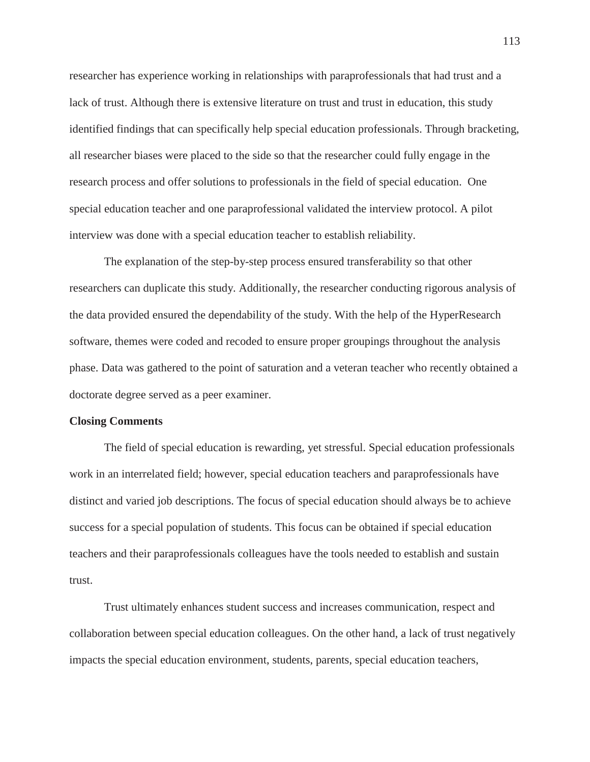researcher has experience working in relationships with paraprofessionals that had trust and a lack of trust. Although there is extensive literature on trust and trust in education, this study identified findings that can specifically help special education professionals. Through bracketing, all researcher biases were placed to the side so that the researcher could fully engage in the research process and offer solutions to professionals in the field of special education. One special education teacher and one paraprofessional validated the interview protocol. A pilot interview was done with a special education teacher to establish reliability.

The explanation of the step-by-step process ensured transferability so that other researchers can duplicate this study. Additionally, the researcher conducting rigorous analysis of the data provided ensured the dependability of the study. With the help of the HyperResearch software, themes were coded and recoded to ensure proper groupings throughout the analysis phase. Data was gathered to the point of saturation and a veteran teacher who recently obtained a doctorate degree served as a peer examiner.

#### **Closing Comments**

The field of special education is rewarding, yet stressful. Special education professionals work in an interrelated field; however, special education teachers and paraprofessionals have distinct and varied job descriptions. The focus of special education should always be to achieve success for a special population of students. This focus can be obtained if special education teachers and their paraprofessionals colleagues have the tools needed to establish and sustain trust.

Trust ultimately enhances student success and increases communication, respect and collaboration between special education colleagues. On the other hand, a lack of trust negatively impacts the special education environment, students, parents, special education teachers,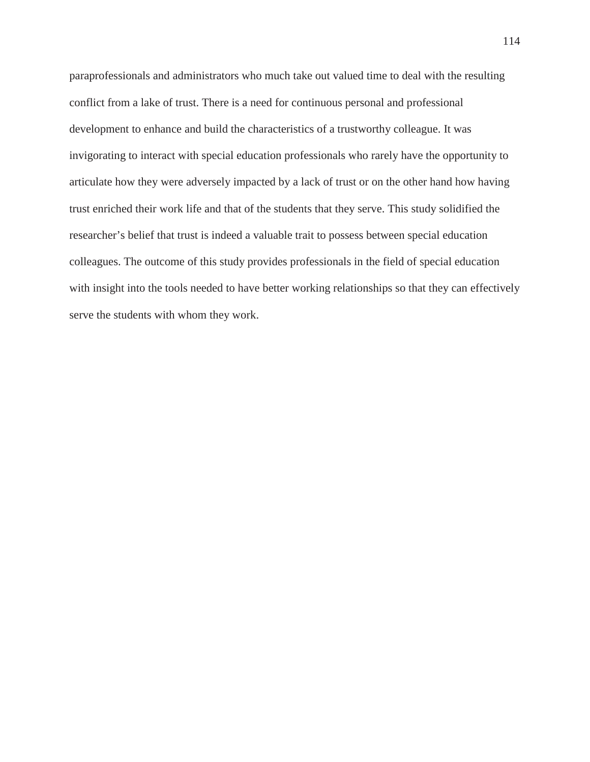paraprofessionals and administrators who much take out valued time to deal with the resulting conflict from a lake of trust. There is a need for continuous personal and professional development to enhance and build the characteristics of a trustworthy colleague. It was invigorating to interact with special education professionals who rarely have the opportunity to articulate how they were adversely impacted by a lack of trust or on the other hand how having trust enriched their work life and that of the students that they serve. This study solidified the researcher's belief that trust is indeed a valuable trait to possess between special education colleagues. The outcome of this study provides professionals in the field of special education with insight into the tools needed to have better working relationships so that they can effectively serve the students with whom they work.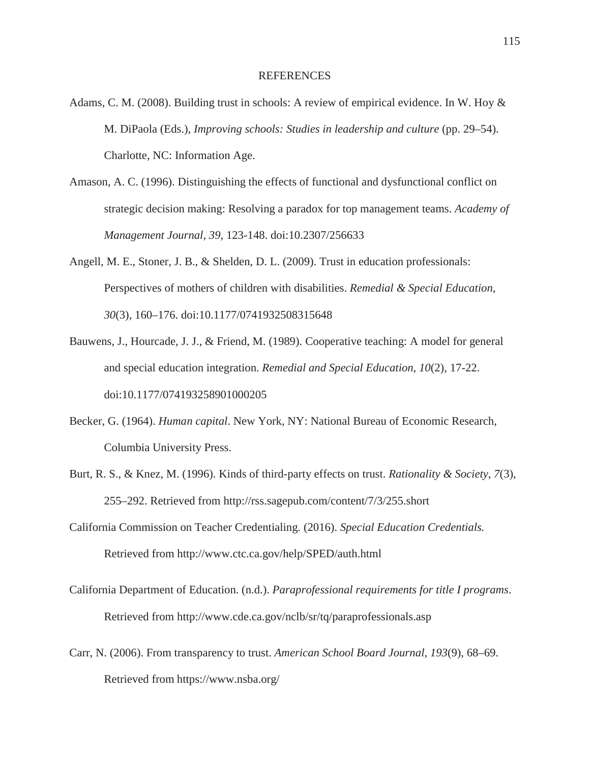# REFERENCES

- Adams, C. M. (2008). Building trust in schools: A review of empirical evidence. In W. Hoy & M. DiPaola (Eds.), *Improving schools: Studies in leadership and culture* (pp. 29–54). Charlotte, NC: Information Age.
- Amason, A. C. (1996). Distinguishing the effects of functional and dysfunctional conflict on strategic decision making: Resolving a paradox for top management teams. *Academy of Management Journal*, *39*, 123-148. doi:10.2307/256633
- Angell, M. E., Stoner, J. B., & Shelden, D. L. (2009). Trust in education professionals: Perspectives of mothers of children with disabilities. *Remedial & Special Education*, *30*(3), 160–176. doi:10.1177/0741932508315648
- Bauwens, J., Hourcade, J. J., & Friend, M. (1989). Cooperative teaching: A model for general and special education integration. *Remedial and Special Education*, *10*(2), 17-22. doi:10.1177/074193258901000205
- Becker, G. (1964). *Human capital*. New York, NY: National Bureau of Economic Research, Columbia University Press.
- Burt, R. S., & Knez, M. (1996). Kinds of third-party effects on trust. *Rationality & Society*, *7*(3), 255–292. Retrieved from http://rss.sagepub.com/content/7/3/255.short
- California Commission on Teacher Credentialing. (2016). *Special Education Credentials.* Retrieved from http://www.ctc.ca.gov/help/SPED/auth.html
- California Department of Education. (n.d.). *Paraprofessional requirements for title I programs*. Retrieved from http://www.cde.ca.gov/nclb/sr/tq/paraprofessionals.asp
- Carr, N. (2006). From transparency to trust. *American School Board Journal*, *193*(9), 68–69. Retrieved from https://www.nsba.org/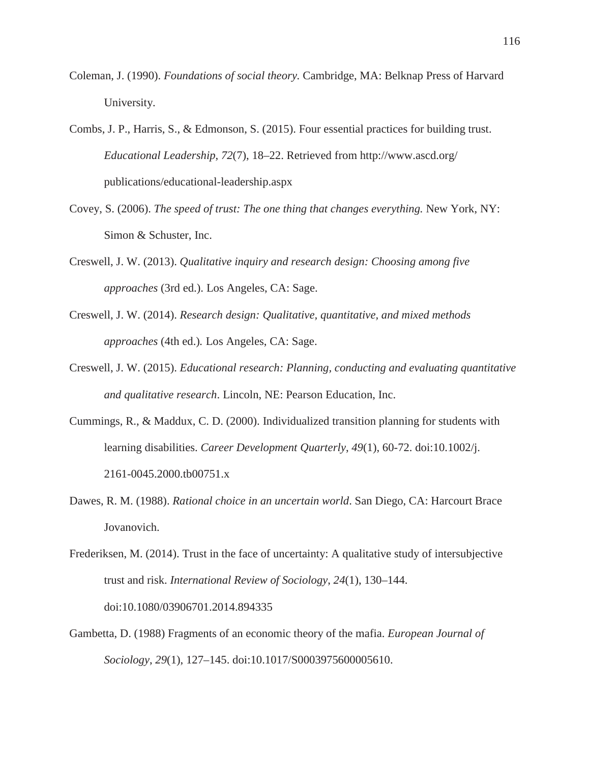- Coleman, J. (1990). *Foundations of social theory.* Cambridge, MA: Belknap Press of Harvard University.
- Combs, J. P., Harris, S., & Edmonson, S. (2015). Four essential practices for building trust. *Educational Leadership*, *72*(7), 18–22. Retrieved from http://www.ascd.org/ publications/educational-leadership.aspx
- Covey, S. (2006). *The speed of trust: The one thing that changes everything.* New York, NY: Simon & Schuster, Inc.
- Creswell, J. W. (2013). *Qualitative inquiry and research design: Choosing among five approaches* (3rd ed.). Los Angeles, CA: Sage.
- Creswell, J. W. (2014). *Research design: Qualitative, quantitative, and mixed methods approaches* (4th ed.)*.* Los Angeles, CA: Sage.
- Creswell, J. W. (2015). *Educational research: Planning, conducting and evaluating quantitative and qualitative research*. Lincoln, NE: Pearson Education, Inc.
- Cummings, R., & Maddux, C. D. (2000). Individualized transition planning for students with learning disabilities. *Career Development Quarterly*, *49*(1), 60-72. doi:10.1002/j. 2161-0045.2000.tb00751.x
- Dawes, R. M. (1988). *Rational choice in an uncertain world*. San Diego, CA: Harcourt Brace Jovanovich.

Gambetta, D. (1988) Fragments of an economic theory of the mafia. *European Journal of Sociology*, *29*(1), 127–145. doi:10.1017/S0003975600005610.

Frederiksen, M. (2014). Trust in the face of uncertainty: A qualitative study of intersubjective trust and risk. *International Review of Sociology*, *24*(1), 130–144. doi:10.1080/03906701.2014.894335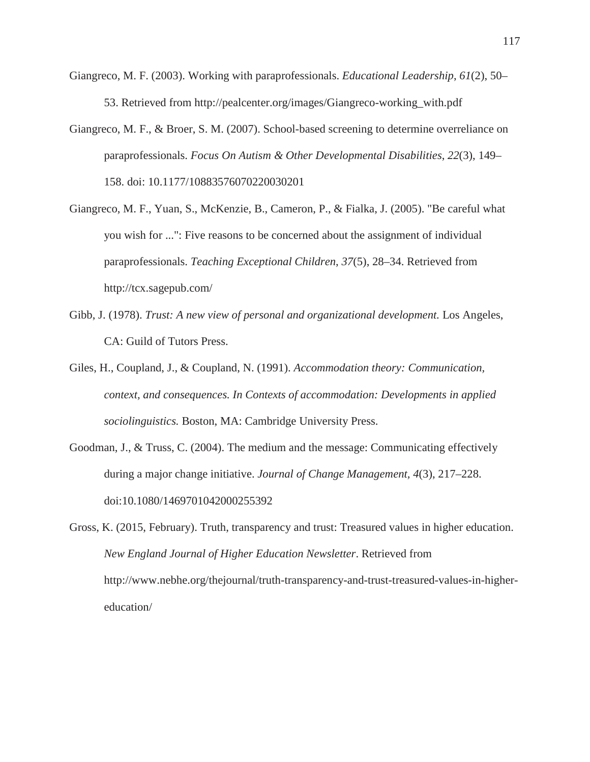- Giangreco, M. F. (2003). Working with paraprofessionals. *Educational Leadership*, *61*(2), 50– 53. Retrieved from http://pealcenter.org/images/Giangreco-working\_with.pdf
- Giangreco, M. F., & Broer, S. M. (2007). School-based screening to determine overreliance on paraprofessionals. *Focus On Autism & Other Developmental Disabilities*, *22*(3), 149– 158. doi: 10.1177/10883576070220030201
- Giangreco, M. F., Yuan, S., McKenzie, B., Cameron, P., & Fialka, J. (2005). "Be careful what you wish for ...": Five reasons to be concerned about the assignment of individual paraprofessionals. *Teaching Exceptional Children*, *37*(5), 28–34. Retrieved from http://tcx.sagepub.com/
- Gibb, J. (1978). *Trust: A new view of personal and organizational development.* Los Angeles, CA: Guild of Tutors Press.
- Giles, H., Coupland, J., & Coupland, N. (1991). *Accommodation theory: Communication, context, and consequences. In Contexts of accommodation: Developments in applied sociolinguistics.* Boston, MA: Cambridge University Press.
- Goodman, J., & Truss, C. (2004). The medium and the message: Communicating effectively during a major change initiative. *Journal of Change Management, 4*(3), 217–228. doi:10.1080/1469701042000255392

Gross, K. (2015, February). Truth, transparency and trust: Treasured values in higher education. *New England Journal of Higher Education Newsletter*. Retrieved from http://www.nebhe.org/thejournal/truth-transparency-and-trust-treasured-values-in-highereducation/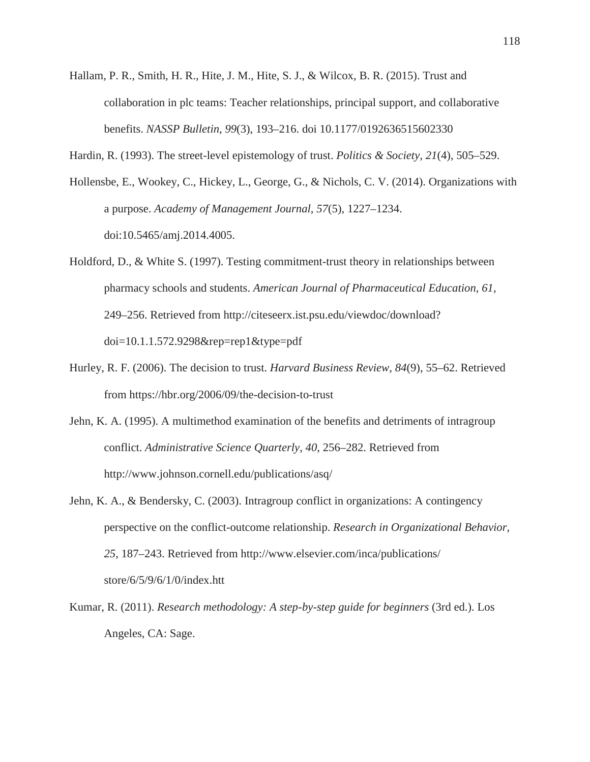- Hallam, P. R., Smith, H. R., Hite, J. M., Hite, S. J., & Wilcox, B. R. (2015). Trust and collaboration in plc teams: Teacher relationships, principal support, and collaborative benefits. *NASSP Bulletin*, *99*(3), 193–216. doi 10.1177/0192636515602330
- Hardin, R. (1993). The street-level epistemology of trust. *Politics & Society*, *21*(4), 505–529.
- Hollensbe, E., Wookey, C., Hickey, L., George, G., & Nichols, C. V. (2014). Organizations with a purpose. *Academy of Management Journal*, *57*(5), 1227–1234. doi:10.5465/amj.2014.4005.
- Holdford, D., & White S. (1997). Testing commitment-trust theory in relationships between pharmacy schools and students. *American Journal of Pharmaceutical Education*, *61*, 249–256. Retrieved from http://citeseerx.ist.psu.edu/viewdoc/download? doi=10.1.1.572.9298&rep=rep1&type=pdf
- Hurley, R. F. (2006). The decision to trust. *Harvard Business Review*, *84*(9), 55–62. Retrieved from https://hbr.org/2006/09/the-decision-to-trust
- Jehn, K. A. (1995). A multimethod examination of the benefits and detriments of intragroup conflict. *Administrative Science Quarterly*, *40*, 256–282. Retrieved from http://www.johnson.cornell.edu/publications/asq/
- Jehn, K. A., & Bendersky, C. (2003). Intragroup conflict in organizations: A contingency perspective on the conflict-outcome relationship. *Research in Organizational Behavior, 25*, 187–243. Retrieved from http://www.elsevier.com/inca/publications/ store/6/5/9/6/1/0/index.htt
- Kumar, R. (2011). *Research methodology: A step-by-step guide for beginners* (3rd ed.). Los Angeles, CA: Sage.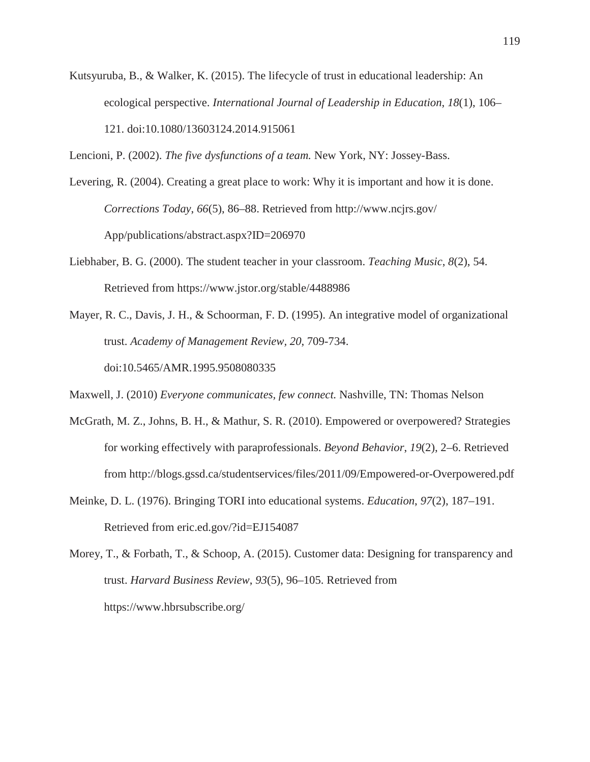- Kutsyuruba, B., & Walker, K. (2015). The lifecycle of trust in educational leadership: An ecological perspective. *International Journal of Leadership in Education*, *18*(1), 106– 121. doi:10.1080/13603124.2014.915061
- Lencioni, P. (2002). *The five dysfunctions of a team.* New York, NY: Jossey-Bass.
- Levering, R. (2004). Creating a great place to work: Why it is important and how it is done. *Corrections Today*, *66*(5), 86–88. Retrieved from http://www.ncjrs.gov/ App/publications/abstract.aspx?ID=206970
- Liebhaber, B. G. (2000). The student teacher in your classroom. *Teaching Music*, *8*(2), 54. Retrieved from https://www.jstor.org/stable/4488986
- Mayer, R. C., Davis, J. H., & Schoorman, F. D. (1995). An integrative model of organizational trust. *Academy of Management Review, 20*, 709-734. doi:10.5465/AMR.1995.9508080335
- Maxwell, J. (2010) *Everyone communicates, few connect.* Nashville, TN: Thomas Nelson
- McGrath, M. Z., Johns, B. H., & Mathur, S. R. (2010). Empowered or overpowered? Strategies for working effectively with paraprofessionals. *Beyond Behavior*, *19*(2), 2–6. Retrieved from http://blogs.gssd.ca/studentservices/files/2011/09/Empowered-or-Overpowered.pdf
- Meinke, D. L. (1976). Bringing TORI into educational systems. *Education*, *97*(2), 187–191. Retrieved from eric.ed.gov/?id=EJ154087

Morey, T., & Forbath, T., & Schoop, A. (2015). Customer data: Designing for transparency and trust. *Harvard Business Review*, *93*(5), 96–105. Retrieved from https://www.hbrsubscribe.org/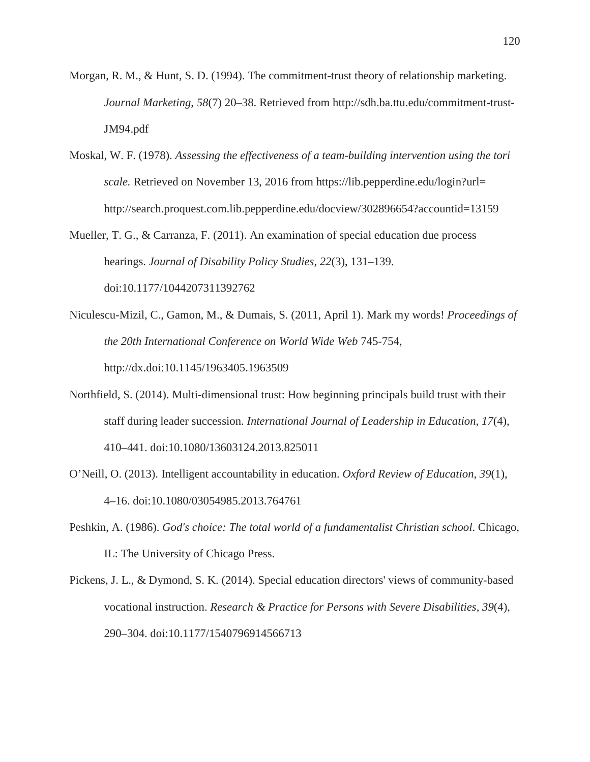- Morgan, R. M., & Hunt, S. D. (1994). The commitment-trust theory of relationship marketing. *Journal Marketing*, *58*(7) 20–38. Retrieved from http://sdh.ba.ttu.edu/commitment-trust-JM94.pdf
- Moskal, W. F. (1978). *Assessing the effectiveness of a team-building intervention using the tori scale.* Retrieved on November 13, 2016 from https://lib.pepperdine.edu/login?url= http://search.proquest.com.lib.pepperdine.edu/docview/302896654?accountid=13159
- Mueller, T. G., & Carranza, F. (2011). An examination of special education due process hearings. *Journal of Disability Policy Studies*, *22*(3), 131–139. doi:10.1177/1044207311392762
- Niculescu-Mizil, C., Gamon, M., & Dumais, S. (2011, April 1). Mark my words! *Proceedings of the 20th International Conference on World Wide Web* 745-754, http://dx.doi:10.1145/1963405.1963509
- Northfield, S. (2014). Multi-dimensional trust: How beginning principals build trust with their staff during leader succession. *International Journal of Leadership in Education*, *17*(4), 410–441. doi:10.1080/13603124.2013.825011
- O'Neill, O. (2013). Intelligent accountability in education. *Oxford Review of Education*, *39*(1), 4–16. doi:10.1080/03054985.2013.764761
- Peshkin, A. (1986). *God's choice: The total world of a fundamentalist Christian school*. Chicago, IL: The University of Chicago Press.
- Pickens, J. L., & Dymond, S. K. (2014). Special education directors' views of community-based vocational instruction. *Research & Practice for Persons with Severe Disabilities*, *39*(4), 290–304. doi:10.1177/1540796914566713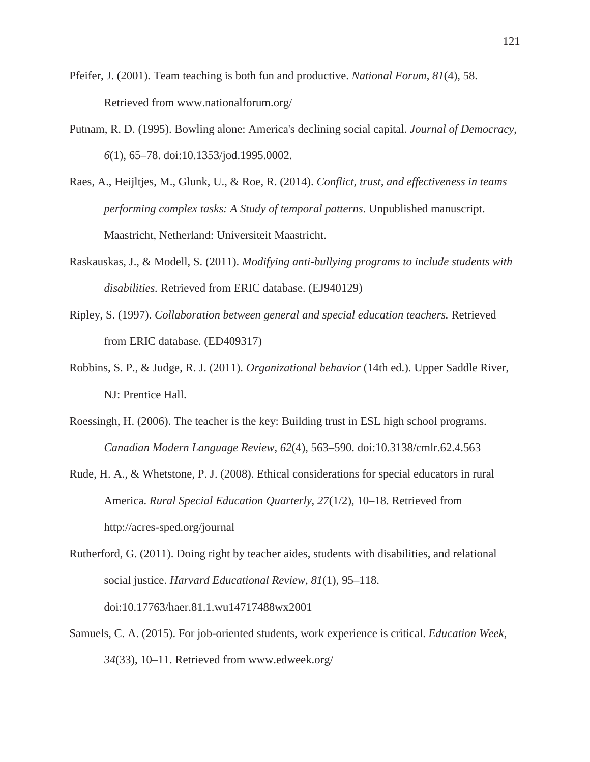- Pfeifer, J. (2001). Team teaching is both fun and productive. *National Forum*, *81*(4), 58. Retrieved from www.nationalforum.org/
- Putnam, R. D. (1995). Bowling alone: America's declining social capital. *Journal of Democracy*, *6*(1), 65–78. doi:10.1353/jod.1995.0002.
- Raes, A., Heijltjes, M., Glunk, U., & Roe, R. (2014). *Conflict, trust, and effectiveness in teams performing complex tasks: A Study of temporal patterns*. Unpublished manuscript. Maastricht, Netherland: Universiteit Maastricht.
- Raskauskas, J., & Modell, S. (2011). *Modifying anti-bullying programs to include students with disabilities.* Retrieved from ERIC database. (EJ940129)
- Ripley, S. (1997). *Collaboration between general and special education teachers.* Retrieved from ERIC database. (ED409317)
- Robbins, S. P., & Judge, R. J. (2011). *Organizational behavior* (14th ed.). Upper Saddle River, NJ: Prentice Hall.
- Roessingh, H. (2006). The teacher is the key: Building trust in ESL high school programs. *Canadian Modern Language Review*, *62*(4), 563–590. doi:10.3138/cmlr.62.4.563
- Rude, H. A., & Whetstone, P. J. (2008). Ethical considerations for special educators in rural America. *Rural Special Education Quarterly*, *27*(1/2), 10–18. Retrieved from http://acres-sped.org/journal
- Rutherford, G. (2011). Doing right by teacher aides, students with disabilities, and relational social justice. *Harvard Educational Review*, *81*(1), 95–118. doi:10.17763/haer.81.1.wu14717488wx2001
- Samuels, C. A. (2015). For job-oriented students, work experience is critical. *Education Week*, *34*(33), 10–11. Retrieved from www.edweek.org/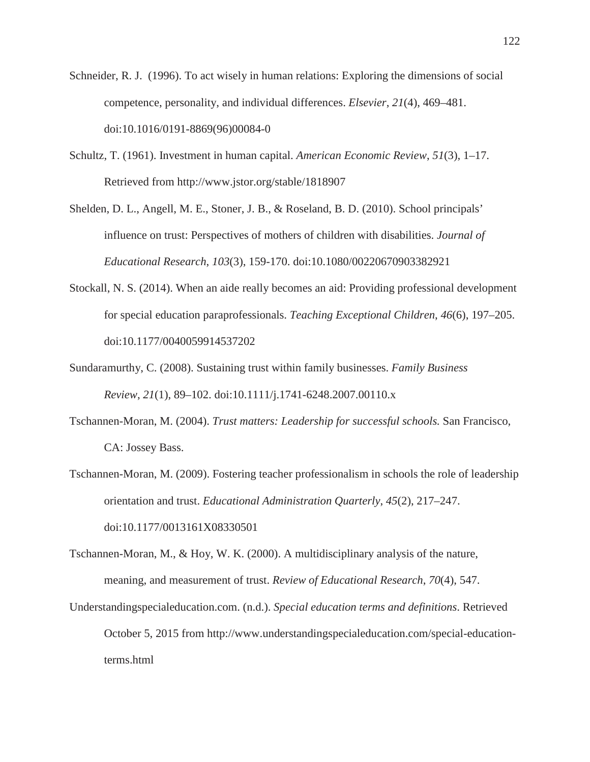- Schneider, R. J. (1996). To act wisely in human relations: Exploring the dimensions of social competence, personality, and individual differences. *Elsevier*, *21*(4), 469–481. doi:10.1016/0191-8869(96)00084-0
- Schultz, T. (1961). Investment in human capital. *American Economic Review*, *51*(3), 1–17. Retrieved from http://www.jstor.org/stable/1818907
- Shelden, D. L., Angell, M. E., Stoner, J. B., & Roseland, B. D. (2010). School principals' influence on trust: Perspectives of mothers of children with disabilities. *Journal of Educational Research*, *103*(3), 159-170. doi:10.1080/00220670903382921
- Stockall, N. S. (2014). When an aide really becomes an aid: Providing professional development for special education paraprofessionals. *Teaching Exceptional Children*, *46*(6), 197–205. doi:10.1177/0040059914537202
- Sundaramurthy, C. (2008). Sustaining trust within family businesses. *Family Business Review*, *21*(1), 89–102. doi:10.1111/j.1741-6248.2007.00110.x
- Tschannen-Moran, M. (2004). *Trust matters: Leadership for successful schools.* San Francisco, CA: Jossey Bass.
- Tschannen-Moran, M. (2009). Fostering teacher professionalism in schools the role of leadership orientation and trust. *Educational Administration Quarterly*, *45*(2), 217–247. doi:10.1177/0013161X08330501
- Tschannen-Moran, M., & Hoy, W. K. (2000). A multidisciplinary analysis of the nature, meaning, and measurement of trust. *Review of Educational Research*, *70*(4), 547.
- Understandingspecialeducation.com. (n.d.). *Special education terms and definitions*. Retrieved October 5, 2015 from http://www.understandingspecialeducation.com/special-educationterms.html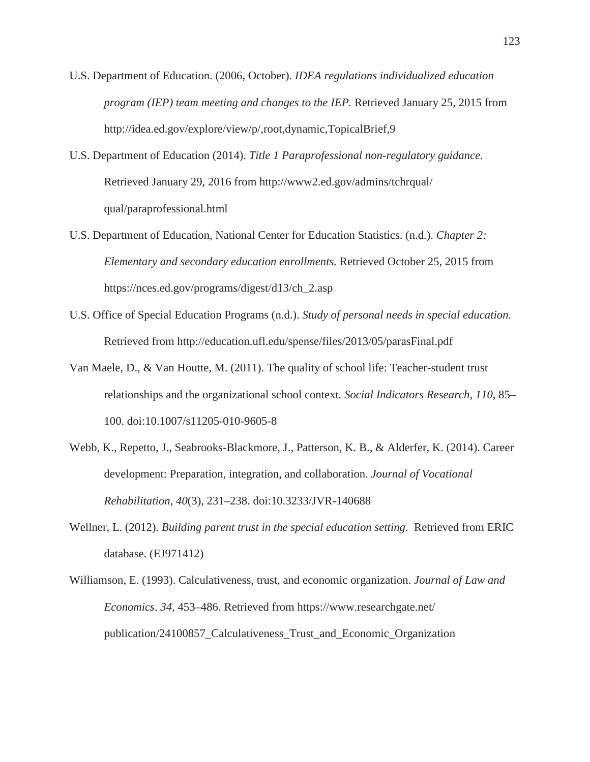- U.S. Department of Education. (2006, October). *IDEA regulations individualized education program (IEP) team meeting and changes to the IEP.* Retrieved January 25, 2015 from http://idea.ed.gov/explore/view/p/,root,dynamic,TopicalBrief,9
- U.S. Department of Education (2014). *Title 1 Paraprofessional non-regulatory guidance.* Retrieved January 29, 2016 from http://www2.ed.gov/admins/tchrqual/ qual/paraprofessional.html
- U.S. Department of Education, National Center for Education Statistics. (n.d.). *Chapter 2: Elementary and secondary education enrollments.* Retrieved October 25, 2015 from https://nces.ed.gov/programs/digest/d13/ch\_2.asp
- U.S. Office of Special Education Programs (n.d.). *Study of personal needs in special education*. Retrieved from http://education.ufl.edu/spense/files/2013/05/parasFinal.pdf
- Van Maele, D., & Van Houtte, M. (2011). The quality of school life: Teacher-student trust relationships and the organizational school context*. Social Indicators Research, 110*, 85– 100. doi:10.1007/s11205-010-9605-8
- Webb, K., Repetto, J., Seabrooks-Blackmore, J., Patterson, K. B., & Alderfer, K. (2014). Career development: Preparation, integration, and collaboration. *Journal of Vocational Rehabilitation*, *40*(3), 231–238. doi:10.3233/JVR-140688
- Wellner, L. (2012). *Building parent trust in the special education setting*. Retrieved from ERIC database. (EJ971412)
- Williamson, E. (1993). Calculativeness, trust, and economic organization. *Journal of Law and Economics*. *34,* 453–486. Retrieved from https://www.researchgate.net/ publication/24100857\_Calculativeness\_Trust\_and\_Economic\_Organization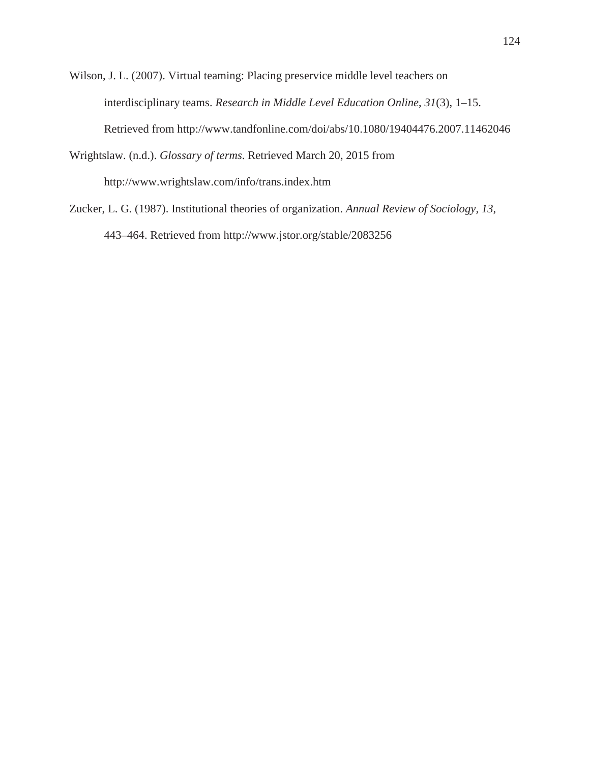Wilson, J. L. (2007). Virtual teaming: Placing preservice middle level teachers on interdisciplinary teams. *Research in Middle Level Education Online*, *31*(3), 1–15. Retrieved from http://www.tandfonline.com/doi/abs/10.1080/19404476.2007.11462046

Wrightslaw. (n.d.). *Glossary of terms*. Retrieved March 20, 2015 from http://www.wrightslaw.com/info/trans.index.htm

Zucker, L. G. (1987). Institutional theories of organization. *Annual Review of Sociology, 13*, 443–464. Retrieved from http://www.jstor.org/stable/2083256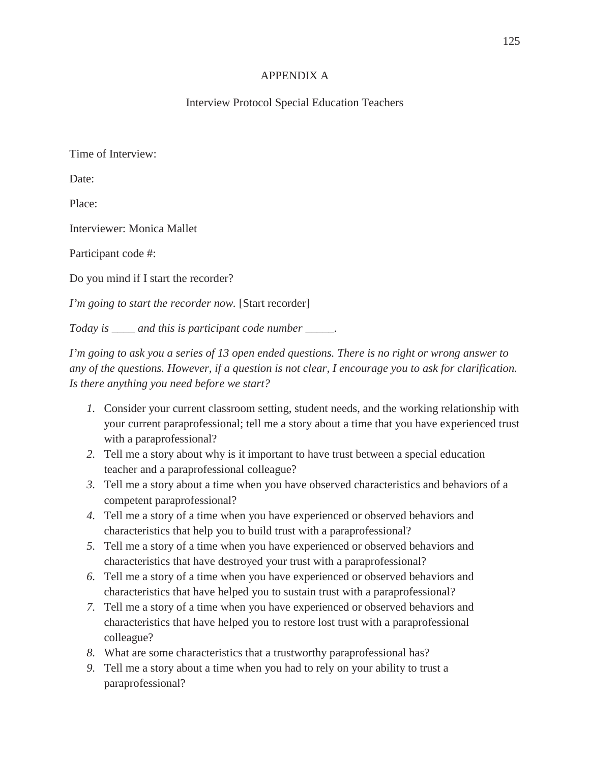# APPENDIX A

# Interview Protocol Special Education Teachers

Time of Interview:

Date:

Place:

Interviewer: Monica Mallet

Participant code #:

Do you mind if I start the recorder?

*I'm going to start the recorder now.* [Start recorder]

*Today is \_\_\_\_ and this is participant code number \_\_\_\_\_.*

*I'm going to ask you a series of 13 open ended questions. There is no right or wrong answer to any of the questions. However, if a question is not clear, I encourage you to ask for clarification. Is there anything you need before we start?*

- *1.* Consider your current classroom setting, student needs, and the working relationship with your current paraprofessional; tell me a story about a time that you have experienced trust with a paraprofessional?
- *2.* Tell me a story about why is it important to have trust between a special education teacher and a paraprofessional colleague?
- *3.* Tell me a story about a time when you have observed characteristics and behaviors of a competent paraprofessional?
- *4.* Tell me a story of a time when you have experienced or observed behaviors and characteristics that help you to build trust with a paraprofessional?
- *5.* Tell me a story of a time when you have experienced or observed behaviors and characteristics that have destroyed your trust with a paraprofessional?
- *6.* Tell me a story of a time when you have experienced or observed behaviors and characteristics that have helped you to sustain trust with a paraprofessional?
- *7.* Tell me a story of a time when you have experienced or observed behaviors and characteristics that have helped you to restore lost trust with a paraprofessional colleague?
- *8.* What are some characteristics that a trustworthy paraprofessional has?
- *9.* Tell me a story about a time when you had to rely on your ability to trust a paraprofessional?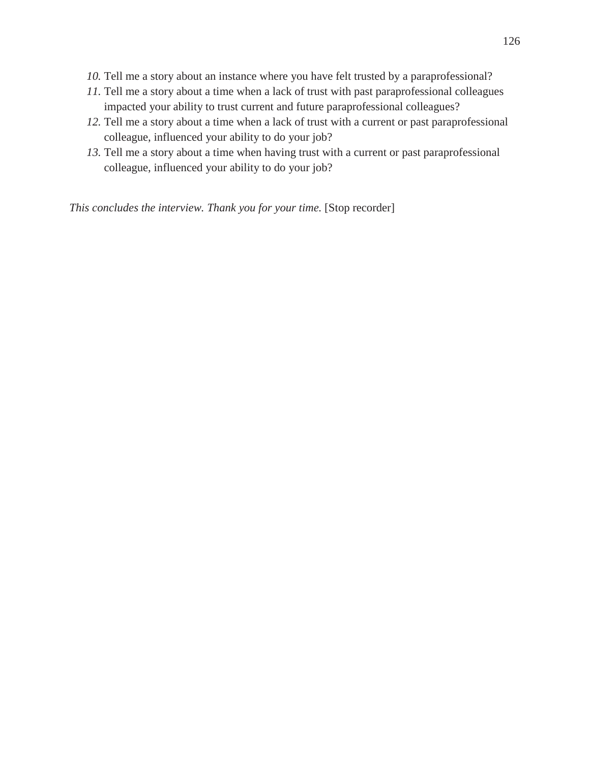- *10.* Tell me a story about an instance where you have felt trusted by a paraprofessional?
- *11.* Tell me a story about a time when a lack of trust with past paraprofessional colleagues impacted your ability to trust current and future paraprofessional colleagues?
- *12.* Tell me a story about a time when a lack of trust with a current or past paraprofessional colleague, influenced your ability to do your job?
- *13.* Tell me a story about a time when having trust with a current or past paraprofessional colleague, influenced your ability to do your job?

*This concludes the interview. Thank you for your time.* [Stop recorder]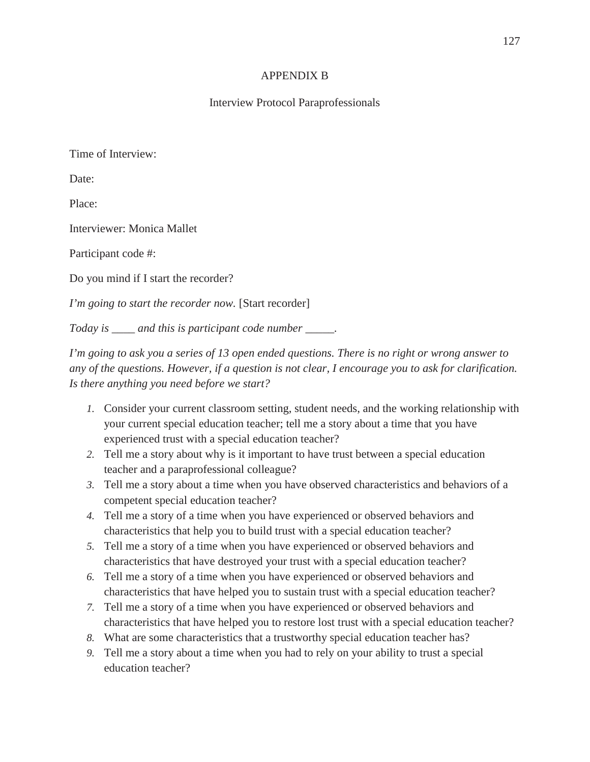# APPENDIX B

# Interview Protocol Paraprofessionals

Time of Interview:

Date:

Place:

Interviewer: Monica Mallet

Participant code #:

Do you mind if I start the recorder?

*I'm going to start the recorder now.* [Start recorder]

*Today is \_\_\_\_ and this is participant code number \_\_\_\_\_.*

*I'm going to ask you a series of 13 open ended questions. There is no right or wrong answer to any of the questions. However, if a question is not clear, I encourage you to ask for clarification. Is there anything you need before we start?*

- *1.* Consider your current classroom setting, student needs, and the working relationship with your current special education teacher; tell me a story about a time that you have experienced trust with a special education teacher?
- *2.* Tell me a story about why is it important to have trust between a special education teacher and a paraprofessional colleague?
- *3.* Tell me a story about a time when you have observed characteristics and behaviors of a competent special education teacher?
- *4.* Tell me a story of a time when you have experienced or observed behaviors and characteristics that help you to build trust with a special education teacher?
- *5.* Tell me a story of a time when you have experienced or observed behaviors and characteristics that have destroyed your trust with a special education teacher?
- *6.* Tell me a story of a time when you have experienced or observed behaviors and characteristics that have helped you to sustain trust with a special education teacher?
- *7.* Tell me a story of a time when you have experienced or observed behaviors and characteristics that have helped you to restore lost trust with a special education teacher?
- *8.* What are some characteristics that a trustworthy special education teacher has?
- *9.* Tell me a story about a time when you had to rely on your ability to trust a special education teacher?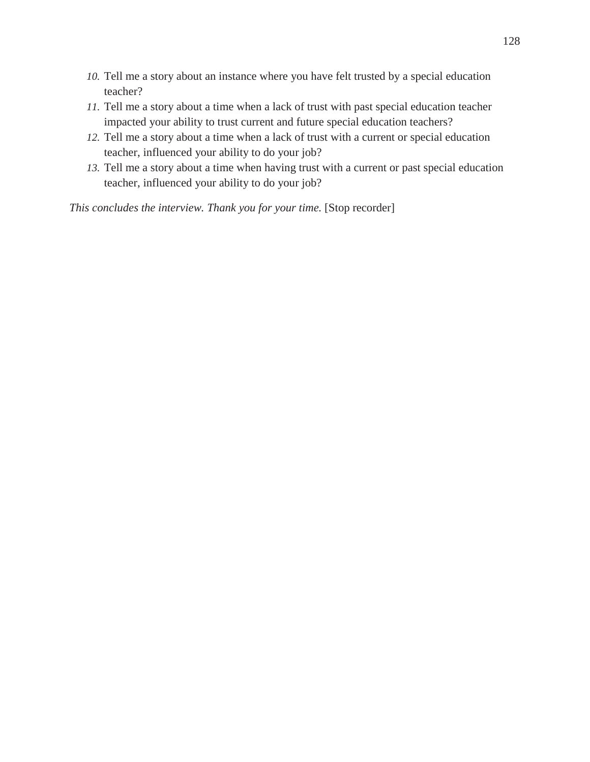- *10.* Tell me a story about an instance where you have felt trusted by a special education teacher?
- *11.* Tell me a story about a time when a lack of trust with past special education teacher impacted your ability to trust current and future special education teachers?
- *12.* Tell me a story about a time when a lack of trust with a current or special education teacher, influenced your ability to do your job?
- *13.* Tell me a story about a time when having trust with a current or past special education teacher, influenced your ability to do your job?

*This concludes the interview. Thank you for your time.* [Stop recorder]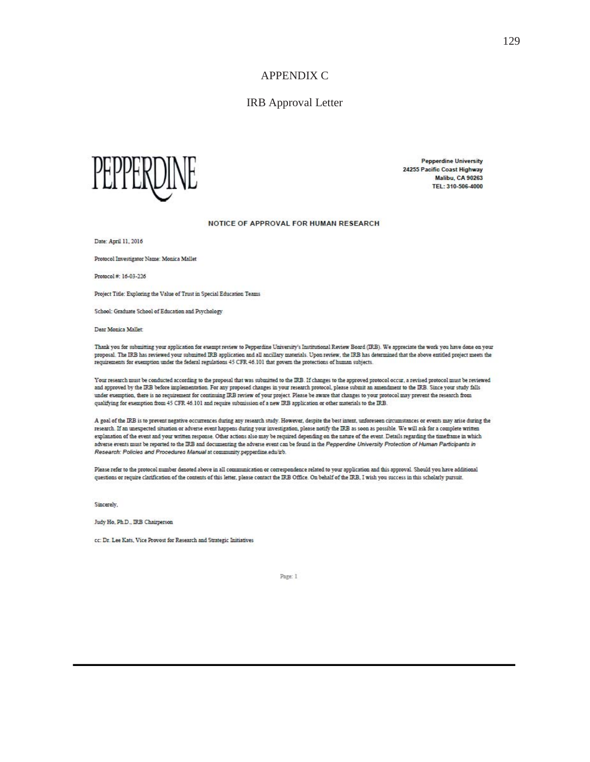### IRB Approval Letter



**Pepperdine University** 24255 Pacific Coast Highway **Malibu, CA 90263** TEL: 310-506-4000

#### NOTICE OF APPROVAL FOR HUMAN RESEARCH

Date: April 11, 2016

Protocol Investigator Name: Monica Mallet

Protocol #: 16-03-226

Project Title: Exploring the Value of Trust in Special Education Teams

School: Graduate School of Education and Psychology

Dear Monica Mallet

Thank you for submitting your application for exempt review to Pepperdine University's Institutional Review Board (IRB). We appreciate the work you have done on your proposal. The IRB has reviewed your submitted IRB application and all ancillary materials. Upon review, the IRB has determined that the above entitled project meets the requirements for exemption under the federal regulati

Your research must be conducted according to the proposal that was submitted to the IRB. If changes to the approved protocol occur, a revised protocol must be reviewed and approved by the IRB before implementation. For any proposed changes in your research protocol, please submit an amendment to the IRB. Since your study falls under exemption, there is no requirement for continuing IRB review of your project. Please be aware that changes to your protocol may prevent the research from qualifying for exemption from 45 CFR 46.101 and require submission of a new IRB application or other materials to the IRB.

A goal of the IRB is to prevent negative occurrences during any research study. However, despite the best intent, unforeseen circumstances or events may arise during the research. If an unexpected situation or adverse event happens during your investigation, please notify the IRB as soon as possible. We will ask for a complete written explanation of the event and your written response. Other actions also may be required depending on the nature of the event. Details regarding the timeframe in which adverse events must be reported to the IRB and documenting the adverse event can be found in the Pepperdine University Protection of Human Participants in Research: Policies and Procedures Manual at community pepperdine.edu/irb.

Please refer to the protocol number denoted above in all communication or correspondence related to your application and this approval. Should you have additional questions or require clarification of the contents of this letter, please contact the IRB Office. On behalf of the IRB, I wish you success in this scholarly pursuit.

Sincerely.

Judy Ho, Ph.D., IRB Chairperson

cc: Dr. Lee Kats, Vice Provost for Research and Strategic Initiatives

Page: 1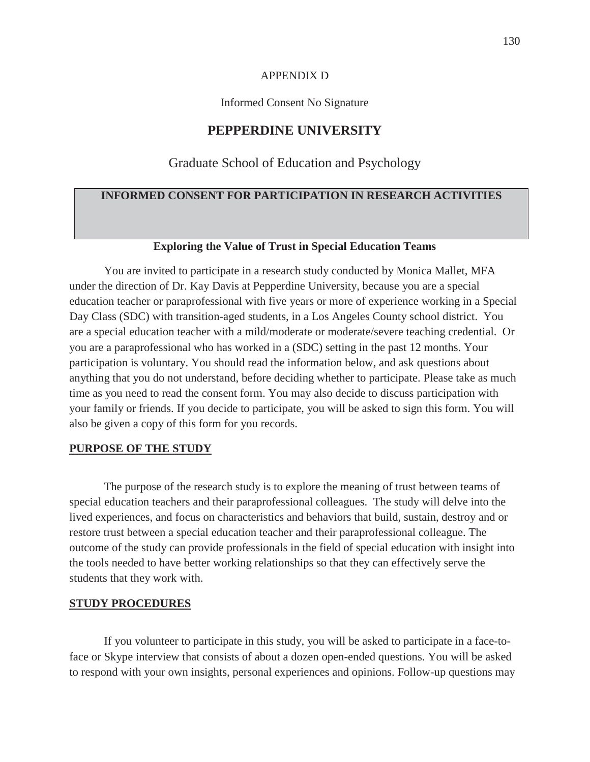#### APPENDIX D

Informed Consent No Signature

### **PEPPERDINE UNIVERSITY**

### Graduate School of Education and Psychology

# **INFORMED CONSENT FOR PARTICIPATION IN RESEARCH ACTIVITIES**

#### **Exploring the Value of Trust in Special Education Teams**

You are invited to participate in a research study conducted by Monica Mallet, MFA under the direction of Dr. Kay Davis at Pepperdine University, because you are a special education teacher or paraprofessional with five years or more of experience working in a Special Day Class (SDC) with transition-aged students, in a Los Angeles County school district. You are a special education teacher with a mild/moderate or moderate/severe teaching credential. Or you are a paraprofessional who has worked in a (SDC) setting in the past 12 months. Your participation is voluntary. You should read the information below, and ask questions about anything that you do not understand, before deciding whether to participate. Please take as much time as you need to read the consent form. You may also decide to discuss participation with your family or friends. If you decide to participate, you will be asked to sign this form. You will also be given a copy of this form for you records.

#### **PURPOSE OF THE STUDY**

The purpose of the research study is to explore the meaning of trust between teams of special education teachers and their paraprofessional colleagues. The study will delve into the lived experiences, and focus on characteristics and behaviors that build, sustain, destroy and or restore trust between a special education teacher and their paraprofessional colleague. The outcome of the study can provide professionals in the field of special education with insight into the tools needed to have better working relationships so that they can effectively serve the students that they work with.

#### **STUDY PROCEDURES**

If you volunteer to participate in this study, you will be asked to participate in a face-toface or Skype interview that consists of about a dozen open-ended questions. You will be asked to respond with your own insights, personal experiences and opinions. Follow-up questions may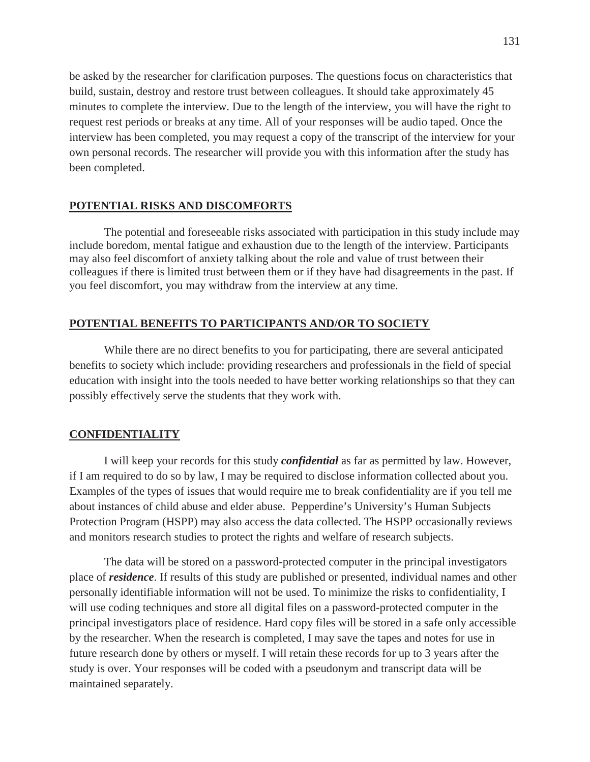be asked by the researcher for clarification purposes. The questions focus on characteristics that build, sustain, destroy and restore trust between colleagues. It should take approximately 45 minutes to complete the interview. Due to the length of the interview, you will have the right to request rest periods or breaks at any time. All of your responses will be audio taped. Once the interview has been completed, you may request a copy of the transcript of the interview for your own personal records. The researcher will provide you with this information after the study has been completed.

### **POTENTIAL RISKS AND DISCOMFORTS**

The potential and foreseeable risks associated with participation in this study include may include boredom, mental fatigue and exhaustion due to the length of the interview. Participants may also feel discomfort of anxiety talking about the role and value of trust between their colleagues if there is limited trust between them or if they have had disagreements in the past. If you feel discomfort, you may withdraw from the interview at any time.

#### **POTENTIAL BENEFITS TO PARTICIPANTS AND/OR TO SOCIETY**

While there are no direct benefits to you for participating, there are several anticipated benefits to society which include: providing researchers and professionals in the field of special education with insight into the tools needed to have better working relationships so that they can possibly effectively serve the students that they work with.

#### **CONFIDENTIALITY**

I will keep your records for this study *confidential* as far as permitted by law. However, if I am required to do so by law, I may be required to disclose information collected about you. Examples of the types of issues that would require me to break confidentiality are if you tell me about instances of child abuse and elder abuse. Pepperdine's University's Human Subjects Protection Program (HSPP) may also access the data collected. The HSPP occasionally reviews and monitors research studies to protect the rights and welfare of research subjects.

The data will be stored on a password-protected computer in the principal investigators place of *residence*. If results of this study are published or presented, individual names and other personally identifiable information will not be used. To minimize the risks to confidentiality, I will use coding techniques and store all digital files on a password-protected computer in the principal investigators place of residence. Hard copy files will be stored in a safe only accessible by the researcher. When the research is completed, I may save the tapes and notes for use in future research done by others or myself. I will retain these records for up to 3 years after the study is over. Your responses will be coded with a pseudonym and transcript data will be maintained separately.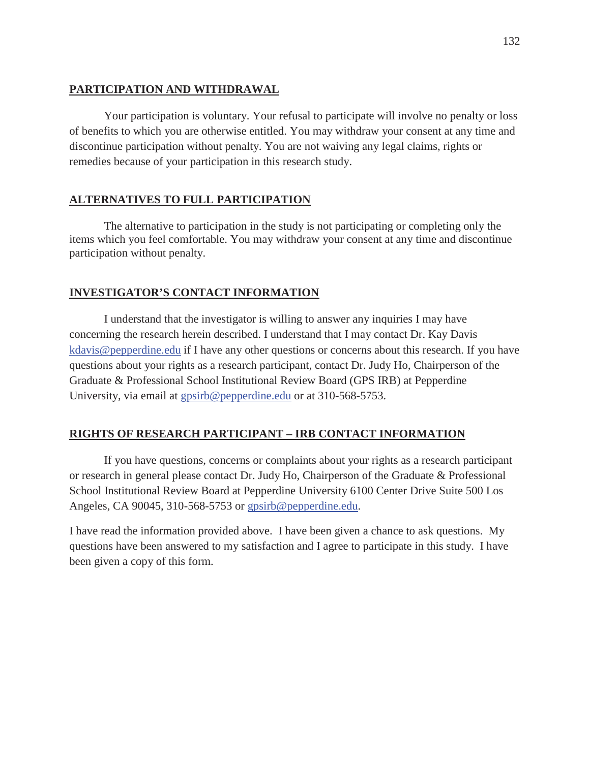# **PARTICIPATION AND WITHDRAWAL**

Your participation is voluntary. Your refusal to participate will involve no penalty or loss of benefits to which you are otherwise entitled. You may withdraw your consent at any time and discontinue participation without penalty. You are not waiving any legal claims, rights or remedies because of your participation in this research study.

# **ALTERNATIVES TO FULL PARTICIPATION**

The alternative to participation in the study is not participating or completing only the items which you feel comfortable. You may withdraw your consent at any time and discontinue participation without penalty.

### **INVESTIGATOR'S CONTACT INFORMATION**

I understand that the investigator is willing to answer any inquiries I may have concerning the research herein described. I understand that I may contact Dr. Kay Davis kdavis@pepperdine.edu if I have any other questions or concerns about this research. If you have questions about your rights as a research participant, contact Dr. Judy Ho*,* Chairperson of the Graduate & Professional School Institutional Review Board (GPS IRB) at Pepperdine University, via email at gpsirb@pepperdine.edu or at 310-568-5753.

# **RIGHTS OF RESEARCH PARTICIPANT – IRB CONTACT INFORMATION**

If you have questions, concerns or complaints about your rights as a research participant or research in general please contact Dr. Judy Ho, Chairperson of the Graduate & Professional School Institutional Review Board at Pepperdine University 6100 Center Drive Suite 500 Los Angeles, CA 90045, 310-568-5753 or gpsirb@pepperdine.edu.

I have read the information provided above. I have been given a chance to ask questions. My questions have been answered to my satisfaction and I agree to participate in this study. I have been given a copy of this form.